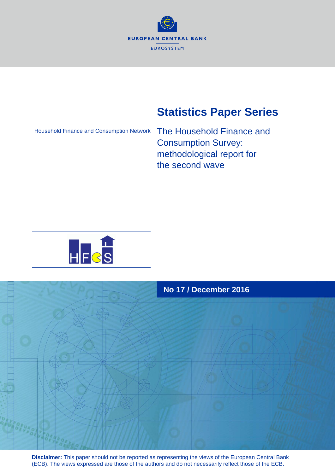

# **Statistics Paper Series**

Household Finance and Consumption Network

The Household Finance and Consumption Survey: methodological report for the second wave





**Disclaimer:** This paper should not be reported as representing the views of the European Central Bank (ECB). The views expressed are those of the authors and do not necessarily reflect those of the ECB.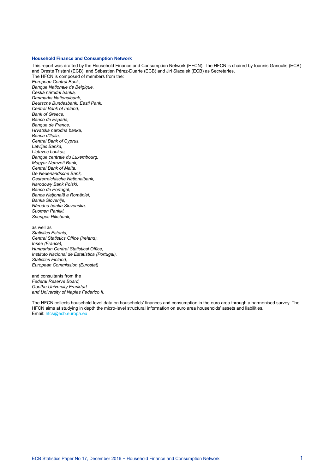#### **Household Finance and Consumption Network**

This report was drafted by the Household Finance and Consumption Network (HFCN). The HFCN is chaired by Ioannis Ganoulis (ECB) and Oreste Tristani (ECB), and Sébastien Pérez-Duarte (ECB) and Jiri Slacalek (ECB) as Secretaries. The HFCN is composed of members from the: *European Central Bank, Banque Nationale de Belgique, Česká národní banka, Danmarks Nationalbank, Deutsche Bundesbank, Eesti Pank, Central Bank of Ireland, Bank of Greece, Banco de España, Banque de France, Hrvatska narodna banka, Banca d'Italia, Central Bank of Cyprus, Latvijas Banka, Lietuvos bankas, Banque centrale du Luxembourg, Magyar Nemzeti Bank, Central Bank of Malta, De Nederlandsche Bank, Oesterreichische Nationalbank, Narodowy Bank Polski, Banco de Portugal, Banca Naţională a României, Banka Slovenije, Národná banka Slovenska, Suomen Pankki, Sveriges Riksbank,* as well as *Statistics Estonia, Central Statistics Office (Ireland), Insee (France), Hungarian Central Statistical Office, Instituto Nacional de Estatística (Portugal), Statistics Finland,*

*European Commission (Eurostat)*

and consultants from the *Federal Reserve Board, Goethe University Frankfurt and University of Naples Federico II.*

The HFCN collects household-level data on households' finances and consumption in the euro area through a harmonised survey. The HFCN aims at studying in depth the micro-level structural information on euro area households' assets and liabilities. Email: [hfcs@ecb.europa.eu](mailto:hfcs@ecb.europa.eu)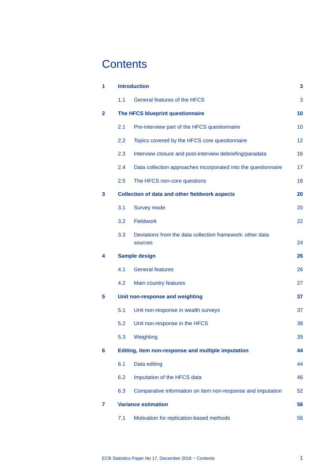# **Contents**

| 1            | <b>Introduction</b> |                                                                      |    |
|--------------|---------------------|----------------------------------------------------------------------|----|
|              | 1.1                 | General features of the HFCS                                         | 3  |
| $\mathbf{2}$ |                     | The HFCS blueprint questionnaire                                     | 10 |
|              | 2.1                 | Pre-interview part of the HFCS questionnaire                         | 10 |
|              | 2.2                 | Topics covered by the HFCS core questionnaire                        | 12 |
|              | 2.3                 | Interview closure and post-interview debriefing/paradata             | 16 |
|              | 2.4                 | Data collection approaches incorporated into the questionnaire       | 17 |
|              | 2.5                 | The HFCS non-core questions                                          | 18 |
| 3            |                     | <b>Collection of data and other fieldwork aspects</b>                | 20 |
|              | 3.1                 | <b>Survey mode</b>                                                   | 20 |
|              | 3.2                 | <b>Fieldwork</b>                                                     | 22 |
|              | 3.3                 | Deviations from the data collection framework: other data<br>sources | 24 |
| 4            |                     | <b>Sample design</b>                                                 | 26 |
|              | 4.1                 | <b>General features</b>                                              | 26 |
|              | 4.2                 | Main country features                                                | 27 |
| 5            |                     | Unit non-response and weighting                                      | 37 |
|              | 5.1                 | Unit non-response in wealth surveys                                  | 37 |
|              | 5.2                 | Unit non-response in the HFCS                                        | 38 |
|              | 5.3                 | Weighting                                                            | 39 |
| 6            |                     | Editing, item non-response and multiple imputation                   | 44 |
|              | 6.1                 | Data editing                                                         | 44 |
|              | 6.2                 | Imputation of the HFCS data                                          | 46 |
|              | 6.3                 | Comparative information on item non-response and imputation          | 52 |
| 7            |                     | <b>Variance estimation</b>                                           | 56 |
|              | 7.1                 | Motivation for replication-based methods                             | 56 |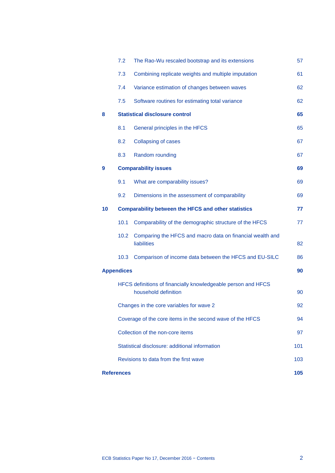|    | 7.2                                                       | The Rao-Wu rescaled bootstrap and its extensions                                      | 57  |  |  |
|----|-----------------------------------------------------------|---------------------------------------------------------------------------------------|-----|--|--|
|    | 7.3                                                       | Combining replicate weights and multiple imputation                                   | 61  |  |  |
|    | 7.4                                                       | Variance estimation of changes between waves                                          | 62  |  |  |
|    | 7.5                                                       | Software routines for estimating total variance                                       | 62  |  |  |
| 8  |                                                           | <b>Statistical disclosure control</b>                                                 | 65  |  |  |
|    | 8.1                                                       | General principles in the HFCS                                                        | 65  |  |  |
|    | 8.2                                                       | <b>Collapsing of cases</b>                                                            | 67  |  |  |
|    | 8.3                                                       | Random rounding                                                                       | 67  |  |  |
| 9  |                                                           | <b>Comparability issues</b>                                                           | 69  |  |  |
|    | 9.1                                                       | What are comparability issues?                                                        | 69  |  |  |
|    | 9.2                                                       | Dimensions in the assessment of comparability                                         | 69  |  |  |
| 10 |                                                           | <b>Comparability between the HFCS and other statistics</b>                            | 77  |  |  |
|    | 10.1                                                      | Comparability of the demographic structure of the HFCS                                | 77  |  |  |
|    | 10.2                                                      | Comparing the HFCS and macro data on financial wealth and<br><b>liabilities</b>       | 82  |  |  |
|    | 10.3                                                      | Comparison of income data between the HFCS and EU-SILC                                | 86  |  |  |
|    | <b>Appendices</b>                                         |                                                                                       | 90  |  |  |
|    |                                                           | HFCS definitions of financially knowledgeable person and HFCS<br>household definition | 90  |  |  |
|    | Changes in the core variables for wave 2                  |                                                                                       |     |  |  |
|    | Coverage of the core items in the second wave of the HFCS |                                                                                       |     |  |  |
|    | Collection of the non-core items                          |                                                                                       |     |  |  |
|    |                                                           | Statistical disclosure: additional information                                        | 101 |  |  |
|    | Revisions to data from the first wave                     |                                                                                       |     |  |  |
|    | <b>References</b>                                         |                                                                                       | 105 |  |  |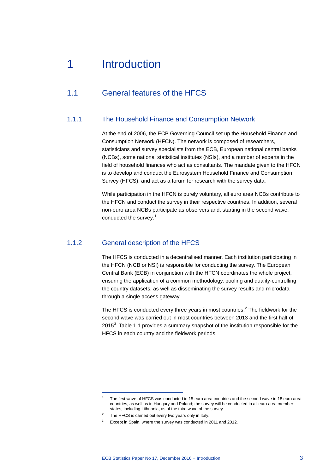# <span id="page-4-0"></span>1 Introduction

# <span id="page-4-1"></span>1.1 General features of the HFCS

# 1.1.1 The Household Finance and Consumption Network

At the end of 2006, the ECB Governing Council set up the Household Finance and Consumption Network (HFCN). The network is composed of researchers, statisticians and survey specialists from the ECB, European national central banks (NCBs), some national statistical institutes (NSIs), and a number of experts in the field of household finances who act as consultants. The mandate given to the HFCN is to develop and conduct the Eurosystem Household Finance and Consumption Survey (HFCS), and act as a forum for research with the survey data.

While participation in the HFCN is purely voluntary, all euro area NCBs contribute to the HFCN and conduct the survey in their respective countries. In addition, several non-euro area NCBs participate as observers and, starting in the second wave, conducted the survey. [1](#page-4-2)

# 1.1.2 General description of the HFCS

The HFCS is conducted in a decentralised manner. Each institution participating in the HFCN (NCB or NSI) is responsible for conducting the survey. The European Central Bank (ECB) in conjunction with the HFCN coordinates the whole project, ensuring the application of a common methodology, pooling and quality-controlling the country datasets, as well as disseminating the survey results and microdata through a single access gateway.

The HFCS is conducted every three years in most countries.<sup>[2](#page-4-3)</sup> The fieldwork for the second wave was carried out in most countries between 2013 and the first half of 2015<sup>[3](#page-4-4)</sup>. Table 1.1 provides a summary snapshot of the institution responsible for the HFCS in each country and the fieldwork periods.

<span id="page-4-2"></span><sup>1</sup> The first wave of HFCS was conducted in 15 euro area countries and the second wave in 18 euro area countries, as well as in Hungary and Poland; the survey will be conducted in all euro area member states, including Lithuania, as of the third wave of the survey.

<span id="page-4-3"></span><sup>&</sup>lt;sup>2</sup> The HFCS is carried out every two years only in Italy.

<span id="page-4-4"></span><sup>3</sup> Except in Spain, where the survey was conducted in 2011 and 2012.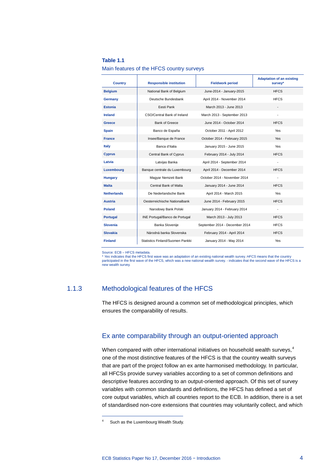#### **Table 1.1**

Main features of the HFCS country surveys

| <b>Country</b>     | <b>Responsible institution</b>   | <b>Fieldwork period</b>        | <b>Adaptation of an existing</b><br>survey* |
|--------------------|----------------------------------|--------------------------------|---------------------------------------------|
| <b>Belgium</b>     | National Bank of Belgium         | June-2014 - January-2015       | <b>HFCS</b>                                 |
| <b>Germany</b>     | Deutsche Bundesbank              | April 2014 - November 2014     | <b>HFCS</b>                                 |
| <b>Estonia</b>     | Eesti Pank                       | March 2013 - June 2013         | $\overline{\phantom{a}}$                    |
| <b>Ireland</b>     | CSO/Central Bank of Ireland      | March 2013 - September 2013    |                                             |
| Greece             | <b>Bank of Greece</b>            | June 2014 - October 2014       | <b>HFCS</b>                                 |
| <b>Spain</b>       | Banco de España                  | October 2011 - April 2012      | Yes                                         |
| <b>France</b>      | Insee/Banque de France           | October 2014 - February 2015   | Yes                                         |
| <b>Italy</b>       | Banca d'Italia                   | January 2015 - June 2015       | <b>Yes</b>                                  |
| <b>Cyprus</b>      | Central Bank of Cyprus           | February 2014 - July 2014      | <b>HFCS</b>                                 |
| Latvia             | Latvijas Banka                   | April 2014 - September 2014    | $\frac{1}{2}$                               |
| Luxembourg         | Banque centrale du Luxembourg    | April 2014 - December 2014     | <b>HFCS</b>                                 |
| <b>Hungary</b>     | Magyar Nemzeti Bank              | October 2014 - November 2014   | $\blacksquare$                              |
| <b>Malta</b>       | Central Bank of Malta            | January 2014 - June 2014       | <b>HFCS</b>                                 |
| <b>Netherlands</b> | De Nederlandsche Bank            | April 2014 - March 2015        | <b>Yes</b>                                  |
| <b>Austria</b>     | Oesterreichische Nationalbank    | June 2014 - February 2015      | <b>HFCS</b>                                 |
| <b>Poland</b>      | Narodowy Bank Polski             | January 2014 - February 2014   | $\overline{\phantom{a}}$                    |
| <b>Portugal</b>    | INE Portugal/Banco de Portugal   | March 2013 - July 2013         | <b>HFCS</b>                                 |
| <b>Slovenia</b>    | Banka Slovenije                  | September 2014 - December 2014 | <b>HFCS</b>                                 |
| <b>Slovakia</b>    | Národná banka Slovenska          | February 2014 - April 2014     | <b>HFCS</b>                                 |
| <b>Finland</b>     | Statistics Finland/Suomen Pankki | January 2014 - May 2014        | Yes                                         |

Source: ECB – HFCS metadata.

\* Yes indicates that the HFCS first wave was an adaptation of an existing national wealth survey. *HFCS* means that the country<br>participated in the first wave of the HFCS, which was a new national wealth survey. - indicate new wealth survey.

# 1.1.3 Methodological features of the HFCS

The HFCS is designed around a common set of methodological principles, which ensures the comparability of results.

## Ex ante comparability through an output-oriented approach

When compared with other international initiatives on household wealth surveys,<sup>[4](#page-5-0)</sup> one of the most distinctive features of the HFCS is that the country wealth surveys that are part of the project follow an ex ante harmonised methodology. In particular, all HFCSs provide survey variables according to a set of common definitions and descriptive features according to an output-oriented approach. Of this set of survey variables with common standards and definitions, the HFCS has defined a set of core output variables, which all countries report to the ECB. In addition, there is a set of standardised non-core extensions that countries may voluntarily collect, and which

<span id="page-5-0"></span>Such as the Luxembourg Wealth Study.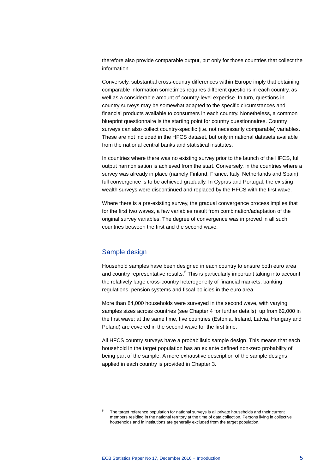therefore also provide comparable output, but only for those countries that collect the information.

Conversely, substantial cross-country differences within Europe imply that obtaining comparable information sometimes requires different questions in each country, as well as a considerable amount of country-level expertise. In turn, questions in country surveys may be somewhat adapted to the specific circumstances and financial products available to consumers in each country. Nonetheless, a common blueprint questionnaire is the starting point for country questionnaires. Country surveys can also collect country-specific (i.e. not necessarily comparable) variables. These are not included in the HFCS dataset, but only in national datasets available from the national central banks and statistical institutes.

In countries where there was no existing survey prior to the launch of the HFCS, full output harmonisation is achieved from the start. Conversely, in the countries where a survey was already in place (namely Finland, France, Italy, Netherlands and Spain), full convergence is to be achieved gradually. In Cyprus and Portugal, the existing wealth surveys were discontinued and replaced by the HFCS with the first wave.

Where there is a pre-existing survey, the gradual convergence process implies that for the first two waves, a few variables result from combination/adaptation of the original survey variables. The degree of convergence was improved in all such countries between the first and the second wave.

### Sample design

<span id="page-6-0"></span>-

Household samples have been designed in each country to ensure both euro area and country representative results.<sup>[5](#page-6-0)</sup> This is particularly important taking into account the relatively large cross-country heterogeneity of financial markets, banking regulations, pension systems and fiscal policies in the euro area.

More than 84,000 households were surveyed in the second wave, with varying samples sizes across countries (see Chapter 4 for further details), up from 62,000 in the first wave; at the same time, five countries (Estonia, Ireland, Latvia, Hungary and Poland) are covered in the second wave for the first time.

All HFCS country surveys have a probabilistic sample design. This means that each household in the target population has an ex ante defined non-zero probability of being part of the sample. A more exhaustive description of the sample designs applied in each country is provided in Chapter 3.

<sup>5</sup> The target reference population for national surveys is all private households and their current members residing in the national territory at the time of data collection. Persons living in collective households and in institutions are generally excluded from the target population.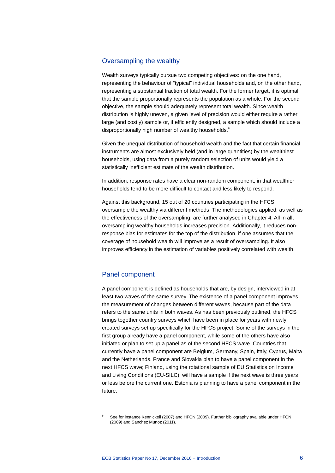## Oversampling the wealthy

Wealth surveys typically pursue two competing objectives: on the one hand, representing the behaviour of "typical" individual households and, on the other hand, representing a substantial fraction of total wealth. For the former target, it is optimal that the sample proportionally represents the population as a whole. For the second objective, the sample should adequately represent total wealth. Since wealth distribution is highly uneven, a given level of precision would either require a rather large (and costly) sample or, if efficiently designed, a sample which should include a disproportionally high number of wealthy households.<sup>[6](#page-7-0)</sup>

Given the unequal distribution of household wealth and the fact that certain financial instruments are almost exclusively held (and in large quantities) by the wealthiest households, using data from a purely random selection of units would yield a statistically inefficient estimate of the wealth distribution.

In addition, response rates have a clear non-random component, in that wealthier households tend to be more difficult to contact and less likely to respond.

Against this background, 15 out of 20 countries participating in the HFCS oversample the wealthy via different methods. The methodologies applied, as well as the effectiveness of the oversampling, are further analysed in Chapter 4. All in all, oversampling wealthy households increases precision. Additionally, it reduces nonresponse bias for estimates for the top of the distribution, if one assumes that the coverage of household wealth will improve as a result of oversampling. It also improves efficiency in the estimation of variables positively correlated with wealth.

### Panel component

-

A panel component is defined as households that are, by design, interviewed in at least two waves of the same survey. The existence of a panel component improves the measurement of changes between different waves, because part of the data refers to the same units in both waves. As has been previously outlined, the HFCS brings together country surveys which have been in place for years with newly created surveys set up specifically for the HFCS project. Some of the surveys in the first group already have a panel component, while some of the others have also initiated or plan to set up a panel as of the second HFCS wave. Countries that currently have a panel component are Belgium, Germany, Spain, Italy, Cyprus, Malta and the Netherlands. France and Slovakia plan to have a panel component in the next HFCS wave; Finland, using the rotational sample of EU Statistics on Income and Living Conditions (EU-SILC), will have a sample if the next wave is three years or less before the current one. Estonia is planning to have a panel component in the future.

<span id="page-7-0"></span>See for instance Kennickell (2007) and HFCN (2009). Further bibliography available under HFCN (2009) and Sanchez Munoz (2011).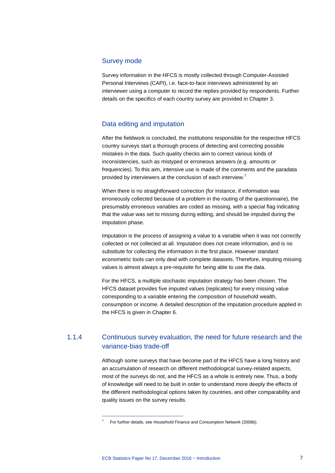### Survey mode

Survey information in the HFCS is mostly collected through Computer-Assisted Personal Interviews (CAPI), i.e. face-to-face interviews administered by an interviewer using a computer to record the replies provided by respondents. Further details on the specifics of each country survey are provided in Chapter 3.

# Data editing and imputation

After the fieldwork is concluded, the institutions responsible for the respective HFCS country surveys start a thorough process of detecting and correcting possible mistakes in the data. Such quality checks aim to correct various kinds of inconsistencies, such as mistyped or erroneous answers (e.g. amounts or frequencies). To this aim, intensive use is made of the comments and the paradata provided by interviewers at the conclusion of each interview.<sup>[7](#page-8-0)</sup>

When there is no straightforward correction (for instance, if information was erroneously collected because of a problem in the routing of the questionnaire), the presumably erroneous variables are coded as missing, with a special flag indicating that the value was set to missing during editing, and should be imputed during the imputation phase.

Imputation is the process of assigning a value to a variable when it was not correctly collected or not collected at all. Imputation does not create information, and is no substitute for collecting the information in the first place. However standard econometric tools can only deal with complete datasets. Therefore, imputing missing values is almost always a pre-requisite for being able to use the data.

For the HFCS, a multiple stochastic imputation strategy has been chosen. The HFCS dataset provides five imputed values (replicates) for every missing value corresponding to a variable entering the composition of household wealth, consumption or income. A detailed description of the imputation procedure applied in the HFCS is given in Chapter 6.

# 1.1.4 Continuous survey evaluation, the need for future research and the variance-bias trade-off

Although some surveys that have become part of the HFCS have a long history and an accumulation of research on different methodological survey-related aspects, most of the surveys do not, and the HFCS as a whole is entirely new. Thus, a body of knowledge will need to be built in order to understand more deeply the effects of the different methodological options taken by countries, and other comparability and quality issues on the survey results.

<span id="page-8-0"></span><sup>7</sup> For further details, see Household Finance and Consumption Network (2008b).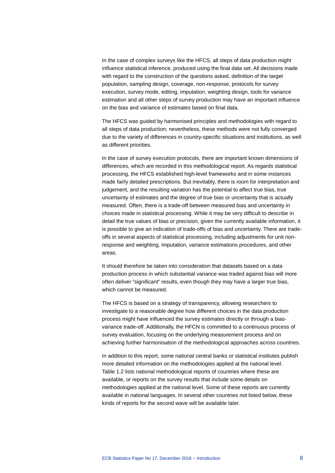In the case of complex surveys like the HFCS, all steps of data production might influence statistical inference, produced using the final data set. All decisions made with regard to the construction of the questions asked, definition of the target population, sampling design, coverage, non-response, protocols for survey execution, survey mode, editing, imputation, weighting design, tools for variance estimation and all other steps of survey production may have an important influence on the bias and variance of estimates based on final data.

The HFCS was guided by harmonised principles and methodologies with regard to all steps of data production; nevertheless, these methods were not fully converged due to the variety of differences in country-specific situations and institutions, as well as different priorities.

In the case of survey execution protocols, there are important known dimensions of differences, which are recorded in this methodological report. As regards statistical processing, the HFCS established high-level frameworks and in some instances made fairly detailed prescriptions. But inevitably, there is room for interpretation and judgement, and the resulting variation has the potential to affect true bias, true uncertainty of estimates and the degree of true bias or uncertainty that is actually measured. Often, there is a trade-off between measured bias and uncertainty in choices made in statistical processing. While it may be very difficult to describe in detail the true values of bias or precision, given the currently available information, it is possible to give an indication of trade-offs of bias and uncertainty. There are tradeoffs in several aspects of statistical processing, including adjustments for unit nonresponse and weighting, imputation, variance estimations procedures, and other areas.

It should therefore be taken into consideration that datasets based on a data production process in which substantial variance was traded against bias will more often deliver "significant" results, even though they may have a larger true bias, which cannot be measured.

The HFCS is based on a strategy of transparency, allowing researchers to investigate to a reasonable degree how different choices in the data production process might have influenced the survey estimates directly or through a biasvariance trade-off. Additionally, the HFCN is committed to a continuous process of survey evaluation, focusing on the underlying measurement process and on achieving further harmonisation of the methodological approaches across countries.

In addition to this report, some national central banks or statistical institutes publish more detailed information on the methodologies applied at the national level. Table 1.2 lists national methodological reports of countries where these are available, or reports on the survey results that include some details on methodologies applied at the national level. Some of these reports are currently available in national languages. In several other countries not listed below, these kinds of reports for the second wave will be available later.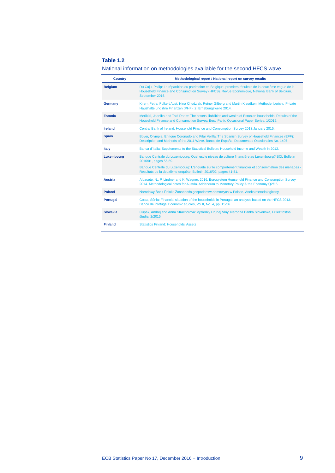### **Table 1.2**

| National information on methodologies available for the second HFCS wave |  |
|--------------------------------------------------------------------------|--|
|--------------------------------------------------------------------------|--|

| <b>Country</b>  | Methodological report / National report on survey results                                                                                                                                                                                                                                                |
|-----------------|----------------------------------------------------------------------------------------------------------------------------------------------------------------------------------------------------------------------------------------------------------------------------------------------------------|
| <b>Belgium</b>  | Du Caju, Philip: La répartition du patrimoine en Belgique: premiers résultats de la deuxième vague de la<br>Household Finance and Consumption Survey (HFCS). Revue Economique, National Bank of Belgium,<br>September 2016.                                                                              |
| Germany         | Knerr, Petra, Folkert Aust, Nina Chudziak, Reiner Gilberg and Martin Kleudken: Methodenbericht: Private<br>Haushalte und ihre Finanzen (PHF), 2. Erhebungswelle 2014.                                                                                                                                    |
| <b>Estonia</b>  | Meriküll, Jaanika and Tairi Room: The assets, liabilities and wealth of Estonian households: Results of the<br>Household Finance and Consumption Survey. Eesti Pank, Occasional Paper Series, 1/2016.                                                                                                    |
| <b>Ireland</b>  | Central Bank of Ireland: Household Finance and Consumption Survey 2013. January 2015.                                                                                                                                                                                                                    |
| <b>Spain</b>    | Bover, Olympia, Enrique Coronado and Pilar Velilla: The Spanish Survey of Household Finances (EFF):<br>Description and Methods of the 2011 Wave. Banco de España, Documentos Ocasionales No. 1407.                                                                                                       |
| Italy           | Banca d'Italia: Supplements to the Statistical Bulletin: Household Income and Wealth in 2012.                                                                                                                                                                                                            |
| Luxembourg      | Banque Centrale du Luxembourg: Quel est le niveau de culture financière au Luxembourg? BCL Bulletin<br>2016/01, pages 56-59.<br>Banque Centrale du Luxembourg: L'enquête sur le comportement financier et consommation des ménages -<br>Résultats de la deuxième enquête. Bulletin 2016/02, pages 41-51. |
| <b>Austria</b>  | Albacete, N., P. Lindner and K. Wagner. 2016. Eurosystem Household Finance and Consumption Survey<br>2014. Methodological notes for Austria. Addendum to Monetary Policy & the Economy Q2/16.                                                                                                            |
| <b>Poland</b>   | Narodowy Bank Polski: Zasobność gospodarstw domowych w Polsce. Aneks metodologiczny.                                                                                                                                                                                                                     |
| <b>Portugal</b> | Costa, Sónia: Financial situation of the households in Portugal: an analysis based on the HFCS 2013.<br>Banco de Portugal Economic studies, Vol II, No. 4, pp. 15-56.                                                                                                                                    |
| <b>Slovakia</b> | Cupák, Andrej and Anna Strachotova: Výsledky Druhej Vlny. Národná Banka Slovenska, Príležitostná<br>študia, 2/2015.                                                                                                                                                                                      |
| <b>Finland</b>  | <b>Statistics Finland: Households' Assets</b>                                                                                                                                                                                                                                                            |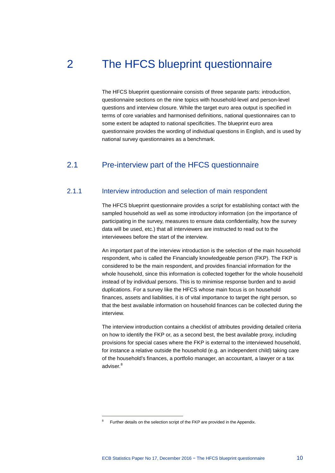# 2 The HFCS blueprint questionnaire

<span id="page-11-0"></span>The HFCS blueprint questionnaire consists of three separate parts: introduction, questionnaire sections on the nine topics with household-level and person-level questions and interview closure. While the target euro area output is specified in terms of core variables and harmonised definitions, national questionnaires can to some extent be adapted to national specificities. The blueprint euro area questionnaire provides the wording of individual questions in English, and is used by national survey questionnaires as a benchmark.

# <span id="page-11-1"></span>2.1 Pre-interview part of the HFCS questionnaire

## 2.1.1 Interview introduction and selection of main respondent

The HFCS blueprint questionnaire provides a script for establishing contact with the sampled household as well as some introductory information (on the importance of participating in the survey, measures to ensure data confidentiality, how the survey data will be used, etc.) that all interviewers are instructed to read out to the interviewees before the start of the interview.

An important part of the interview introduction is the selection of the main household respondent, who is called the Financially knowledgeable person (FKP). The FKP is considered to be the main respondent, and provides financial information for the whole household, since this information is collected together for the whole household instead of by individual persons. This is to minimise response burden and to avoid duplications. For a survey like the HFCS whose main focus is on household finances, assets and liabilities, it is of vital importance to target the right person, so that the best available information on household finances can be collected during the interview.

The interview introduction contains a checklist of attributes providing detailed criteria on how to identify the FKP or, as a second best, the best available proxy, including provisions for special cases where the FKP is external to the interviewed household, for instance a relative outside the household (e.g. an independent child) taking care of the household's finances, a portfolio manager, an accountant, a lawyer or a tax adviser.<sup>[8](#page-11-2)</sup>

<span id="page-11-2"></span>Further details on the selection script of the FKP are provided in the Appendix.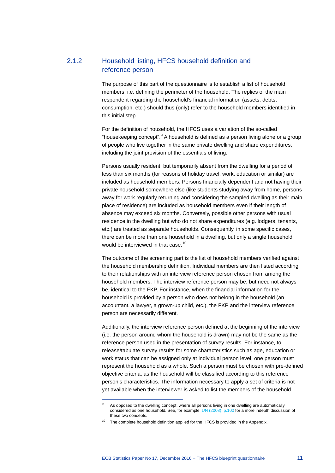# 2.1.2 Household listing, HFCS household definition and reference person

The purpose of this part of the questionnaire is to establish a list of household members, i.e. defining the perimeter of the household. The replies of the main respondent regarding the household's financial information (assets, debts, consumption, etc.) should thus (only) refer to the household members identified in this initial step.

For the definition of household, the HFCS uses a variation of the so-called "housekeeping concept". <sup>[9](#page-12-0)</sup> A household is defined as a person living alone or a group of people who live together in the same private dwelling and share expenditures, including the joint provision of the essentials of living.

Persons usually resident, but temporarily absent from the dwelling for a period of less than six months (for reasons of holiday travel, work, education or similar) are included as household members. Persons financially dependent and not having their private household somewhere else (like students studying away from home, persons away for work regularly returning and considering the sampled dwelling as their main place of residence) are included as household members even if their length of absence may exceed six months. Conversely, possible other persons with usual residence in the dwelling but who do not share expenditures (e.g. lodgers, tenants, etc.) are treated as separate households. Consequently, in some specific cases, there can be more than one household in a dwelling, but only a single household would be interviewed in that case.<sup>[10](#page-12-1)</sup>

The outcome of the screening part is the list of household members verified against the household membership definition. Individual members are then listed according to their relationships with an interview reference person chosen from among the household members. The interview reference person may be, but need not always be, identical to the FKP. For instance, when the financial information for the household is provided by a person who does not belong in the household (an accountant, a lawyer, a grown-up child, etc.), the FKP and the interview reference person are necessarily different.

Additionally, the interview reference person defined at the beginning of the interview (i.e. the person around whom the household is drawn) may not be the same as the reference person used in the presentation of survey results. For instance, to release/tabulate survey results for some characteristics such as age, education or work status that can be assigned only at individual person level, one person must represent the household as a whole. Such a person must be chosen with pre-defined objective criteria, as the household will be classified according to this reference person's characteristics. The information necessary to apply a set of criteria is not yet available when the interviewer is asked to list the members of the household.

As opposed to the dwelling concept, where all persons living in one dwelling are automatically considered as one household. See, for example[, UN \(2008\), p.100](http://unstats.un.org/unsd/publication/SeriesM/Seriesm_67rev2e.pdf) for a more indepth discussion of these two concepts.

<span id="page-12-1"></span><span id="page-12-0"></span> $10$  The complete household definition applied for the HFCS is provided in the Appendix.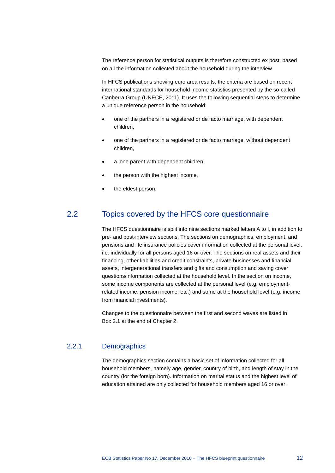The reference person for statistical outputs is therefore constructed ex post, based on all the information collected about the household during the interview.

In HFCS publications showing euro area results, the criteria are based on recent international standards for household income statistics presented by the so-called Canberra Group (UNECE, 2011). It uses the following sequential steps to determine a unique reference person in the household:

- one of the partners in a registered or de facto marriage, with dependent children,
- one of the partners in a registered or de facto marriage, without dependent children,
- a lone parent with dependent children,
- the person with the highest income,
- <span id="page-13-0"></span>the eldest person.

# 2.2 Topics covered by the HFCS core questionnaire

The HFCS questionnaire is split into nine sections marked letters A to I, in addition to pre- and post-interview sections. The sections on demographics, employment, and pensions and life insurance policies cover information collected at the personal level, i.e. individually for all persons aged 16 or over. The sections on real assets and their financing, other liabilities and credit constraints, private businesses and financial assets, intergenerational transfers and gifts and consumption and saving cover questions/information collected at the household level. In the section on income, some income components are collected at the personal level (e.g. employmentrelated income, pension income, etc.) and some at the household level (e.g. income from financial investments).

Changes to the questionnaire between the first and second waves are listed in Box 2.1 at the end of Chapter 2.

### 2.2.1 Demographics

The demographics section contains a basic set of information collected for all household members, namely age, gender, country of birth, and length of stay in the country (for the foreign born). Information on marital status and the highest level of education attained are only collected for household members aged 16 or over.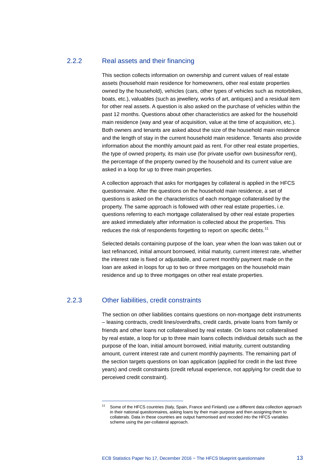## 2.2.2 Real assets and their financing

This section collects information on ownership and current values of real estate assets (household main residence for homeowners, other real estate properties owned by the household), vehicles (cars, other types of vehicles such as motorbikes, boats, etc.), valuables (such as jewellery, works of art, antiques) and a residual item for other real assets. A question is also asked on the purchase of vehicles within the past 12 months. Questions about other characteristics are asked for the household main residence (way and year of acquisition, value at the time of acquisition, etc.). Both owners and tenants are asked about the size of the household main residence and the length of stay in the current household main residence. Tenants also provide information about the monthly amount paid as rent. For other real estate properties, the type of owned property, its main use (for private use/for own business/for rent), the percentage of the property owned by the household and its current value are asked in a loop for up to three main properties.

A collection approach that asks for mortgages by collateral is applied in the HFCS questionnaire. After the questions on the household main residence, a set of questions is asked on the characteristics of each mortgage collateralised by the property. The same approach is followed with other real estate properties, i.e. questions referring to each mortgage collateralised by other real estate properties are asked immediately after information is collected about the properties. This reduces the risk of respondents forgetting to report on specific debts.<sup>[11](#page-14-0)</sup>

Selected details containing purpose of the loan, year when the loan was taken out or last refinanced, initial amount borrowed, initial maturity, current interest rate, whether the interest rate is fixed or adjustable, and current monthly payment made on the loan are asked in loops for up to two or three mortgages on the household main residence and up to three mortgages on other real estate properties.

## 2.2.3 Other liabilities, credit constraints

<span id="page-14-0"></span>-

The section on other liabilities contains questions on non-mortgage debt instruments – leasing contracts, credit lines/overdrafts, credit cards, private loans from family or friends and other loans not collateralised by real estate. On loans not collateralised by real estate, a loop for up to three main loans collects individual details such as the purpose of the loan, initial amount borrowed, initial maturity, current outstanding amount, current interest rate and current monthly payments. The remaining part of the section targets questions on loan application (applied for credit in the last three years) and credit constraints (credit refusal experience, not applying for credit due to perceived credit constraint).

Some of the HFCS countries (Italy, Spain, France and Finland) use a different data collection approach in their national questionnaires, asking loans by their main purpose and then assigning them to collaterals. Data in these countries are output harmonised and recoded into the HFCS variables scheme using the per-collateral approach.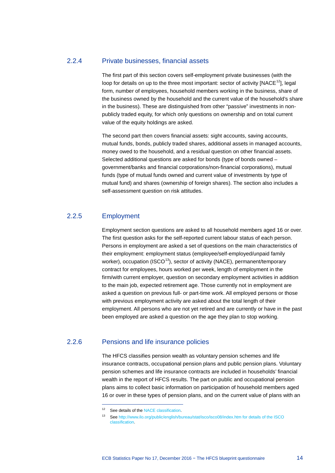## 2.2.4 Private businesses, financial assets

The first part of this section covers self-employment private businesses (with the loop for details on up to the three most important: sector of activity  $[NACE^{12}]$  $[NACE^{12}]$  $[NACE^{12}]$ , legal form, number of employees, household members working in the business, share of the business owned by the household and the current value of the household's share in the business). These are distinguished from other "passive" investments in nonpublicly traded equity, for which only questions on ownership and on total current value of the equity holdings are asked.

The second part then covers financial assets: sight accounts, saving accounts, mutual funds, bonds, publicly traded shares, additional assets in managed accounts, money owed to the household, and a residual question on other financial assets. Selected additional questions are asked for bonds (type of bonds owned – government/banks and financial corporations/non-financial corporations), mutual funds (type of mutual funds owned and current value of investments by type of mutual fund) and shares (ownership of foreign shares). The section also includes a self-assessment question on risk attitudes.

### 2.2.5 Employment

-

Employment section questions are asked to all household members aged 16 or over. The first question asks for the self-reported current labour status of each person. Persons in employment are asked a set of questions on the main characteristics of their employment: employment status (employee/self-employed/unpaid family worker), occupation (ISCO<sup>13</sup>), sector of activity (NACE), permanent/temporary contract for employees, hours worked per week, length of employment in the firm/with current employer, question on secondary employment activities in addition to the main job, expected retirement age. Those currently not in employment are asked a question on previous full- or part-time work. All employed persons or those with previous employment activity are asked about the total length of their employment. All persons who are not yet retired and are currently or have in the past been employed are asked a question on the age they plan to stop working.

# <span id="page-15-0"></span>2.2.6 Pensions and life insurance policies

The HFCS classifies pension wealth as voluntary pension schemes and life insurance contracts, occupational pension plans and public pension plans. Voluntary pension schemes and life insurance contracts are included in households' financial wealth in the report of HFCS results. The part on public and occupational pension plans aims to collect basic information on participation of household members aged 16 or over in these types of pension plans, and on the current value of plans with an

<span id="page-15-1"></span><sup>&</sup>lt;sup>12</sup> See details of th[e NACE classification.](http://ec.europa.eu/eurostat/statistics-explained/index.php/Glossary:Statistical_classification_of_economic_activities_in_the_European_Community_(NACE))

<sup>13</sup> Se[e http://www.ilo.org/public/english/bureau/stat/isco/isco08/index.htm for details of the ISCO](http://www.ilo.org/public/english/bureau/stat/isco/isco08/index.htm%20for%20details%20of%20the%20ISCO%20classification)  [classification.](http://www.ilo.org/public/english/bureau/stat/isco/isco08/index.htm%20for%20details%20of%20the%20ISCO%20classification)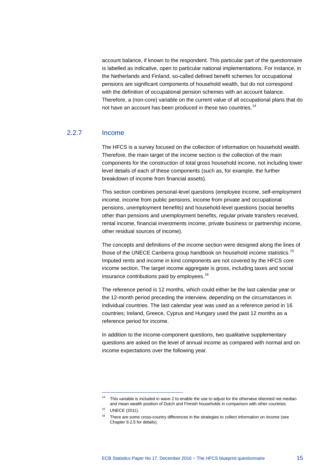account balance, if known to the respondent. This particular part of the questionnaire is labelled as indicative, open to particular national implementations. For instance, in the Netherlands and Finland, so-called defined benefit schemes for occupational pensions are significant components of household wealth, but do not correspond with the definition of occupational pension schemes with an account balance. Therefore, a (non-core) variable on the current value of all occupational plans that do not have an account has been produced in these two countries.<sup>[14](#page-16-0)</sup>

## 2.2.7 Income

The HFCS is a survey focused on the collection of information on household wealth. Therefore, the main target of the income section is the collection of the main components for the construction of total gross household income, not including lower level details of each of these components (such as, for example, the further breakdown of income from financial assets).

This section combines personal-level questions (employee income, self-employment income, income from public pensions, income from private and occupational pensions, unemployment benefits) and household-level questions (social benefits other than pensions and unemployment benefits, regular private transfers received, rental income, financial investments income, private business or partnership income, other residual sources of income).

The concepts and definitions of the income section were designed along the lines of those of the UNECE Canberra group handbook on household income statistics.<sup>[15](#page-16-1)</sup> Imputed rents and income in kind components are not covered by the HFCS core income section. The target income aggregate is gross, including taxes and social insurance contributions paid by employees. [16](#page-16-2)

The reference period is 12 months, which could either be the last calendar year or the 12-month period preceding the interview, depending on the circumstances in individual countries. The last calendar year was used as a reference period in 16 countries; Ireland, Greece, Cyprus and Hungary used the past 12 months as a reference period for income.

In addition to the income-component questions, two qualitative supplementary questions are asked on the level of annual income as compared with normal and on income expectations over the following year.

<span id="page-16-0"></span><sup>&</sup>lt;sup>14</sup> This variable is included in wave 2 to enable the use to adjust for the otherwise distorted net median and mean wealth position of Dutch and Finnish households in comparison with other countries.

<span id="page-16-2"></span><span id="page-16-1"></span><sup>15</sup> UNECE (2011).

<sup>&</sup>lt;sup>16</sup> There are some cross-country differences in the strategies to collect information on income (see Chapter 9.2.5 for details).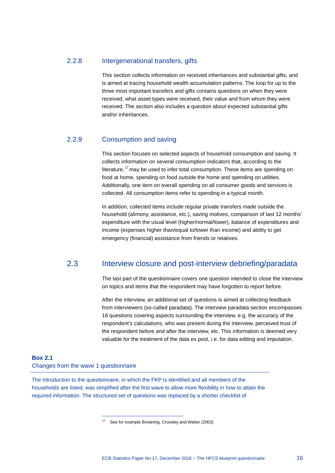## 2.2.8 Intergenerational transfers, gifts

This section collects information on received inheritances and substantial gifts, and is aimed at tracing household wealth accumulation patterns. The loop for up to the three most important transfers and gifts contains questions on when they were received, what asset types were received, their value and from whom they were received. The section also includes a question about expected substantial gifts and/or inheritances.

# 2.2.9 Consumption and saving

This section focuses on selected aspects of household consumption and saving. It collects information on several consumption indicators that, according to the literature,<sup>[17](#page-17-1)</sup> may be used to infer total consumption. These items are spending on food at home, spending on food outside the home and spending on utilities. Additionally, one item on overall spending on all consumer goods and services is collected. All consumption items refer to spending in a typical month.

In addition, collected items include regular private transfers made outside the household (alimony, assistance, etc.), saving motives, comparison of last 12 months' expenditure with the usual level (higher/normal/lower), balance of expenditures and income (expenses higher than/equal to/lower than income) and ability to get emergency (financial) assistance from friends or relatives.

# 2.3 Interview closure and post-interview debriefing/paradata

<span id="page-17-0"></span>The last part of the questionnaire covers one question intended to close the interview on topics and items that the respondent may have forgotten to report before.

After the interview, an additional set of questions is aimed at collecting feedback from interviewers (so-called paradata). The interview paradata section encompasses 16 questions covering aspects surrounding the interview, e.g. the accuracy of the respondent's calculations, who was present during the interview, perceived trust of the respondent before and after the interview, etc. This information is deemed very valuable for the treatment of the data ex post, i.e. for data editing and imputation.

### **Box 2.1** Changes from the wave 1 questionnaire

-

<span id="page-17-1"></span>The introduction to the questionnaire, in which the FKP is identified and all members of the households are listed, was simplified after the first wave to allow more flexibility in how to attain the required information. The structured set of questions was replaced by a shorter checklist of

<sup>&</sup>lt;sup>17</sup> See for example Browning, Crossley and Weber (2003).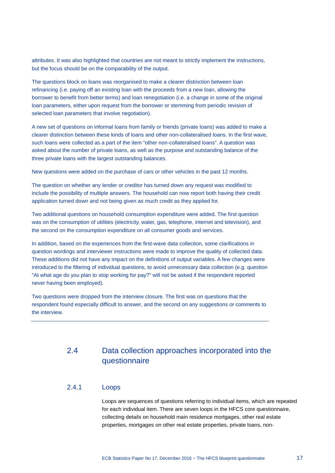attributes. It was also highlighted that countries are not meant to strictly implement the instructions, but the focus should be on the comparability of the output.

The questions block on loans was reorganised to make a clearer distinction between loan refinancing (i.e. paying off an existing loan with the proceeds from a new loan, allowing the borrower to benefit from better terms) and loan renegotiation (i.e. a change in some of the original loan parameters, either upon request from the borrower or stemming from periodic revision of selected loan parameters that involve negotiation).

A new set of questions on informal loans from family or friends (private loans) was added to make a clearer distinction between these kinds of loans and other non-collateralised loans. In the first wave, such loans were collected as a part of the item "other non-collateralised loans". A question was asked about the number of private loans, as well as the purpose and outstanding balance of the three private loans with the largest outstanding balances.

New questions were added on the purchase of cars or other vehicles in the past 12 months.

The question on whether any lender or creditor has turned down any request was modified to include the possibility of multiple answers. The household can now report both having their credit application turned down and not being given as much credit as they applied for.

Two additional questions on household consumption expenditure were added. The first question was on the consumption of utilities (electricity, water, gas, telephone, internet and television), and the second on the consumption expenditure on all consumer goods and services.

In addition, based on the experiences from the first-wave data collection, some clarifications in question wordings and interviewer instructions were made to improve the quality of collected data. These additions did not have any impact on the definitions of output variables. A few changes were introduced to the filtering of individual questions, to avoid unnecessary data collection (e.g. question "At what age do you plan to stop working for pay?" will not be asked if the respondent reported never having been employed).

Two questions were dropped from the interview closure. The first was on questions that the respondent found especially difficult to answer, and the second on any suggestions or comments to the interview.

# <span id="page-18-0"></span>2.4 Data collection approaches incorporated into the questionnaire

## 2.4.1 Loops

Loops are sequences of questions referring to individual items, which are repeated for each individual item. There are seven loops in the HFCS core questionnaire, collecting details on household main residence mortgages, other real estate properties, mortgages on other real estate properties, private loans, non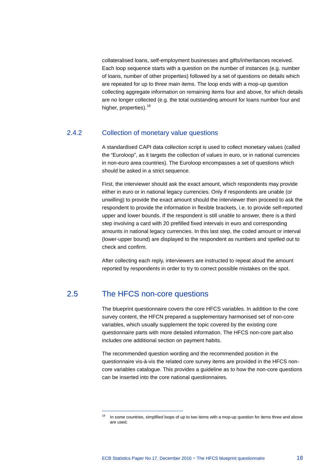collateralised loans, self-employment businesses and gifts/inheritances received. Each loop sequence starts with a question on the number of instances (e.g. number of loans, number of other properties) followed by a set of questions on details which are repeated for up to three main items. The loop ends with a mop-up question collecting aggregate information on remaining items four and above, for which details are no longer collected (e.g. the total outstanding amount for loans number four and higher, properties).<sup>[18](#page-19-1)</sup>

# 2.4.2 Collection of monetary value questions

A standardised CAPI data collection script is used to collect monetary values (called the "Euroloop", as it targets the collection of values in euro, or in national currencies in non-euro area countries). The Euroloop encompasses a set of questions which should be asked in a strict sequence.

First, the interviewer should ask the exact amount, which respondents may provide either in euro or in national legacy currencies. Only if respondents are unable (or unwilling) to provide the exact amount should the interviewer then proceed to ask the respondent to provide the information in flexible brackets, i.e. to provide self-reported upper and lower bounds. If the respondent is still unable to answer, there is a third step involving a card with 20 prefilled fixed intervals in euro and corresponding amounts in national legacy currencies. In this last step, the coded amount or interval (lower-upper bound) are displayed to the respondent as numbers and spelled out to check and confirm.

<span id="page-19-0"></span>After collecting each reply, interviewers are instructed to repeat aloud the amount reported by respondents in order to try to correct possible mistakes on the spot.

# 2.5 The HFCS non-core questions

-

The blueprint questionnaire covers the core HFCS variables. In addition to the core survey content, the HFCN prepared a supplementary harmonised set of non-core variables, which usually supplement the topic covered by the existing core questionnaire parts with more detailed information. The HFCS non-core part also includes one additional section on payment habits.

The recommended question wording and the recommended position in the questionnaire vis-à-vis the related core survey items are provided in the HFCS noncore variables catalogue. This provides a guideline as to how the non-core questions can be inserted into the core national questionnaires.

<span id="page-19-1"></span>In some countries, simplified loops of up to two items with a mop-up question for items three and above are used.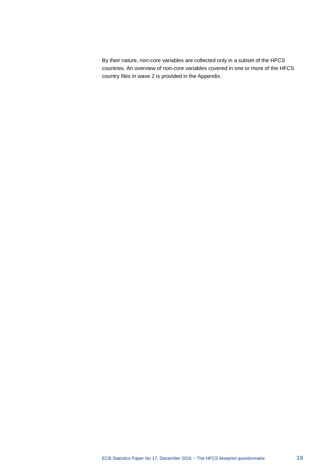By their nature, non-core variables are collected only in a subset of the HFCS countries. An overview of non-core variables covered in one or more of the HFCS country files in wave 2 is provided in the Appendix.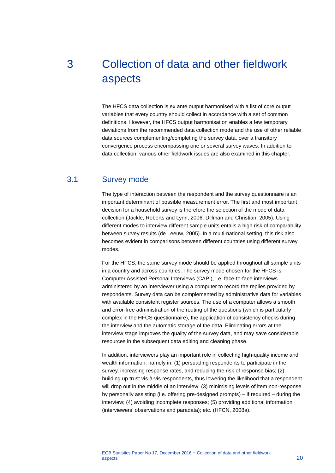# <span id="page-21-0"></span>3 Collection of data and other fieldwork aspects

The HFCS data collection is ex ante output harmonised with a list of core output variables that every country should collect in accordance with a set of common definitions. However, the HFCS output harmonisation enables a few temporary deviations from the recommended data collection mode and the use of other reliable data sources complementing/completing the survey data, over a transitory convergence process encompassing one or several survey waves. In addition to data collection, various other fieldwork issues are also examined in this chapter.

# 3.1 Survey mode

<span id="page-21-1"></span>The type of interaction between the respondent and the survey questionnaire is an important determinant of possible measurement error. The first and most important decision for a household survey is therefore the selection of the mode of data collection (Jäckle, Roberts and Lynn, 2006; Dillman and Christian, 2005). Using different modes to interview different sample units entails a high risk of comparability between survey results (de Leeuw, 2005). In a multi-national setting, this risk also becomes evident in comparisons between different countries using different survey modes.

For the HFCS, the same survey mode should be applied throughout all sample units in a country and across countries. The survey mode chosen for the HFCS is Computer Assisted Personal Interviews (CAPI), i.e. face-to-face interviews administered by an interviewer using a computer to record the replies provided by respondents. Survey data can be complemented by administrative data for variables with available consistent register sources. The use of a computer allows a smooth and error-free administration of the routing of the questions (which is particularly complex in the HFCS questionnaire), the application of consistency checks during the interview and the automatic storage of the data. Eliminating errors at the interview stage improves the quality of the survey data, and may save considerable resources in the subsequent data editing and cleaning phase.

In addition, interviewers play an important role in collecting high-quality income and wealth information, namely in: (1) persuading respondents to participate in the survey, increasing response rates, and reducing the risk of response bias; (2) building up trust vis-à-vis respondents, thus lowering the likelihood that a respondent will drop out in the middle of an interview; (3) minimising levels of item non-response by personally assisting (i.e. offering pre-designed prompts) – if required – during the interview; (4) avoiding incomplete responses; (5) providing additional information (interviewers' observations and paradata); etc. (HFCN, 2008a).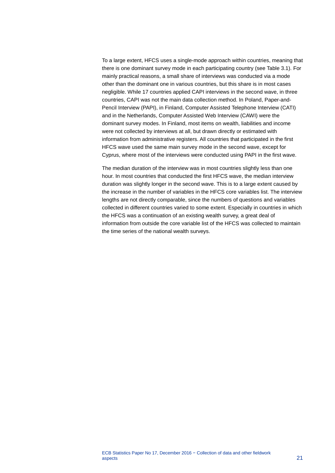To a large extent, HFCS uses a single-mode approach within countries, meaning that there is one dominant survey mode in each participating country (see Table 3.1). For mainly practical reasons, a small share of interviews was conducted via a mode other than the dominant one in various countries, but this share is in most cases negligible. While 17 countries applied CAPI interviews in the second wave, in three countries, CAPI was not the main data collection method. In Poland, Paper-and-Pencil Interview (PAPI), in Finland, Computer Assisted Telephone Interview (CATI) and in the Netherlands, Computer Assisted Web Interview (CAWI) were the dominant survey modes. In Finland, most items on wealth, liabilities and income were not collected by interviews at all, but drawn directly or estimated with information from administrative registers. All countries that participated in the first HFCS wave used the same main survey mode in the second wave, except for Cyprus, where most of the interviews were conducted using PAPI in the first wave.

The median duration of the interview was in most countries slightly less than one hour. In most countries that conducted the first HFCS wave, the median interview duration was slightly longer in the second wave. This is to a large extent caused by the increase in the number of variables in the HFCS core variables list. The interview lengths are not directly comparable, since the numbers of questions and variables collected in different countries varied to some extent. Especially in countries in which the HFCS was a continuation of an existing wealth survey, a great deal of information from outside the core variable list of the HFCS was collected to maintain the time series of the national wealth surveys.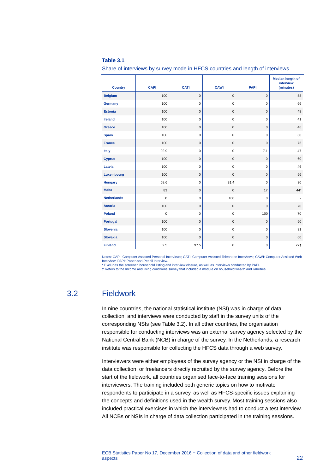| <b>able</b> |  |
|-------------|--|
|             |  |

Share of interviews by survey mode in HFCS countries and length of interviews

| <b>Country</b>     | <b>CAPI</b> | <b>CATI</b> | <b>CAWI</b>  | <b>PAPI</b>  | <b>Median length of</b><br>interview<br>(minutes) |
|--------------------|-------------|-------------|--------------|--------------|---------------------------------------------------|
| <b>Belgium</b>     | 100         | $\mathsf 0$ | $\mathbf 0$  | $\pmb{0}$    | 58                                                |
| Germany            | 100         | $\mathsf 0$ | $\mathbf 0$  | $\mathbf 0$  | 66                                                |
| <b>Estonia</b>     | 100         | $\mathsf 0$ | $\mathbf 0$  | $\pmb{0}$    | 48                                                |
| <b>Ireland</b>     | 100         | $\mathbf 0$ | $\mathbf 0$  | $\mathbf 0$  | 41                                                |
| Greece             | 100         | $\mathsf 0$ | $\mathbf 0$  | $\mathsf 0$  | 46                                                |
| <b>Spain</b>       | 100         | $\mathbf 0$ | $\mathbf 0$  | $\pmb{0}$    | 60                                                |
| <b>France</b>      | 100         | $\mathsf 0$ | $\mathbf 0$  | $\mathbf{0}$ | 75                                                |
| <b>Italy</b>       | 92.9        | $\mathsf 0$ | $\mathbf 0$  | 7.1          | 47                                                |
| <b>Cyprus</b>      | 100         | $\mathsf 0$ | $\mathbf 0$  | $\pmb{0}$    | 60                                                |
| Latvia             | 100         | $\mathsf 0$ | $\mathbf 0$  | $\pmb{0}$    | 46                                                |
| Luxembourg         | 100         | $\mathsf 0$ | $\mathbf 0$  | $\mathsf 0$  | 56                                                |
| <b>Hungary</b>     | 68.6        | $\mathbf 0$ | 31.4         | $\pmb{0}$    | 30                                                |
| <b>Malta</b>       | 83          | $\mathsf 0$ | $\mathbf{0}$ | 17           | $44*$                                             |
| <b>Netherlands</b> | $\mathbf 0$ | $\mathsf 0$ | 100          | $\pmb{0}$    |                                                   |
| <b>Austria</b>     | 100         | $\mathsf 0$ | $\mathbf 0$  | $\mathsf 0$  | 70                                                |
| <b>Poland</b>      | $\mathbf 0$ | $\pmb{0}$   | $\mathbf 0$  | 100          | 70                                                |
| Portugal           | 100         | $\mathsf 0$ | $\mathbf 0$  | $\mathsf 0$  | 50                                                |
| <b>Slovenia</b>    | 100         | $\mathbf 0$ | $\mathbf 0$  | $\pmb{0}$    | 31                                                |
| <b>Slovakia</b>    | 100         | $\mathsf 0$ | $\mathsf 0$  | $\mathsf 0$  | 60                                                |
| <b>Finland</b>     | 2.5         | 97.5        | $\pmb{0}$    | $\mathsf 0$  | $27+$                                             |

Notes: CAPI: Computer Assisted Personal Interviews; CATI: Computer Assisted Telephone Interviews; CAWI: Computer Assisted Web Interview; PAPI: Paper-and-Pencil Interview.

<span id="page-23-0"></span>\* Excludes the screener, household listing and interview closure, as well as interviews conducted by PAPI. † Refers to the Income and living conditions survey that included a module on household wealth and liabilities.

# 3.2 Fieldwork

In nine countries, the national statistical institute (NSI) was in charge of data collection, and interviews were conducted by staff in the survey units of the corresponding NSIs (see Table 3.2). In all other countries, the organisation responsible for conducting interviews was an external survey agency selected by the National Central Bank (NCB) in charge of the survey. In the Netherlands, a research institute was responsible for collecting the HFCS data through a web survey.

Interviewers were either employees of the survey agency or the NSI in charge of the data collection, or freelancers directly recruited by the survey agency. Before the start of the fieldwork, all countries organised face-to-face training sessions for interviewers. The training included both generic topics on how to motivate respondents to participate in a survey, as well as HFCS-specific issues explaining the concepts and definitions used in the wealth survey. Most training sessions also included practical exercises in which the interviewers had to conduct a test interview. All NCBs or NSIs in charge of data collection participated in the training sessions.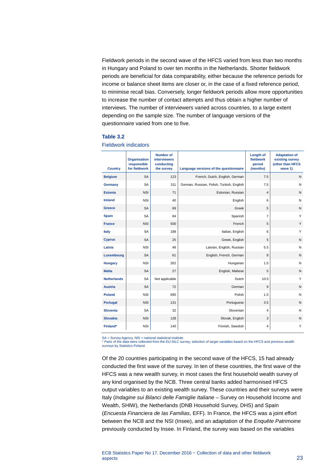Fieldwork periods in the second wave of the HFCS varied from less than two months in Hungary and Poland to over ten months in the Netherlands. Shorter fieldwork periods are beneficial for data comparability, either because the reference periods for income or balance sheet items are closer or, in the case of a fixed reference period, to minimise recall bias. Conversely, longer fieldwork periods allow more opportunities to increase the number of contact attempts and thus obtain a higher number of interviews. The number of interviewers varied across countries, to a large extent depending on the sample size. The number of language versions of the questionnaire varied from one to five.

#### **Table 3.2**

Fieldwork indicators

| <b>Country</b>     | <b>Organisation</b><br>responsible<br>for fieldwork | <b>Number of</b><br><b>interviewers</b><br>conducting<br>the survey | Language versions of the questionnaire    | <b>Length of</b><br>fieldwork<br>period<br>(months) | <b>Adaptation of</b><br>existing survey<br>(other than HFCS<br>wave 1) |
|--------------------|-----------------------------------------------------|---------------------------------------------------------------------|-------------------------------------------|-----------------------------------------------------|------------------------------------------------------------------------|
| <b>Belgium</b>     | <b>SA</b>                                           | 123                                                                 | French, Dutch, English, German            | 7.5                                                 | $\mathsf{N}$                                                           |
| Germany            | <b>SA</b>                                           | 311                                                                 | German, Russian, Polish, Turkish, English | 7.5                                                 | N                                                                      |
| <b>Estonia</b>     | <b>NSI</b>                                          | 71                                                                  | Estonian, Russian                         | $\overline{4}$                                      | $\mathsf{N}$                                                           |
| <b>Ireland</b>     | <b>NSI</b>                                          | 40                                                                  | English                                   | 6                                                   | N                                                                      |
| <b>Greece</b>      | <b>SA</b>                                           | 69                                                                  | Greek                                     | 5                                                   | $\mathsf{N}$                                                           |
| <b>Spain</b>       | <b>SA</b>                                           | 84                                                                  | Spanish                                   | $\overline{7}$                                      | Y                                                                      |
| <b>France</b>      | <b>NSI</b>                                          | 500                                                                 | French                                    | 5                                                   | Y                                                                      |
| Italy              | <b>SA</b>                                           | 188                                                                 | Italian, English                          | 6                                                   | Y                                                                      |
| <b>Cyprus</b>      | <b>SA</b>                                           | 25                                                                  | Greek, English                            | 5                                                   | $\mathsf{N}$                                                           |
| Latvia             | <b>NSI</b>                                          | 48                                                                  | Latvian, English, Russian                 | 5.5                                                 | N                                                                      |
| Luxembourg         | <b>SA</b>                                           | 61                                                                  | English, French, German                   | 9                                                   | $\mathsf{N}$                                                           |
| <b>Hungary</b>     | <b>NSI</b>                                          | 262                                                                 | Hungarian                                 | 1.5                                                 | $\mathsf{N}$                                                           |
| <b>Malta</b>       | <b>SA</b>                                           | 27                                                                  | English, Maltese                          | 5                                                   | $\mathsf{N}$                                                           |
| <b>Netherlands</b> | <b>SA</b>                                           | Not applicable                                                      | Dutch                                     | 10.5                                                | Y                                                                      |
| <b>Austria</b>     | <b>SA</b>                                           | 72                                                                  | German                                    | 9                                                   | $\mathsf{N}$                                                           |
| <b>Poland</b>      | <b>NSI</b>                                          | 695                                                                 | Polish                                    | 1.5                                                 | N                                                                      |
| Portugal           | <b>NSI</b>                                          | 131                                                                 | Portuguese                                | 3.5                                                 | $\mathsf{N}$                                                           |
| <b>Slovenia</b>    | <b>SA</b>                                           | 32                                                                  | Slovenian                                 | 4                                                   | N                                                                      |
| <b>Slovakia</b>    | <b>NSI</b>                                          | 128                                                                 | Slovak, English                           | 3                                                   | $\mathsf{N}$                                                           |
| Finland*           | <b>NSI</b>                                          | 140                                                                 | Finnish, Swedish                          | 4                                                   | Y                                                                      |

SA = Survey Agency, NSI = national statistical institute

\* Parts of the data were collected from the EU-SILC survey, selection of target variables based on the HFCS and previous wealth surveys by Statistics Finland.

Of the 20 countries participating in the second wave of the HFCS, 15 had already conducted the first wave of the survey. In ten of these countries, the first wave of the HFCS was a new wealth survey, in most cases the first household wealth survey of any kind organised by the NCB. Three central banks added harmonised HFCS output variables to an existing wealth survey. These countries and their surveys were Italy (*Indagine sui Bilanci delle Famiglie Italiane* – Survey on Household Income and Wealth, SHIW), the Netherlands (DNB Household Survey, DHS) and Spain (*Encuesta Financiera de las Familias*, EFF). In France, the HFCS was a joint effort between the NCB and the NSI (Insee), and an adaptation of the *Enquête Patrimoine* previously conducted by Insee. In Finland, the survey was based on the variables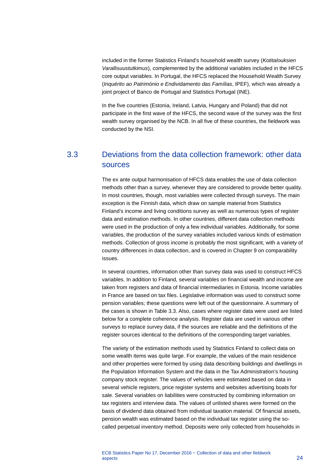included in the former Statistics Finland's household wealth survey (*Kotitalouksien Varallisuustutkimus*), complemented by the additional variables included in the HFCS core output variables. In Portugal, the HFCS replaced the Household Wealth Survey (*Inquérito ao Património e Endividamento das Famílias*, IPEF), which was already a joint project of Banco de Portugal and Statistics Portugal (INE).

<span id="page-25-0"></span>In the five countries (Estonia, Ireland, Latvia, Hungary and Poland) that did not participate in the first wave of the HFCS, the second wave of the survey was the first wealth survey organised by the NCB. In all five of these countries, the fieldwork was conducted by the NSI.

# 3.3 Deviations from the data collection framework: other data sources

The ex ante output harmonisation of HFCS data enables the use of data collection methods other than a survey, whenever they are considered to provide better quality. In most countries, though, most variables were collected through surveys. The main exception is the Finnish data, which draw on sample material from Statistics Finland's income and living conditions survey as well as numerous types of register data and estimation methods. In other countries, different data collection methods were used in the production of only a few individual variables. Additionally, for some variables, the production of the survey variables included various kinds of estimation methods. Collection of gross income is probably the most significant, with a variety of country differences in data collection, and is covered in Chapter 9 on comparability issues.

In several countries, information other than survey data was used to construct HFCS variables. In addition to Finland, several variables on financial wealth and income are taken from registers and data of financial intermediaries in Estonia. Income variables in France are based on tax files. Legislative information was used to construct some pension variables; these questions were left out of the questionnaire. A summary of the cases is shown in Table 3.3. Also, cases where register data were used are listed below for a complete coherence analysis. Register data are used in various other surveys to replace survey data, if the sources are reliable and the definitions of the register sources identical to the definitions of the corresponding target variables.

The variety of the estimation methods used by Statistics Finland to collect data on some wealth items was quite large. For example, the values of the main residence and other properties were formed by using data describing buildings and dwellings in the Population Information System and the data in the Tax Administration's housing company stock register. The values of vehicles were estimated based on data in several vehicle registers, price register systems and websites advertising boats for sale. Several variables on liabilities were constructed by combining information on tax registers and interview data. The values of unlisted shares were formed on the basis of dividend data obtained from individual taxation material. Of financial assets, pension wealth was estimated based on the individual tax register using the socalled perpetual inventory method. Deposits were only collected from households in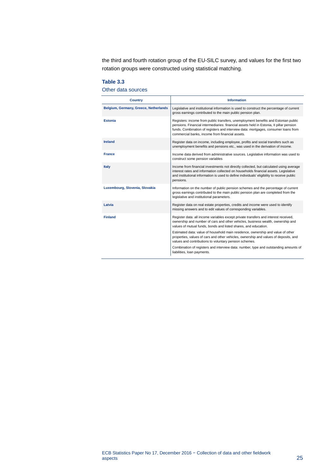the third and fourth rotation group of the EU-SILC survey, and values for the first two rotation groups were constructed using statistical matching.

#### **Table 3.3**

Other data sources

| <b>Country</b>                        | <b>Information</b>                                                                                                                                                                                                                                                                                                     |
|---------------------------------------|------------------------------------------------------------------------------------------------------------------------------------------------------------------------------------------------------------------------------------------------------------------------------------------------------------------------|
| Belgium, Germany, Greece, Netherlands | Legislative and institutional information is used to construct the percentage of current<br>gross earnings contributed to the main public pension plan.                                                                                                                                                                |
| <b>Estonia</b>                        | Registers: income from public transfers, unemployment benefits and Estonian public<br>pensions. Financial intermediaries: financial assets held in Estonia, II pillar pension<br>funds. Combination of registers and interview data: mortgages, consumer loans from<br>commercial banks, income from financial assets. |
| <b>Ireland</b>                        | Register data on income, including employee, profits and social transfers such as<br>unemployment benefits and pensions etc., was used in the derivation of income.                                                                                                                                                    |
| <b>France</b>                         | Income data derived from administrative sources. Legislative information was used to<br>construct some pension variables                                                                                                                                                                                               |
| Italy                                 | Income from financial investments not directly collected, but calculated using average<br>interest rates and information collected on households financial assets. Legislative<br>and institutional information is used to define individuals' eligibility to receive public<br>pensions.                              |
| Luxembourg, Slovenia, Slovakia        | Information on the number of public pension schemes and the percentage of current<br>gross earnings contributed to the main public pension plan are completed from the<br>legislative and institutional parameters.                                                                                                    |
| Latvia                                | Register data on real estate properties, credits and income were used to identify<br>missing answers and to edit values of corresponding variables.                                                                                                                                                                    |
| <b>Finland</b>                        | Register data: all income variables except private transfers and interest received,<br>ownership and number of cars and other vehicles, business wealth, ownership and<br>values of mutual funds, bonds and listed shares, and education.                                                                              |
|                                       | Estimated data: value of household main residence, ownership and value of other<br>properties, values of cars and other vehicles, ownership and values of deposits, and<br>values and contributions to voluntary pension schemes.                                                                                      |
|                                       | Combination of registers and interview data: number, type and outstanding amounts of<br>liabilities, loan payments.                                                                                                                                                                                                    |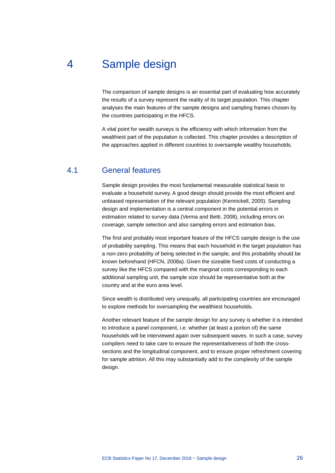# 4 Sample design

<span id="page-27-0"></span>The comparison of sample designs is an essential part of evaluating how accurately the results of a survey represent the reality of its target population. This chapter analyses the main features of the sample designs and sampling frames chosen by the countries participating in the HFCS.

<span id="page-27-1"></span>A vital point for wealth surveys is the efficiency with which information from the wealthiest part of the population is collected. This chapter provides a description of the approaches applied in different countries to oversample wealthy households.

# 4.1 General features

Sample design provides the most fundamental measurable statistical basis to evaluate a household survey. A good design should provide the most efficient and unbiased representation of the relevant population (Kennickell, 2005). Sampling design and implementation is a central component in the potential errors in estimation related to survey data (Verma and Betti, 2008), including errors on coverage, sample selection and also sampling errors and estimation bias.

The first and probably most important feature of the HFCS sample design is the use of probability sampling. This means that each household in the target population has a non-zero probability of being selected in the sample, and this probability should be known beforehand (HFCN, 2008a). Given the sizeable fixed costs of conducting a survey like the HFCS compared with the marginal costs corresponding to each additional sampling unit, the sample size should be representative both at the country and at the euro area level.

Since wealth is distributed very unequally, all participating countries are encouraged to explore methods for oversampling the wealthiest households.

Another relevant feature of the sample design for any survey is whether it is intended to introduce a panel component, i.e. whether (at least a portion of) the same households will be interviewed again over subsequent waves. In such a case, survey compilers need to take care to ensure the representativeness of both the crosssections and the longitudinal component, and to ensure proper refreshment covering for sample attrition. All this may substantially add to the complexity of the sample design.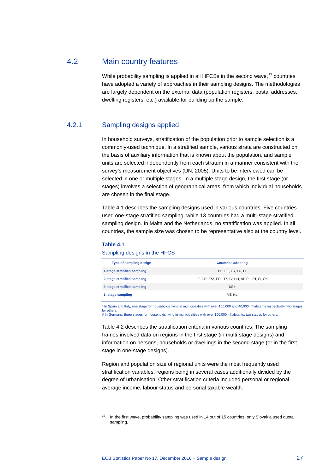# 4.2 Main country features

<span id="page-28-0"></span>While probability sampling is applied in all HFCSs in the second wave,  $19$  countries have adopted a variety of approaches in their sampling designs. The methodologies are largely dependent on the external data (population registers, postal addresses, dwelling registers, etc.) available for building up the sample.

# 4.2.1 Sampling designs applied

In household surveys, stratification of the population prior to sample selection is a commonly-used technique. In a stratified sample, various strata are constructed on the basis of auxiliary information that is known about the population, and sample units are selected independently from each stratum in a manner consistent with the survey's measurement objectives (UN, 2005). Units to be interviewed can be selected in one or multiple stages. In a multiple stage design, the first stage (or stages) involves a selection of geographical areas, from which individual households are chosen in the final stage.

Table 4.1 describes the sampling designs used in various countries. Five countries used one-stage stratified sampling, while 13 countries had a multi-stage stratified sampling design. In Malta and the Netherlands, no stratification was applied. In all countries, the sample size was chosen to be representative also at the country level.

#### **Table 4.1**

-

#### Sampling designs in the HFCS

| <b>Type of sampling design</b> | <b>Countries adopting</b>                        |  |
|--------------------------------|--------------------------------------------------|--|
| 1-stage stratified sampling    | BE, EE, CY, LU, FI                               |  |
| 2-stage stratified sampling    | IE, GR, ES*, FR, IT*, LV, HU, AT, PL, PT, SI, SK |  |
| 3-stage stratified sampling    | DE#                                              |  |
| 1- stage sampling              | MT. NL                                           |  |

\* In Spain and Italy, one stage for households living in municipalities with over 100,000 and 40,000 inhabitants respectively, two stages for others. # In Germany, three stages for households living in municipalities with over 100,000 inhabitants, two stages for others.

Table 4.2 describes the stratification criteria in various countries. The sampling frames involved data on regions in the first stage (in multi-stage designs) and information on persons, households or dwellings in the second stage (or in the first stage in one-stage designs).

Region and population size of regional units were the most frequently used stratification variables, regions being in several cases additionally divided by the degree of urbanisation. Other stratification criteria included personal or regional average income, labour status and personal taxable wealth.

<span id="page-28-1"></span><sup>&</sup>lt;sup>19</sup> In the first wave, probability sampling was used in 14 out of 15 countries; only Slovakia used quota sampling.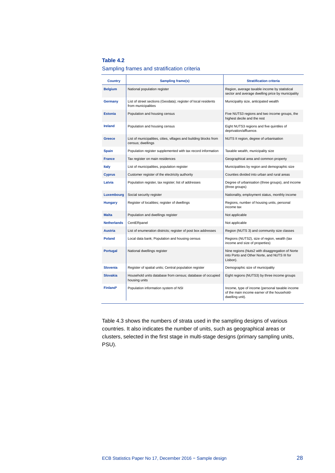### Sampling frames and stratification criteria

| <b>Country</b>     | <b>Sampling frame(s)</b>                                                               | <b>Stratification criteria</b>                                                                                    |
|--------------------|----------------------------------------------------------------------------------------|-------------------------------------------------------------------------------------------------------------------|
| <b>Belgium</b>     | National population register                                                           | Region, average taxable income by statistical<br>sector and average dwelling price by municipality                |
| Germany            | List of street sections (Geodata); register of local residents<br>from municipalities  | Municipality size, anticipated wealth                                                                             |
| <b>Estonia</b>     | Population and housing census                                                          | Five NUTS3 regions and two income groups, the<br>highest decile and the rest                                      |
| <b>Ireland</b>     | Population and housing census                                                          | Eight NUTS3 regions and five quintiles of<br>deprivation/affluence.                                               |
| Greece             | List of municipalities, cities, villages and building blocks from<br>census; dwellings | NUTS II region, degree of urbanisation                                                                            |
| <b>Spain</b>       | Population register supplemented with tax record information                           | Taxable wealth, municipality size                                                                                 |
| <b>France</b>      | Tax register on main residences                                                        | Geographical area and common property                                                                             |
| <b>Italy</b>       | List of municipalities, population register                                            | Municipalities by region and demographic size                                                                     |
| <b>Cyprus</b>      | Customer register of the electricity authority                                         | Counties divided into urban and rural areas                                                                       |
| Latvia             | Population register, tax register; list of addresses                                   | Degree of urbanisation (three groups), and income<br>(three groups)                                               |
| Luxembourg         | Social security register                                                               | Nationality, employment status, monthly income                                                                    |
| <b>Hungary</b>     | Register of localities; register of dwellings                                          | Regions, number of housing units, personal<br>income tax                                                          |
| <b>Malta</b>       | Population and dwellings register                                                      | Not applicable                                                                                                    |
| <b>Netherlands</b> | CentERpanel                                                                            | Not applicable                                                                                                    |
| <b>Austria</b>     | List of enumeration districts; register of post box addresses                          | Region (NUTS 3) and community size classes                                                                        |
| <b>Poland</b>      | Local data bank; Population and housing census                                         | Regions (NUTS2), size of region, wealth (tax<br>income and size of properties)                                    |
| Portugal           | National dwellings register                                                            | Nine regions (Nuts2 with disaggregation of Norte<br>into Porto and Other Norte, and NUTS III for<br>Lisbon).      |
| <b>Slovenia</b>    | Register of spatial units; Central population register                                 | Demographic size of municipality                                                                                  |
| <b>Slovakia</b>    | Household units database from census; database of occupied<br>housing units            | Eight regions (NUTS3) by three income groups                                                                      |
| <b>Finland*</b>    | Population information system of NSI                                                   | Income, type of income (personal taxable income<br>of the main income earner of the household-<br>dwelling unit). |

Table 4.3 shows the numbers of strata used in the sampling designs of various countries. It also indicates the number of units, such as geographical areas or clusters, selected in the first stage in multi-stage designs (primary sampling units, PSU).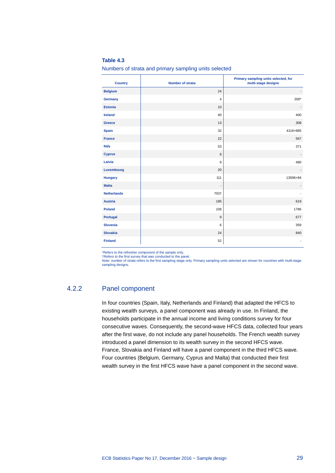Numbers of strata and primary sampling units selected

| <b>Country</b>     | <b>Number of strata</b>  | Primary sampling units selected, for<br>multi-stage designs |
|--------------------|--------------------------|-------------------------------------------------------------|
| <b>Belgium</b>     | 24                       | $\overline{\phantom{a}}$                                    |
| Germany            | $\overline{4}$           | $200*$                                                      |
| <b>Estonia</b>     | 10                       | $\overline{\phantom{a}}$                                    |
| <b>Ireland</b>     | 40                       | 400                                                         |
| <b>Greece</b>      | 13                       | 308                                                         |
| <b>Spain</b>       | 32                       | 4116+985                                                    |
| <b>France</b>      | 22                       | 567                                                         |
| Italy              | 53                       | 371                                                         |
| <b>Cyprus</b>      | 8                        | $\overline{\phantom{a}}$                                    |
| Latvia             | $\overline{9}$           | 480                                                         |
| Luxembourg         | 20                       | $\overline{\phantom{a}}$                                    |
| <b>Hungary</b>     | 111                      | 13596+84                                                    |
| <b>Malta</b>       | $\overline{\phantom{a}}$ |                                                             |
| <b>Netherlands</b> | 703†                     | ÷                                                           |
| <b>Austria</b>     | 185                      | 619                                                         |
| <b>Poland</b>      | 106                      | 1786                                                        |
| Portugal           | $\boldsymbol{9}$         | 677                                                         |
| <b>Slovenia</b>    | 6                        | 359                                                         |
| <b>Slovakia</b>    | 24                       | 840                                                         |
| <b>Finland</b>     | 52                       | ٠                                                           |

\*Refers to the refresher component of the sample only.

†Refers to the first survey that was conducted to the panel. Note: number of strata refers to the first sampling stage only. Primary sampling units selected are shown for countries with multi-stage sampling designs.

## 4.2.2 Panel component

In four countries (Spain, Italy, Netherlands and Finland) that adapted the HFCS to existing wealth surveys, a panel component was already in use. In Finland, the households participate in the annual income and living conditions survey for four consecutive waves. Consequently, the second-wave HFCS data, collected four years after the first wave, do not include any panel households. The French wealth survey introduced a panel dimension to its wealth survey in the second HFCS wave. France, Slovakia and Finland will have a panel component in the third HFCS wave. Four countries (Belgium, Germany, Cyprus and Malta) that conducted their first wealth survey in the first HFCS wave have a panel component in the second wave.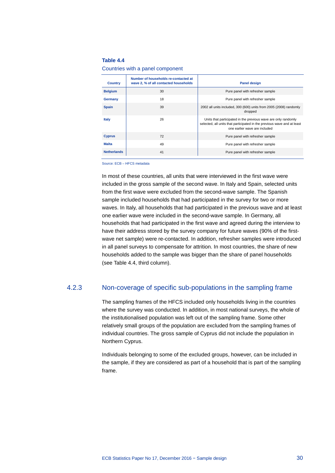Countries with a panel component

| <b>Country</b>     | Number of households re-contacted at<br>wave 2, % of all contacted households | <b>Panel design</b>                                                                                                                                                        |
|--------------------|-------------------------------------------------------------------------------|----------------------------------------------------------------------------------------------------------------------------------------------------------------------------|
| <b>Belgium</b>     | 30                                                                            | Pure panel with refresher sample                                                                                                                                           |
| Germany            | 18                                                                            | Pure panel with refresher sample                                                                                                                                           |
| <b>Spain</b>       | 39                                                                            | 2002 all units included, 300 (600) units from 2005 (2008) randomly<br>dropped                                                                                              |
| Italy              | 26                                                                            | Units that participated in the previous wave are only randomly<br>selected, all units that participated in the previous wave and at least<br>one earlier wave are included |
| <b>Cyprus</b>      | 72                                                                            | Pure panel with refresher sample                                                                                                                                           |
| <b>Malta</b>       | 49                                                                            | Pure panel with refresher sample                                                                                                                                           |
| <b>Netherlands</b> | 41                                                                            | Pure panel with refresher sample                                                                                                                                           |

Source: ECB – HFCS metadata

In most of these countries, all units that were interviewed in the first wave were included in the gross sample of the second wave. In Italy and Spain, selected units from the first wave were excluded from the second-wave sample. The Spanish sample included households that had participated in the survey for two or more waves. In Italy, all households that had participated in the previous wave and at least one earlier wave were included in the second-wave sample. In Germany, all households that had participated in the first wave and agreed during the interview to have their address stored by the survey company for future waves (90% of the firstwave net sample) were re-contacted. In addition, refresher samples were introduced in all panel surveys to compensate for attrition. In most countries, the share of new households added to the sample was bigger than the share of panel households (see Table 4.4, third column).

### 4.2.3 Non-coverage of specific sub-populations in the sampling frame

The sampling frames of the HFCS included only households living in the countries where the survey was conducted. In addition, in most national surveys, the whole of the institutionalised population was left out of the sampling frame. Some other relatively small groups of the population are excluded from the sampling frames of individual countries. The gross sample of Cyprus did not include the population in Northern Cyprus.

Individuals belonging to some of the excluded groups, however, can be included in the sample, if they are considered as part of a household that is part of the sampling frame.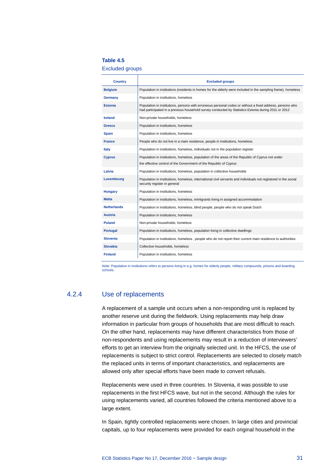Excluded groups

| <b>Country</b>     | <b>Excluded groups</b>                                                                                                                                                                                           |  |
|--------------------|------------------------------------------------------------------------------------------------------------------------------------------------------------------------------------------------------------------|--|
| <b>Belgium</b>     | Population in institutions (residents in homes for the elderly were included in the sampling frame), homeless                                                                                                    |  |
| Germany            | Population in institutions, homeless                                                                                                                                                                             |  |
| <b>Estonia</b>     | Population in institutions, persons with erroneous personal codes or without a fixed address, persons who<br>had participated in a previous household survey conducted by Statistics Estonia during 2011 or 2012 |  |
| <b>Ireland</b>     | Non-private households, homeless                                                                                                                                                                                 |  |
| Greece             | Population in institutions, homeless                                                                                                                                                                             |  |
| <b>Spain</b>       | Population in institutions, homeless                                                                                                                                                                             |  |
| <b>France</b>      | People who do not live in a main residence, people in institutions, homeless                                                                                                                                     |  |
| Italy              | Population in institutions, homeless, individuals not in the population register                                                                                                                                 |  |
| <b>Cyprus</b>      | Population in institutions, homeless, population of the areas of the Republic of Cyprus not under<br>the effective control of the Government of the Republic of Cyprus                                           |  |
| Latvia             | Population in institutions, homeless, population in collective households                                                                                                                                        |  |
| Luxembourg         | Population in institutions, homeless, international civil servants and individuals not registered in the social<br>security register in general                                                                  |  |
| <b>Hungary</b>     | Population in institutions, homeless                                                                                                                                                                             |  |
| <b>Malta</b>       | Population in institutions, homeless, immigrants living in assigned accommodation                                                                                                                                |  |
| <b>Netherlands</b> | Population in institutions, homeless, blind people, people who do not speak Dutch                                                                                                                                |  |
| Austria            | Population in institutions, homeless                                                                                                                                                                             |  |
| <b>Poland</b>      | Non-private households, homeless                                                                                                                                                                                 |  |
| Portugal           | Population in institutions, homeless, population living in collective dwellings                                                                                                                                  |  |
| <b>Slovenia</b>    | Population in institutions, homeless, people who do not report their current main residence to authorities                                                                                                       |  |
| <b>Slovakia</b>    | Collective households, homeless                                                                                                                                                                                  |  |
| <b>Finland</b>     | Population in institutions, homeless                                                                                                                                                                             |  |

Note: Population in institutions refers to persons living in e.g. homes for elderly people, military compounds, prisons and boarding school

## 4.2.4 Use of replacements

A replacement of a sample unit occurs when a non-responding unit is replaced by another reserve unit during the fieldwork. Using replacements may help draw information in particular from groups of households that are most difficult to reach. On the other hand, replacements may have different characteristics from those of non-respondents and using replacements may result in a reduction of interviewers' efforts to get an interview from the originally selected unit. In the HFCS, the use of replacements is subject to strict control. Replacements are selected to closely match the replaced units in terms of important characteristics, and replacements are allowed only after special efforts have been made to convert refusals.

Replacements were used in three countries. In Slovenia, it was possible to use replacements in the first HFCS wave, but not in the second. Although the rules for using replacements varied, all countries followed the criteria mentioned above to a large extent.

In Spain, tightly controlled replacements were chosen. In large cities and provincial capitals, up to four replacements were provided for each original household in the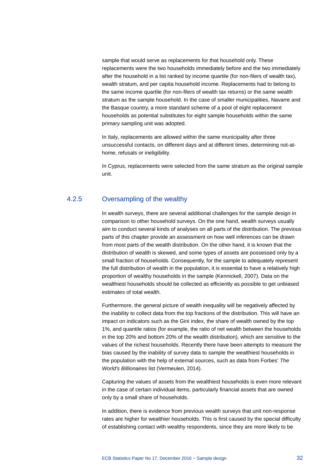sample that would serve as replacements for that household only. These replacements were the two households immediately before and the two immediately after the household in a list ranked by income quartile (for non-filers of wealth tax), wealth stratum, and per capita household income. Replacements had to belong to the same income quartile (for non-filers of wealth tax returns) or the same wealth stratum as the sample household. In the case of smaller municipalities, Navarre and the Basque country, a more standard scheme of a pool of eight replacement households as potential substitutes for eight sample households within the same primary sampling unit was adopted.

In Italy, replacements are allowed within the same municipality after three unsuccessful contacts, on different days and at different times, determining not-athome, refusals or ineligibility.

In Cyprus, replacements were selected from the same stratum as the original sample unit.

# 4.2.5 Oversampling of the wealthy

In wealth surveys, there are several additional challenges for the sample design in comparison to other household surveys. On the one hand, wealth surveys usually aim to conduct several kinds of analyses on all parts of the distribution. The previous parts of this chapter provide an assessment on how well inferences can be drawn from most parts of the wealth distribution. On the other hand, it is known that the distribution of wealth is skewed, and some types of assets are possessed only by a small fraction of households. Consequently, for the sample to adequately represent the full distribution of wealth in the population, it is essential to have a relatively high proportion of wealthy households in the sample (Kennickell, 2007). Data on the wealthiest households should be collected as efficiently as possible to get unbiased estimates of total wealth.

Furthermore, the general picture of wealth inequality will be negatively affected by the inability to collect data from the top fractions of the distribution. This will have an impact on indicators such as the Gini index, the share of wealth owned by the top 1%, and quantile ratios (for example, the ratio of net wealth between the households in the top 20% and bottom 20% of the wealth distribution), which are sensitive to the values of the richest households. Recently there have been attempts to measure the bias caused by the inability of survey data to sample the wealthiest households in the population with the help of external sources, such as data from Forbes' *The World's Billionaires* list (Vermeulen, 2014).

Capturing the values of assets from the wealthiest households is even more relevant in the case of certain individual items, particularly financial assets that are owned only by a small share of households.

In addition, there is evidence from previous wealth surveys that unit non-response rates are higher for wealthier households. This is first caused by the special difficulty of establishing contact with wealthy respondents, since they are more likely to be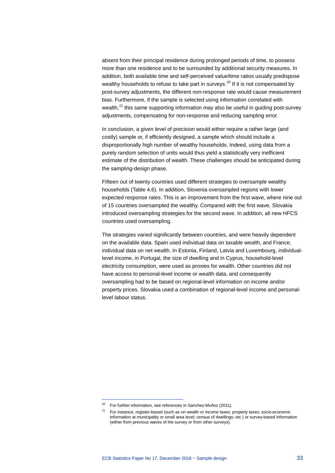absent from their principal residence during prolonged periods of time, to possess more than one residence and to be surrounded by additional security measures. In addition, both available time and self-perceived value/time ratios usually predispose wealthy households to refuse to take part in surveys.<sup>[20](#page-34-0)</sup> If it is not compensated by post-survey adjustments, the different non-response rate would cause measurement bias. Furthermore, if the sample is selected using information correlated with wealth, $^{21}$  $^{21}$  $^{21}$  this same supporting information may also be useful in guiding post-survey adjustments, compensating for non-response and reducing sampling error.

In conclusion, a given level of precision would either require a rather large (and costly) sample or, if efficiently designed, a sample which should include a disproportionally high number of wealthy households. Indeed, using data from a purely random selection of units would thus yield a statistically very inefficient estimate of the distribution of wealth. These challenges should be anticipated during the sampling-design phase.

Fifteen out of twenty countries used different strategies to oversample wealthy households (Table 4.6). In addition, Slovenia oversampled regions with lower expected response rates. This is an improvement from the first wave, where nine out of 15 countries oversampled the wealthy. Compared with the first wave, Slovakia introduced oversampling strategies for the second wave. In addition, all new HFCS countries used oversampling.

The strategies varied significantly between countries, and were heavily dependent on the available data. Spain used individual data on taxable wealth, and France, individual data on net wealth. In Estonia, Finland, Latvia and Luxembourg, individuallevel income, in Portugal, the size of dwelling and in Cyprus, household-level electricity consumption, were used as proxies for wealth. Other countries did not have access to personal-level income or wealth data, and consequently oversampling had to be based on regional-level information on income and/or property prices. Slovakia used a combination of regional-level income and personallevel labour status.

 $20$  For further information, see references in Sanchez-Muñoz (2011).

<span id="page-34-1"></span><span id="page-34-0"></span> $21$  For instance, register-based (such as on wealth or income taxes; property taxes; socio-economic information at municipality or small area level; census of dwellings; etc.) or survey-based information (either from previous waves of the survey or from other surveys).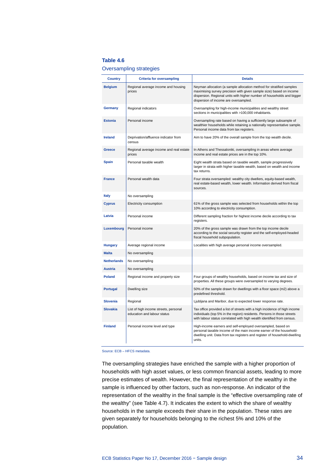#### Oversampling strategies

| <b>Country</b>     | <b>Criteria for oversampling</b>                                     | <b>Details</b>                                                                                                                                                                                                                                                 |
|--------------------|----------------------------------------------------------------------|----------------------------------------------------------------------------------------------------------------------------------------------------------------------------------------------------------------------------------------------------------------|
| <b>Belgium</b>     | Regional average income and housing<br>prices                        | Neyman allocation (a sample allocation method for stratified samples<br>maximising survey precision with given sample size) based on income<br>dispersion. Regional units with higher number of households and bigger<br>dispersion of income are oversampled. |
| <b>Germany</b>     | Regional indicators                                                  | Oversampling for high-income municipalities and wealthy street<br>sections in municipalities with >100,000 inhabitants.                                                                                                                                        |
| <b>Estonia</b>     | Personal income                                                      | Oversampling rate based on having a sufficiently large subsample of<br>wealthier households while retaining a nationally representative sample.<br>Personal income data from tax registers.                                                                    |
| <b>Ireland</b>     | Deprivation/affluence indicator from<br>census                       | Aim to have 20% of the overall sample from the top wealth decile.                                                                                                                                                                                              |
| <b>Greece</b>      | Regional average income and real estate<br>prices                    | In Athens and Thessaloniki, oversampling in areas where average<br>income and real estate prices are in the top 10%.                                                                                                                                           |
| <b>Spain</b>       | Personal taxable wealth                                              | Eight wealth strata based on taxable wealth, sample progressively<br>larger in strata with higher taxable wealth, based on wealth and income<br>tax returns.                                                                                                   |
| <b>France</b>      | Personal wealth data                                                 | Four strata oversampled: wealthy city dwellers, equity-based wealth,<br>real estate-based wealth, lower wealth. Information derived from fiscal<br>sources.                                                                                                    |
| <b>Italy</b>       | No oversampling                                                      |                                                                                                                                                                                                                                                                |
| <b>Cyprus</b>      | Electricity consumption                                              | 61% of the gross sample was selected from households within the top<br>10% according to electricity consumption.                                                                                                                                               |
| Latvia             | Personal income                                                      | Different sampling fraction for highest income decile according to tax<br>registers.                                                                                                                                                                           |
| Luxembourg         | Personal income                                                      | 20% of the gross sample was drawn from the top income decile<br>according to the social security register and the self-employed-headed<br>fiscal household subpopulation.                                                                                      |
| <b>Hungary</b>     | Average regional income                                              | Localities with high average personal income oversampled.                                                                                                                                                                                                      |
| <b>Malta</b>       | No oversampling                                                      |                                                                                                                                                                                                                                                                |
| <b>Netherlands</b> | No oversampling                                                      |                                                                                                                                                                                                                                                                |
| <b>Austria</b>     | No oversampling                                                      |                                                                                                                                                                                                                                                                |
| <b>Poland</b>      | Regional income and property size                                    | Four groups of wealthy households, based on income tax and size of<br>properties. All these groups were oversampled to varying degrees.                                                                                                                        |
| <b>Portugal</b>    | Dwelling size                                                        | 50% of the sample drawn for dwellings with a floor space (m2) above a<br>predefined threshold.                                                                                                                                                                 |
| <b>Slovenia</b>    | Regional                                                             | Ljubljana and Maribor, due to expected lower response rate.                                                                                                                                                                                                    |
| <b>Slovakia</b>    | List of high income streets, personal<br>education and labour status | Tax office provided a list of streets with a high incidence of high income<br>individuals (top 5% in the region) residents. Persons in those streets<br>with labour status correlated with high wealth identified from census.                                 |
| <b>Finland</b>     | Personal income level and type                                       | High-income earners and self-employed oversampled, based on<br>personal taxable income of the main income earner of the household-<br>dwelling unit. Data from tax registers and register of household-dwelling<br>units.                                      |

Source: ECB – HFCS metadata.

The oversampling strategies have enriched the sample with a higher proportion of households with high asset values, or less common financial assets, leading to more precise estimates of wealth. However, the final representation of the wealthy in the sample is influenced by other factors, such as non-response. An indicator of the representation of the wealthy in the final sample is the "effective oversampling rate of the wealthy" (see Table 4.7). It indicates the extent to which the share of wealthy households in the sample exceeds their share in the population. These rates are given separately for households belonging to the richest 5% and 10% of the population.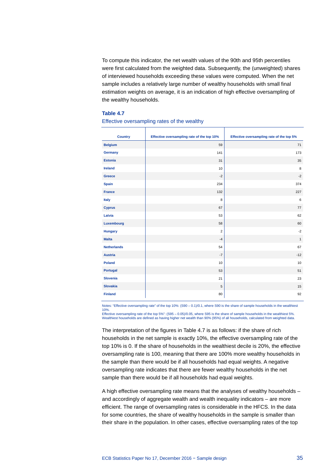To compute this indicator, the net wealth values of the 90th and 95th percentiles were first calculated from the weighted data. Subsequently, the (unweighted) shares of interviewed households exceeding these values were computed. When the net sample includes a relatively large number of wealthy households with small final estimation weights on average, it is an indication of high effective oversampling of the wealthy households.

#### **Table 4.7**

#### Effective oversampling rates of the wealthy

| <b>Country</b>     | Effective oversampling rate of the top 10% | Effective oversampling rate of the top 5% |
|--------------------|--------------------------------------------|-------------------------------------------|
| <b>Belgium</b>     | 59                                         | 71                                        |
| Germany            | 141                                        | 173                                       |
| <b>Estonia</b>     | 31                                         | 35                                        |
| <b>Ireland</b>     | 10                                         | 8                                         |
| Greece             | $-2$                                       | $-2$                                      |
| <b>Spain</b>       | 234                                        | 374                                       |
| <b>France</b>      | 132                                        | 227                                       |
| <b>Italy</b>       | 8                                          | 6                                         |
| <b>Cyprus</b>      | 67                                         | 77                                        |
| Latvia             | 53                                         | 62                                        |
| Luxembourg         | 58                                         | 60                                        |
| <b>Hungary</b>     | $\overline{2}$                             | $-2$                                      |
| <b>Malta</b>       | $-4$                                       | $\mathbf{1}$                              |
| <b>Netherlands</b> | 54                                         | 67                                        |
| <b>Austria</b>     | $-7$                                       | $-12$                                     |
| <b>Poland</b>      | 10                                         | 10                                        |
| <b>Portugal</b>    | 53                                         | 51                                        |
| <b>Slovenia</b>    | 21                                         | 23                                        |
| <b>Slovakia</b>    | 5                                          | 15                                        |
| <b>Finland</b>     | 80                                         | 92                                        |

Notes: "Effective oversampling rate" of the top 10%: (S90 – 0.1)/0.1, where S90 is the share of sample households in the wealthiest 10%. Effective oversampling rate of the top 5%": (S95 – 0.05)/0.05, where S95 is the share of sample households in the wealthiest 5%. Wealthiest households are defined as having higher net wealth than 90% (95%) of all households, calculated from weighted data.

The interpretation of the figures in Table 4.7 is as follows: if the share of rich households in the net sample is exactly 10%, the effective oversampling rate of the top 10% is 0. If the share of households in the wealthiest decile is 20%, the effective oversampling rate is 100, meaning that there are 100% more wealthy households in the sample than there would be if all households had equal weights. A negative oversampling rate indicates that there are fewer wealthy households in the net sample than there would be if all households had equal weights.

A high effective oversampling rate means that the analyses of wealthy households – and accordingly of aggregate wealth and wealth inequality indicators – are more efficient. The range of oversampling rates is considerable in the HFCS. In the data for some countries, the share of wealthy households in the sample is smaller than their share in the population. In other cases, effective oversampling rates of the top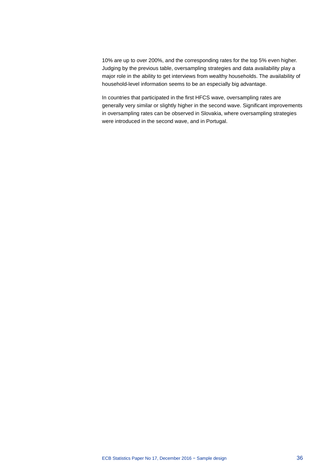10% are up to over 200%, and the corresponding rates for the top 5% even higher. Judging by the previous table, oversampling strategies and data availability play a major role in the ability to get interviews from wealthy households. The availability of household-level information seems to be an especially big advantage.

In countries that participated in the first HFCS wave, oversampling rates are generally very similar or slightly higher in the second wave. Significant improvements in oversampling rates can be observed in Slovakia, where oversampling strategies were introduced in the second wave, and in Portugal.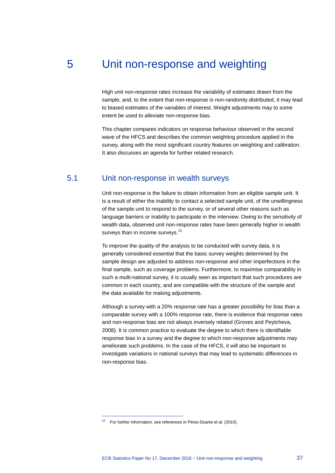# 5 Unit non-response and weighting

High unit non-response rates increase the variability of estimates drawn from the sample, and, to the extent that non-response is non-randomly distributed, it may lead to biased estimates of the variables of interest. Weight adjustments may to some extent be used to alleviate non-response bias.

This chapter compares indicators on response behaviour observed in the second wave of the HFCS and describes the common weighting procedure applied in the survey, along with the most significant country features on weighting and calibration. It also discusses an agenda for further related research.

# 5.1 Unit non-response in wealth surveys

Unit non-response is the failure to obtain information from an eligible sample unit. It is a result of either the inability to contact a selected sample unit, of the unwillingness of the sample unit to respond to the survey, or of several other reasons such as language barriers or inability to participate in the interview. Owing to the sensitivity of wealth data, observed unit non-response rates have been generally higher in wealth surveys than in income surveys.<sup>[22](#page-38-0)</sup>

To improve the quality of the analysis to be conducted with survey data, it is generally considered essential that the basic survey weights determined by the sample design are adjusted to address non-response and other imperfections in the final sample, such as coverage problems. Furthermore, to maximise comparability in such a multi-national survey, it is usually seen as important that such procedures are common in each country, and are compatible with the structure of the sample and the data available for making adjustments.

Although a survey with a 20% response rate has a greater possibility for bias than a comparable survey with a 100% response rate, there is evidence that response rates and non-response bias are not always inversely related (Groves and Peytcheva, 2008). It is common practice to evaluate the degree to which there is identifiable response bias in a survey and the degree to which non-response adjustments may ameliorate such problems. In the case of the HFCS, it will also be important to investigate variations in national surveys that may lead to systematic differences in non-response bias.

<span id="page-38-0"></span> $22$  For further information, see references in Pérez-Duarte et al. (2010).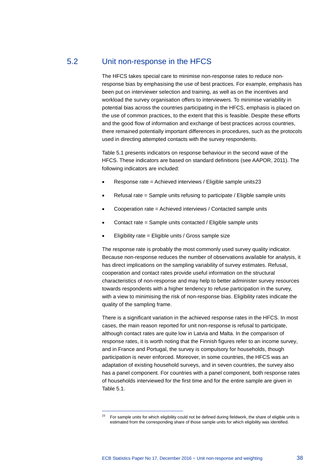# 5.2 Unit non-response in the HFCS

The HFCS takes special care to minimise non-response rates to reduce nonresponse bias by emphasising the use of best practices. For example, emphasis has been put on interviewer selection and training, as well as on the incentives and workload the survey organisation offers to interviewers. To minimise variability in potential bias across the countries participating in the HFCS, emphasis is placed on the use of common practices, to the extent that this is feasible. Despite these efforts and the good flow of information and exchange of best practices across countries, there remained potentially important differences in procedures, such as the protocols used in directing attempted contacts with the survey respondents.

Table 5.1 presents indicators on response behaviour in the second wave of the HFCS. These indicators are based on standard definitions (see AAPOR, 2011). The following indicators are included:

- Response rate = Achieved interviews / Eligible sample units[23](#page-39-0)
- Refusal rate = Sample units refusing to participate / Eligible sample units
- Cooperation rate = Achieved interviews / Contacted sample units
- Contact rate = Sample units contacted / Eligible sample units
- Eligibility rate = Eligible units / Gross sample size

The response rate is probably the most commonly used survey quality indicator. Because non-response reduces the number of observations available for analysis, it has direct implications on the sampling variability of survey estimates. Refusal, cooperation and contact rates provide useful information on the structural characteristics of non-response and may help to better administer survey resources towards respondents with a higher tendency to refuse participation in the survey, with a view to minimising the risk of non-response bias. Eligibility rates indicate the quality of the sampling frame.

There is a significant variation in the achieved response rates in the HFCS. In most cases, the main reason reported for unit non-response is refusal to participate, although contact rates are quite low in Latvia and Malta. In the comparison of response rates, it is worth noting that the Finnish figures refer to an income survey, and in France and Portugal, the survey is compulsory for households, though participation is never enforced. Moreover, in some countries, the HFCS was an adaptation of existing household surveys, and in seven countries, the survey also has a panel component. For countries with a panel component, both response rates of households interviewed for the first time and for the entire sample are given in Table 5.1.

<span id="page-39-0"></span><sup>23</sup> For sample units for which eligibility could not be defined during fieldwork, the share of eligible units is estimated from the corresponding share of those sample units for which eligibility was identified.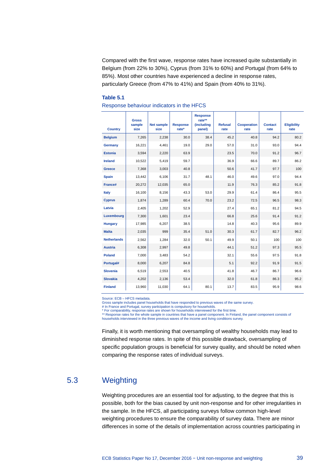Compared with the first wave, response rates have increased quite substantially in Belgium (from 22% to 30%), Cyprus (from 31% to 60%) and Portugal (from 64% to 85%). Most other countries have experienced a decline in response rates, particularly Greece (from 47% to 41%) and Spain (from 40% to 31%).

#### **Table 5.1**

| <b>Country</b>     | <b>Gross</b><br>sample<br>size | <b>Net sample</b><br>size | <b>Response</b><br>rate* | <b>Response</b><br>rate**<br><i><b>(including</b></i><br>panel) | <b>Refusal</b><br>rate | <b>Cooperation</b><br>rate | <b>Contact</b><br>rate | <b>Eligibility</b><br>rate |
|--------------------|--------------------------------|---------------------------|--------------------------|-----------------------------------------------------------------|------------------------|----------------------------|------------------------|----------------------------|
| <b>Belgium</b>     | 7,265                          | 2.238                     | 30.0                     | 38.4                                                            | 45.2                   | 40.8                       | 94.2                   | 80.2                       |
| Germany            | 16,221                         | 4,461                     | 19.0                     | 29.0                                                            | 57.0                   | 31.0                       | 93.0                   | 94.4                       |
| <b>Estonia</b>     | 3,594                          | 2,220                     | 63.9                     |                                                                 | 23.5                   | 70.0                       | 91.2                   | 96.7                       |
| <b>Ireland</b>     | 10,522                         | 5.419                     | 59.7                     |                                                                 | 36.9                   | 66.6                       | 89.7                   | 86.2                       |
| <b>Greece</b>      | 7,368                          | 3,003                     | 40.8                     |                                                                 | 50.6                   | 41.7                       | 97.7                   | 100                        |
| <b>Spain</b>       | 13,442                         | 6,106                     | 31.7                     | 48.1                                                            | 46.0                   | 49.6                       | 97.0                   | 94.4                       |
| France#            | 20,272                         | 12,035                    | 65.0                     |                                                                 | 11.9                   | 76.3                       | 85.2                   | 91.8                       |
| Italy              | 16,100                         | 8,156                     | 43.3                     | 53.0                                                            | 29.9                   | 61.4                       | 86.4                   | 95.5                       |
| <b>Cyprus</b>      | 1,874                          | 1,289                     | 60.4                     | 70.0                                                            | 23.2                   | 72.5                       | 96.5                   | 98.3                       |
| Latvia             | 2,405                          | 1,202                     | 52.9                     |                                                                 | 27.4                   | 65.1                       | 81.2                   | 94.5                       |
| Luxembourg         | 7,300                          | 1,601                     | 23.4                     |                                                                 | 66.8                   | 25.6                       | 91.4                   | 91.2                       |
| <b>Hungary</b>     | 17,985                         | 6,207                     | 38.5                     |                                                                 | 14.8                   | 40.3                       | 95.6                   | 89.9                       |
| <b>Malta</b>       | 2,035                          | 999                       | 35.4                     | 51.0                                                            | 30.3                   | 61.7                       | 82.7                   | 96.2                       |
| <b>Netherlands</b> | 2,562                          | 1,284                     | 32.0                     | 50.1                                                            | 49.9                   | 50.1                       | 100                    | 100                        |
| <b>Austria</b>     | 6,308                          | 2,997                     | 49.8                     |                                                                 | 44.1                   | 51.2                       | 97.3                   | 95.5                       |
| <b>Poland</b>      | 7,000                          | 3,483                     | 54.2                     |                                                                 | 32.1                   | 55.6                       | 97.5                   | 91.8                       |
| Portugal#          | 8,000                          | 6,207                     | 84.8                     |                                                                 | 5.1                    | 92.2                       | 91.9                   | 91.5                       |
| <b>Slovenia</b>    | 6,519                          | 2,553                     | 40.5                     |                                                                 | 41.8                   | 46.7                       | 86.7                   | 96.6                       |
| <b>Slovakia</b>    | 4,202                          | 2,136                     | 53.4                     |                                                                 | 32.0                   | 61.8                       | 86.3                   | 95.2                       |
| <b>Finland</b>     | 13,960                         | 11,030                    | 64.1                     | 80.1                                                            | 13.7                   | 83.5                       | 95.9                   | 98.6                       |

#### Response behaviour indicators in the HFCS

Source: ECB – HFCS metadata.

Gross sample includes panel households that have responded to previous waves of the same survey.

# In France and Portugal, survey participation is compulsory for households. \* For comparability, response rates are shown for households interviewed for the first time.

\*\* Response rates for the whole sample in countries that have a panel component. In Finland, the panel component consists of households interviewed in the three previous waves of the income and living conditions survey.

Finally, it is worth mentioning that oversampling of wealthy households may lead to diminished response rates. In spite of this possible drawback, oversampling of specific population groups is beneficial for survey quality, and should be noted when comparing the response rates of individual surveys.

# 5.3 Weighting

<span id="page-40-0"></span>Weighting procedures are an essential tool for adjusting, to the degree that this is possible, both for the bias caused by unit non-response and for other irregularities in the sample. In the HFCS, all participating surveys follow common high-level weighting procedures to ensure the comparability of survey data. There are minor differences in some of the details of implementation across countries participating in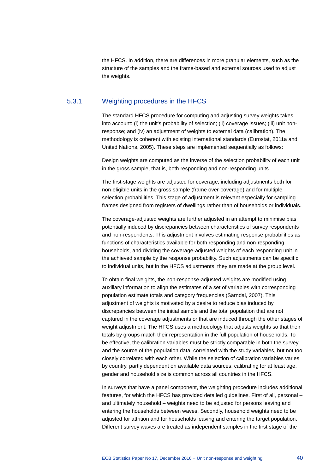the HFCS. In addition, there are differences in more granular elements, such as the structure of the samples and the frame-based and external sources used to adjust the weights.

## 5.3.1 Weighting procedures in the HFCS

The standard HFCS procedure for computing and adjusting survey weights takes into account: (i) the unit's probability of selection; (ii) coverage issues; (iii) unit nonresponse; and (iv) an adjustment of weights to external data (calibration). The methodology is coherent with existing international standards (Eurostat, 2011a and United Nations, 2005). These steps are implemented sequentially as follows:

Design weights are computed as the inverse of the selection probability of each unit in the gross sample, that is, both responding and non-responding units.

The first-stage weights are adjusted for coverage, including adjustments both for non-eligible units in the gross sample (frame over-coverage) and for multiple selection probabilities. This stage of adjustment is relevant especially for sampling frames designed from registers of dwellings rather than of households or individuals.

The coverage-adjusted weights are further adjusted in an attempt to minimise bias potentially induced by discrepancies between characteristics of survey respondents and non-respondents. This adjustment involves estimating response probabilities as functions of characteristics available for both responding and non-responding households, and dividing the coverage-adjusted weights of each responding unit in the achieved sample by the response probability. Such adjustments can be specific to individual units, but in the HFCS adjustments, they are made at the group level.

To obtain final weights, the non-response-adjusted weights are modified using auxiliary information to align the estimates of a set of variables with corresponding population estimate totals and category frequencies (Särndal, 2007). This adjustment of weights is motivated by a desire to reduce bias induced by discrepancies between the initial sample and the total population that are not captured in the coverage adjustments or that are induced through the other stages of weight adjustment. The HFCS uses a methodology that adjusts weights so that their totals by groups match their representation in the full population of households. To be effective, the calibration variables must be strictly comparable in both the survey and the source of the population data, correlated with the study variables, but not too closely correlated with each other. While the selection of calibration variables varies by country, partly dependent on available data sources, calibrating for at least age, gender and household size is common across all countries in the HFCS.

In surveys that have a panel component, the weighting procedure includes additional features, for which the HFCS has provided detailed guidelines. First of all, personal – and ultimately household – weights need to be adjusted for persons leaving and entering the households between waves. Secondly, household weights need to be adjusted for attrition and for households leaving and entering the target population. Different survey waves are treated as independent samples in the first stage of the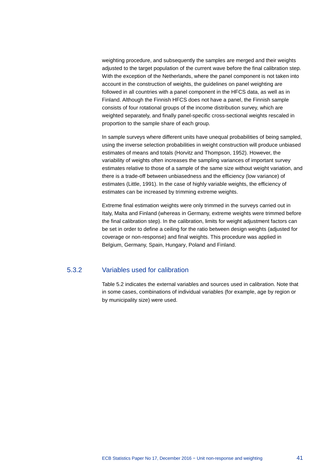weighting procedure, and subsequently the samples are merged and their weights adjusted to the target population of the current wave before the final calibration step. With the exception of the Netherlands, where the panel component is not taken into account in the construction of weights, the guidelines on panel weighting are followed in all countries with a panel component in the HFCS data, as well as in Finland. Although the Finnish HFCS does not have a panel, the Finnish sample consists of four rotational groups of the income distribution survey, which are weighted separately, and finally panel-specific cross-sectional weights rescaled in proportion to the sample share of each group.

In sample surveys where different units have unequal probabilities of being sampled, using the inverse selection probabilities in weight construction will produce unbiased estimates of means and totals (Horvitz and Thompson, 1952). However, the variability of weights often increases the sampling variances of important survey estimates relative to those of a sample of the same size without weight variation, and there is a trade-off between unbiasedness and the efficiency (low variance) of estimates (Little, 1991). In the case of highly variable weights, the efficiency of estimates can be increased by trimming extreme weights.

Extreme final estimation weights were only trimmed in the surveys carried out in Italy, Malta and Finland (whereas in Germany, extreme weights were trimmed before the final calibration step). In the calibration, limits for weight adjustment factors can be set in order to define a ceiling for the ratio between design weights (adjusted for coverage or non-response) and final weights. This procedure was applied in Belgium, Germany, Spain, Hungary, Poland and Finland.

## 5.3.2 Variables used for calibration

Table 5.2 indicates the external variables and sources used in calibration. Note that in some cases, combinations of individual variables (for example, age by region or by municipality size) were used.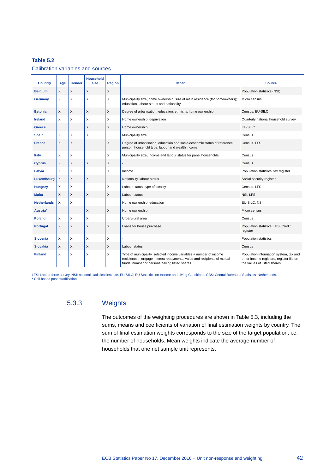### **Table 5.2**

Calibration variables and sources

| <b>Country</b>     | Age      | Gender       | <b>Household</b><br>size | <b>Region</b> | Other                                                                                                                                                                                           | <b>Source</b>                                                                                                     |
|--------------------|----------|--------------|--------------------------|---------------|-------------------------------------------------------------------------------------------------------------------------------------------------------------------------------------------------|-------------------------------------------------------------------------------------------------------------------|
| <b>Belgium</b>     | X        | $\mathsf{X}$ | X                        | X             |                                                                                                                                                                                                 | Population statistics (NSI)                                                                                       |
| <b>Germany</b>     | X        | X            | X                        | X             | Municipality size, home ownership, size of main residence (for homeowners);<br>education, labour status and nationality                                                                         | Micro census                                                                                                      |
| <b>Estonia</b>     | $\times$ | X            | X                        | X             | Degree of urbanisation, education, ethnicity, home ownership                                                                                                                                    | Census, EU-SILC                                                                                                   |
| <b>Ireland</b>     | X        | X            | X                        | X             | Home ownership, deprivation                                                                                                                                                                     | Quarterly national household survey                                                                               |
| <b>Greece</b>      |          |              | X                        | X             | Home ownership                                                                                                                                                                                  | EU-SILC                                                                                                           |
| <b>Spain</b>       | X        | X            | X                        |               | Municipality size                                                                                                                                                                               | Census                                                                                                            |
| <b>France</b>      | X        | X            |                          | X             | Degree of urbanisation, education and socio-economic status of reference<br>person, household type, labour and wealth income                                                                    | Census, LFS                                                                                                       |
| <b>Italy</b>       | X        | X            |                          | X             | Municipality size, income and labour status for panel households                                                                                                                                | Census                                                                                                            |
| <b>Cyprus</b>      | X        | X            | $\sf X$                  | X             | $\overline{\phantom{a}}$                                                                                                                                                                        | Census                                                                                                            |
| Latvia             | X        | X            |                          | X             | Income                                                                                                                                                                                          | Population statistics, tax register                                                                               |
| Luxembourg         | X        | X            | $\times$                 |               | Nationality, labour status                                                                                                                                                                      | Social security register                                                                                          |
| <b>Hungary</b>     | X        | X            |                          | X             | Labour status, type of locality                                                                                                                                                                 | Census. LFS                                                                                                       |
| <b>Malta</b>       | $\times$ | X            | $\times$                 | $\times$      | Labour status                                                                                                                                                                                   | NSI, LFS                                                                                                          |
| <b>Netherlands</b> | X        | X            |                          |               | Home ownership, education                                                                                                                                                                       | EU-SILC, NSI                                                                                                      |
| Austria*           |          |              | X                        | X             | Home ownership                                                                                                                                                                                  | Micro census                                                                                                      |
| <b>Poland</b>      | X        | X            | X                        |               | Urban/rural area                                                                                                                                                                                | Census                                                                                                            |
| <b>Portugal</b>    | X        | X            | X                        | X             | Loans for house purchase                                                                                                                                                                        | Population statistics, LFS, Credit<br>register                                                                    |
| <b>Slovenia</b>    | X        | X            | X                        | X             |                                                                                                                                                                                                 | Population statistics                                                                                             |
| <b>Slovakia</b>    | X        | X            | X                        | X             | Labour status                                                                                                                                                                                   | Census                                                                                                            |
| <b>Finland</b>     | X        | X            | X                        | X             | Type of municipality, selected income variables + number of income<br>recipients, mortgage interest repayments, value and recipients of mutual<br>funds, number of persons having listed shares | Population information system, tax and<br>other income registers, register file on<br>the values of listed shares |

LFS: Labour force survey. NSI: national statistical institute. EU-SILC: EU Statistics on Income and Living Conditions. CBS: Central Bureau of Statistics, Netherlands. \* Cell-based post-stratification

## 5.3.3 Weights

The outcomes of the weighting procedures are shown in Table 5.3, including the sums, means and coefficients of variation of final estimation weights by country. The sum of final estimation weights corresponds to the size of the target population, i.e. the number of households. Mean weights indicate the average number of households that one net sample unit represents.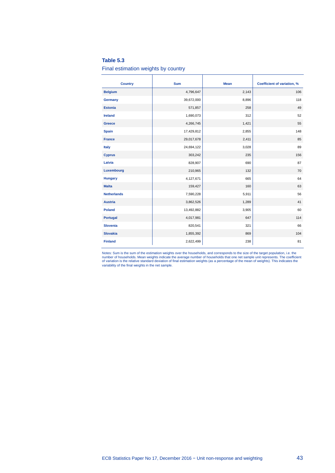#### **Table 5.3**

#### Final estimation weights by country

| <b>Country</b>     | <b>Sum</b> | <b>Mean</b> | Coefficient of variation, % |
|--------------------|------------|-------------|-----------------------------|
| <b>Belgium</b>     | 4,796,647  | 2,143       | 106                         |
| Germany            | 39,672,000 | 8,896       | 118                         |
| <b>Estonia</b>     | 571,857    | 258         | 49                          |
| <b>Ireland</b>     | 1,690,073  | 312         | 52                          |
| Greece             | 4,266,745  | 1,421       | 55                          |
| <b>Spain</b>       | 17,429,812 | 2,855       | 148                         |
| <b>France</b>      | 29,017,678 | 2,411       | 85                          |
| <b>Italy</b>       | 24,694,122 | 3,028       | 89                          |
| <b>Cyprus</b>      | 303,242    | 235         | 156                         |
| Latvia             | 828,907    | 690         | 87                          |
| Luxembourg         | 210,965    | 132         | 70                          |
| <b>Hungary</b>     | 4,127,671  | 665         | 64                          |
| <b>Malta</b>       | 159,427    | 160         | 63                          |
| <b>Netherlands</b> | 7,590,228  | 5,911       | 56                          |
| <b>Austria</b>     | 3,862,526  | 1,289       | 41                          |
| <b>Poland</b>      | 13,492,882 | 3,905       | 60                          |
| Portugal           | 4,017,981  | 647         | 114                         |
| <b>Slovenia</b>    | 820,541    | 321         | 66                          |
| <b>Slovakia</b>    | 1,855,392  | 869         | 104                         |
| <b>Finland</b>     | 2,622,499  | 238         | 81                          |

Notes: Sum is the sum of the estimation weights over the households, and corresponds to the size of the target population, i.e. the<br>number of households. Mean weights indicate the average number of households that one net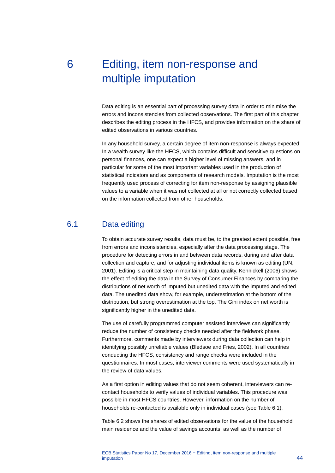# 6 Editing, item non-response and multiple imputation

Data editing is an essential part of processing survey data in order to minimise the errors and inconsistencies from collected observations. The first part of this chapter describes the editing process in the HFCS, and provides information on the share of edited observations in various countries.

In any household survey, a certain degree of item non-response is always expected. In a wealth survey like the HFCS, which contains difficult and sensitive questions on personal finances, one can expect a higher level of missing answers, and in particular for some of the most important variables used in the production of statistical indicators and as components of research models. Imputation is the most frequently used process of correcting for item non-response by assigning plausible values to a variable when it was not collected at all or not correctly collected based on the information collected from other households.

# 6.1 Data editing

To obtain accurate survey results, data must be, to the greatest extent possible, free from errors and inconsistencies, especially after the data processing stage. The procedure for detecting errors in and between data records, during and after data collection and capture, and for adjusting individual items is known as editing (UN, 2001). Editing is a critical step in maintaining data quality. Kennickell (2006) shows the effect of editing the data in the Survey of Consumer Finances by comparing the distributions of net worth of imputed but unedited data with the imputed and edited data. The unedited data show, for example, underestimation at the bottom of the distribution, but strong overestimation at the top. The Gini index on net worth is significantly higher in the unedited data.

The use of carefully programmed computer assisted interviews can significantly reduce the number of consistency checks needed after the fieldwork phase. Furthermore, comments made by interviewers during data collection can help in identifying possibly unreliable values (Bledsoe and Fries, 2002). In all countries conducting the HFCS, consistency and range checks were included in the questionnaires. In most cases, interviewer comments were used systematically in the review of data values.

As a first option in editing values that do not seem coherent, interviewers can recontact households to verify values of individual variables. This procedure was possible in most HFCS countries. However, information on the number of households re-contacted is available only in individual cases (see Table 6.1).

Table 6.2 shows the shares of edited observations for the value of the household main residence and the value of savings accounts, as well as the number of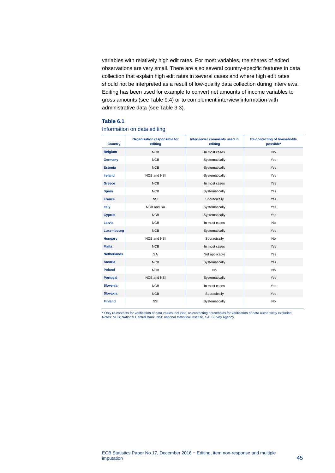variables with relatively high edit rates. For most variables, the shares of edited observations are very small. There are also several country-specific features in data collection that explain high edit rates in several cases and where high edit rates should not be interpreted as a result of low-quality data collection during interviews. Editing has been used for example to convert net amounts of income variables to gross amounts (see Table 9.4) or to complement interview information with administrative data (see Table 3.3).

#### **Table 6.1**

#### Information on data editing

| <b>Country</b>     | <b>Organisation responsible for</b><br>editing | Interviewer comments used in<br>editing | <b>Re-contacting of households</b><br>possible* |
|--------------------|------------------------------------------------|-----------------------------------------|-------------------------------------------------|
| <b>Belgium</b>     | <b>NCB</b>                                     | In most cases                           | <b>No</b>                                       |
| Germany            | <b>NCB</b>                                     | Systematically                          | Yes                                             |
| <b>Estonia</b>     | <b>NCB</b>                                     | Systematically                          | Yes                                             |
| <b>Ireland</b>     | NCB and NSI                                    | Systematically                          | Yes                                             |
| <b>Greece</b>      | <b>NCB</b>                                     | In most cases                           | Yes                                             |
| <b>Spain</b>       | <b>NCB</b>                                     | Systematically                          | Yes                                             |
| <b>France</b>      | <b>NSI</b>                                     | Sporadically                            | Yes                                             |
| <b>Italy</b>       | NCB and SA                                     | Systematically                          | Yes                                             |
| <b>Cyprus</b>      | <b>NCB</b>                                     | Systematically                          | Yes                                             |
| Latvia             | <b>NCB</b>                                     | In most cases                           | <b>No</b>                                       |
| Luxembourg         | <b>NCB</b>                                     | Systematically                          | Yes                                             |
| <b>Hungary</b>     | NCB and NSI                                    | Sporadically                            | <b>No</b>                                       |
| <b>Malta</b>       | <b>NCB</b>                                     | In most cases                           | Yes                                             |
| <b>Netherlands</b> | <b>SA</b>                                      | Not applicable                          | Yes                                             |
| <b>Austria</b>     | <b>NCB</b>                                     | Systematically                          | Yes                                             |
| <b>Poland</b>      | <b>NCB</b>                                     | <b>No</b>                               | <b>No</b>                                       |
| Portugal           | NCB and NSI                                    | Systematically                          | Yes                                             |
| <b>Slovenia</b>    | <b>NCB</b>                                     | In most cases                           | Yes                                             |
| <b>Slovakia</b>    | <b>NCB</b>                                     | Sporadically                            | Yes                                             |
| <b>Finland</b>     | <b>NSI</b>                                     | Systematically                          | No                                              |

\* Only re-contacts for verification of data values included, re-contacting households for verification of data authenticity excluded.<br>Notes: NCB; National Central Bank, NSI: national statistical institute, SA: Survey Agenc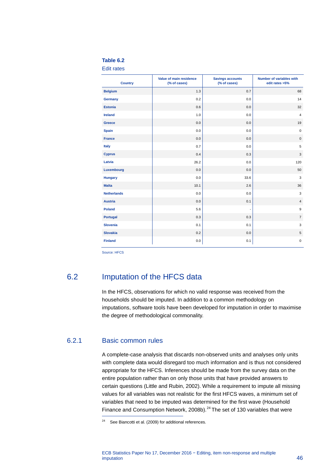#### **Table 6.2**

Edit rates

| <b>Country</b>     | Value of main residence<br>(% of cases) | <b>Savings accounts</b><br>(% of cases) | <b>Number of variables with</b><br>edit rates >5% |
|--------------------|-----------------------------------------|-----------------------------------------|---------------------------------------------------|
| <b>Belgium</b>     | 1.3                                     | 0.7                                     | 68                                                |
| Germany            | 0.2                                     | 0.0                                     | 14                                                |
| <b>Estonia</b>     | 0.6                                     | 0.0                                     | 32                                                |
| <b>Ireland</b>     | 1.0                                     | 0.0                                     | $\overline{4}$                                    |
| Greece             | 0.0                                     | 0.0                                     | 19                                                |
| <b>Spain</b>       | 0.0                                     | 0.0                                     | $\mathbf 0$                                       |
| <b>France</b>      | 0.0                                     | 0.0                                     | $\mathbf 0$                                       |
| Italy              | 0.7                                     | 0.0                                     | 5                                                 |
| <b>Cyprus</b>      | 0.4                                     | 0.3                                     | 3                                                 |
| Latvia             | 26.2                                    | 0.0                                     | 120                                               |
| Luxembourg         | 0.0                                     | 0.0                                     | 50                                                |
| <b>Hungary</b>     | 0.0                                     | 33.6                                    | 3                                                 |
| <b>Malta</b>       | 10.1                                    | 2.6                                     | 36                                                |
| <b>Netherlands</b> | 0.0                                     | 0.0                                     | 3                                                 |
| <b>Austria</b>     | 0.0                                     | 0.1                                     | $\overline{4}$                                    |
| <b>Poland</b>      | 5.6                                     | ÷                                       | $\boldsymbol{9}$                                  |
| <b>Portugal</b>    | 0.3                                     | 0.3                                     | $\overline{7}$                                    |
| <b>Slovenia</b>    | 0.1                                     | 0.1                                     | $\mathbf{3}$                                      |
| <b>Slovakia</b>    | 0.2                                     | 0.0                                     | $\sqrt{5}$                                        |
| <b>Finland</b>     | 0.0                                     | 0.1                                     | $\mathbf 0$                                       |

Source: HFCS

# 6.2 Imputation of the HFCS data

In the HFCS, observations for which no valid response was received from the households should be imputed. In addition to a common methodology on imputations, software tools have been developed for imputation in order to maximise the degree of methodological commonality.

## 6.2.1 Basic common rules

-

A complete-case analysis that discards non-observed units and analyses only units with complete data would disregard too much information and is thus not considered appropriate for the HFCS. Inferences should be made from the survey data on the entire population rather than on only those units that have provided answers to certain questions (Little and Rubin, 2002). While a requirement to impute all missing values for all variables was not realistic for the first HFCS waves, a minimum set of variables that need to be imputed was determined for the first wave (Household Finance and Consumption Network, 2008b).<sup>[24](#page-47-0)</sup> The set of 130 variables that were

<span id="page-47-0"></span> $24$  See Biancotti et al. (2009) for additional references.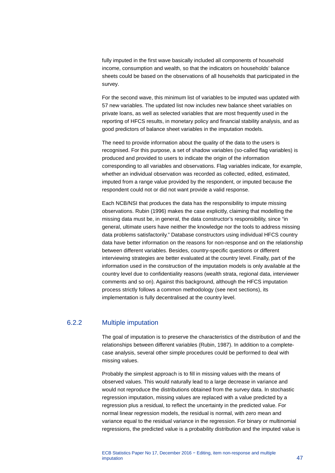fully imputed in the first wave basically included all components of household income, consumption and wealth, so that the indicators on households' balance sheets could be based on the observations of all households that participated in the survey.

For the second wave, this minimum list of variables to be imputed was updated with 57 new variables. The updated list now includes new balance sheet variables on private loans, as well as selected variables that are most frequently used in the reporting of HFCS results, in monetary policy and financial stability analysis, and as good predictors of balance sheet variables in the imputation models.

The need to provide information about the quality of the data to the users is recognised. For this purpose, a set of shadow variables (so-called flag variables) is produced and provided to users to indicate the origin of the information corresponding to all variables and observations. Flag variables indicate, for example, whether an individual observation was recorded as collected, edited, estimated, imputed from a range value provided by the respondent, or imputed because the respondent could not or did not want provide a valid response.

Each NCB/NSI that produces the data has the responsibility to impute missing observations. Rubin (1996) makes the case explicitly, claiming that modelling the missing data must be, in general, the data constructor's responsibility, since "in general, ultimate users have neither the knowledge nor the tools to address missing data problems satisfactorily." Database constructors using individual HFCS country data have better information on the reasons for non-response and on the relationship between different variables. Besides, country-specific questions or different interviewing strategies are better evaluated at the country level. Finally, part of the information used in the construction of the imputation models is only available at the country level due to confidentiality reasons (wealth strata, regional data, interviewer comments and so on). Against this background, although the HFCS imputation process strictly follows a common methodology (see next sections), its implementation is fully decentralised at the country level.

## 6.2.2 Multiple imputation

The goal of imputation is to preserve the characteristics of the distribution of and the relationships between different variables (Rubin, 1987). In addition to a completecase analysis, several other simple procedures could be performed to deal with missing values.

Probably the simplest approach is to fill in missing values with the means of observed values. This would naturally lead to a large decrease in variance and would not reproduce the distributions obtained from the survey data. In stochastic regression imputation, missing values are replaced with a value predicted by a regression plus a residual, to reflect the uncertainty in the predicted value. For normal linear regression models, the residual is normal, with zero mean and variance equal to the residual variance in the regression. For binary or multinomial regressions, the predicted value is a probability distribution and the imputed value is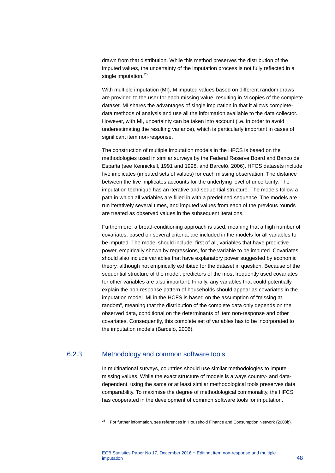drawn from that distribution. While this method preserves the distribution of the imputed values, the uncertainty of the imputation process is not fully reflected in a single imputation.<sup>[25](#page-49-0)</sup>

With multiple imputation (MI), M imputed values based on different random draws are provided to the user for each missing value, resulting in M copies of the complete dataset. MI shares the advantages of single imputation in that it allows completedata methods of analysis and use all the information available to the data collector. However, with MI, uncertainty can be taken into account (i.e. in order to avoid underestimating the resulting variance), which is particularly important in cases of significant item non-response.

The construction of multiple imputation models in the HFCS is based on the methodologies used in similar surveys by the Federal Reserve Board and Banco de España (see Kennickell, 1991 and 1998, and Barceló, 2006). HFCS datasets include five implicates (imputed sets of values) for each missing observation. The distance between the five implicates accounts for the underlying level of uncertainty. The imputation technique has an iterative and sequential structure. The models follow a path in which all variables are filled in with a predefined sequence. The models are run iteratively several times, and imputed values from each of the previous rounds are treated as observed values in the subsequent iterations.

Furthermore, a broad-conditioning approach is used, meaning that a high number of covariates, based on several criteria, are included in the models for all variables to be imputed. The model should include, first of all, variables that have predictive power, empirically shown by regressions, for the variable to be imputed. Covariates should also include variables that have explanatory power suggested by economic theory, although not empirically exhibited for the dataset in question. Because of the sequential structure of the model, predictors of the most frequently used covariates for other variables are also important. Finally, any variables that could potentially explain the non-response pattern of households should appear as covariates in the imputation model. MI in the HCFS is based on the assumption of "missing at random", meaning that the distribution of the complete data only depends on the observed data, conditional on the determinants of item non-response and other covariates. Consequently, this complete set of variables has to be incorporated to the imputation models (Barceló, 2006).

## <span id="page-49-0"></span>6.2.3 Methodology and common software tools

-

In multinational surveys, countries should use similar methodologies to impute missing values. While the exact structure of models is always country- and datadependent, using the same or at least similar methodological tools preserves data comparability. To maximise the degree of methodological commonality, the HFCS has cooperated in the development of common software tools for imputation.

 $25$  For further information, see references in Household Finance and Consumption Network (2008b).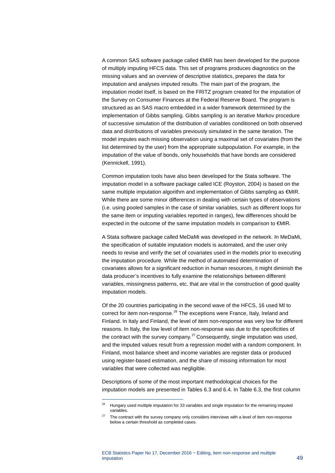A common SAS software package called €MIR has been developed for the purpose of multiply imputing HFCS data. This set of programs produces diagnostics on the missing values and an overview of descriptive statistics, prepares the data for imputation and analyses imputed results. The main part of the program, the imputation model itself, is based on the FRITZ program created for the imputation of the Survey on Consumer Finances at the Federal Reserve Board. The program is structured as an SAS macro embedded in a wider framework determined by the implementation of Gibbs sampling. Gibbs sampling is an iterative Markov procedure of successive simulation of the distribution of variables conditioned on both observed data and distributions of variables previously simulated in the same iteration. The model imputes each missing observation using a maximal set of covariates (from the list determined by the user) from the appropriate subpopulation. For example, in the imputation of the value of bonds, only households that have bonds are considered (Kennickell, 1991).

Common imputation tools have also been developed for the Stata software. The imputation model in a software package called ICE (Royston, 2004) is based on the same multiple imputation algorithm and implementation of Gibbs sampling as €MIR. While there are some minor differences in dealing with certain types of observations (i.e. using pooled samples in the case of similar variables, such as different loops for the same item or imputing variables reported in ranges), few differences should be expected in the outcome of the same imputation models in comparison to €MIR.

A Stata software package called MeDaMi was developed in the network. In MeDaMi, the specification of suitable imputation models is automated, and the user only needs to revise and verify the set of covariates used in the models prior to executing the imputation procedure. While the method of automated determination of covariates allows for a significant reduction in human resources, it might diminish the data producer's incentives to fully examine the relationships between different variables, missingness patterns, etc. that are vital in the construction of good quality imputation models.

Of the 20 countries participating in the second wave of the HFCS, 16 used MI to correct for item non-response.<sup>[26](#page-50-0)</sup> The exceptions were France, Italy, Ireland and Finland. In Italy and Finland, the level of item non-response was very low for different reasons. In Italy, the low level of item non-response was due to the specificities of the contract with the survey company.<sup>[27](#page-50-1)</sup> Consequently, single imputation was used, and the imputed values result from a regression model with a random component. In Finland, most balance sheet and income variables are register data or produced using register-based estimation, and the share of missing information for most variables that were collected was negligible.

Descriptions of some of the most important methodological choices for the imputation models are presented in Tables 6.3 and 6.4. In Table 6.3, the first column

<span id="page-50-0"></span><sup>&</sup>lt;sup>26</sup> Hungary used multiple imputation for 33 variables and single imputation for the remaining imputed variables.

<span id="page-50-1"></span> $27$  The contract with the survey company only considers interviews with a level of item non-response below a certain threshold as completed cases.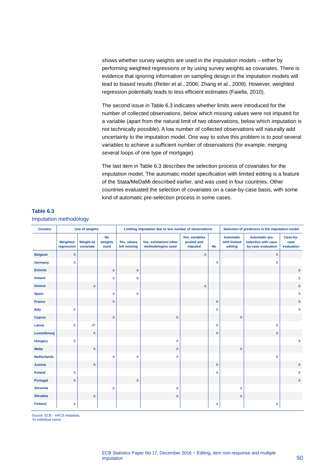shows whether survey weights are used in the imputation models – either by performing weighted regressions or by using survey weights as covariates. There is evidence that ignoring information on sampling design in the imputation models will lead to biased results (Reiter et al., 2006; Zhang et al., 2009). However, weighted regression potentially leads to less efficient estimates (Faiella, 2010).

The second issue in Table 6.3 indicates whether limits were introduced for the number of collected observations, below which missing values were not imputed for a variable (apart from the natural limit of two observations, below which imputation is not technically possible). A low number of collected observations will naturally add uncertainty to the imputation model. One way to solve this problem is to pool several variables to achieve a sufficient number of observations (for example, merging several loops of one type of mortgage).

The last item in Table 6.3 describes the selection process of covariates for the imputation model. The automatic model specification with limited editing is a feature of the Stata/MeDaMi described earlier, and was used in four countries. Other countries evaluated the selection of covariates on a case-by-case basis, with some kind of automatic pre-selection process in some cases.

| <b>Country</b>     |                        | <b>Use of weights</b>         |                              |                             | Limiting imputation due to low number of observations |                                         |           |                                             | Selection of predictors in the imputation model                     |                                |  |
|--------------------|------------------------|-------------------------------|------------------------------|-----------------------------|-------------------------------------------------------|-----------------------------------------|-----------|---------------------------------------------|---------------------------------------------------------------------|--------------------------------|--|
|                    | Weighted<br>regression | <b>Weight as</b><br>covariate | <b>No</b><br>weights<br>used | Yes, values<br>left missing | Yes, estimation/ other<br>methodologies used          | Yes, variables<br>pooled and<br>imputed | <b>No</b> | <b>Automatic</b><br>with limited<br>editing | <b>Automatic pre-</b><br>selection with case-<br>by-case evaluation | Case-by-<br>case<br>evaluation |  |
| <b>Belgium</b>     | X                      |                               |                              |                             |                                                       | $\mathsf X$                             |           |                                             | $\times$                                                            |                                |  |
| Germany            | X                      |                               |                              |                             |                                                       |                                         | X         |                                             | X                                                                   |                                |  |
| <b>Estonia</b>     |                        |                               | X                            | $\mathsf X$                 |                                                       |                                         |           |                                             |                                                                     | $\mathsf X$                    |  |
| <b>Ireland</b>     |                        |                               | X                            | X                           |                                                       |                                         |           |                                             |                                                                     | $\mathsf X$                    |  |
| <b>Greece</b>      |                        | $\mathsf X$                   |                              |                             |                                                       | $\boldsymbol{\mathsf{X}}$               |           |                                             |                                                                     | $\mathsf X$                    |  |
| <b>Spain</b>       |                        |                               | X                            | X                           |                                                       |                                         |           |                                             |                                                                     | $\mathsf X$                    |  |
| <b>France</b>      |                        |                               | X                            |                             |                                                       |                                         | X         |                                             |                                                                     | $\mathsf X$                    |  |
| Italy              | X                      |                               |                              |                             |                                                       |                                         | X         |                                             |                                                                     | $\pmb{\times}$                 |  |
| <b>Cyprus</b>      |                        |                               | $\mathsf X$                  |                             | $\mathsf X$                                           |                                         |           | X                                           |                                                                     |                                |  |
| Latvia             | X                      | $\mathsf{X}^\star$            |                              |                             |                                                       |                                         | X         |                                             | X                                                                   |                                |  |
| Luxembourg         |                        | $\mathsf X$                   |                              |                             |                                                       |                                         | X         |                                             | X                                                                   |                                |  |
| <b>Hungary</b>     | X                      |                               |                              |                             | X                                                     |                                         |           |                                             |                                                                     | $\mathsf X$                    |  |
| <b>Malta</b>       |                        | $\boldsymbol{\mathsf{X}}$     |                              |                             | X                                                     |                                         |           | X                                           |                                                                     |                                |  |
| <b>Netherlands</b> |                        |                               | X                            | X                           | X                                                     |                                         |           |                                             | X                                                                   |                                |  |
| <b>Austria</b>     |                        | $\mathsf X$                   |                              |                             |                                                       |                                         | X         |                                             |                                                                     | $\mathsf X$                    |  |
| <b>Poland</b>      | X                      |                               |                              |                             |                                                       |                                         | X         |                                             |                                                                     | $\mathsf X$                    |  |
| Portugal           | $\mathsf X$            |                               |                              | X                           |                                                       |                                         |           |                                             |                                                                     | $\mathsf X$                    |  |
| <b>Slovenia</b>    |                        |                               | X                            |                             | X                                                     |                                         |           | $\times$                                    |                                                                     |                                |  |
| <b>Slovakia</b>    |                        | X                             |                              |                             | X                                                     |                                         |           | X                                           |                                                                     |                                |  |
| <b>Finland</b>     | X                      |                               |                              |                             |                                                       |                                         | Χ         |                                             | Χ                                                                   |                                |  |

#### **Table 6.3** Imputation methodology

Source: ECB – HFCS metadata.

\*In individual cases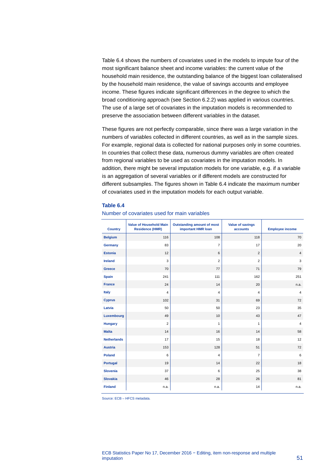Table 6.4 shows the numbers of covariates used in the models to impute four of the most significant balance sheet and income variables: the current value of the household main residence, the outstanding balance of the biggest loan collateralised by the household main residence, the value of savings accounts and employee income. These figures indicate significant differences in the degree to which the broad conditioning approach (see Section 6.2.2) was applied in various countries. The use of a large set of covariates in the imputation models is recommended to preserve the association between different variables in the dataset.

These figures are not perfectly comparable, since there was a large variation in the numbers of variables collected in different countries, as well as in the sample sizes. For example, regional data is collected for national purposes only in some countries. In countries that collect these data, numerous dummy variables are often created from regional variables to be used as covariates in the imputation models. In addition, there might be several imputation models for one variable, e.g. if a variable is an aggregation of several variables or if different models are constructed for different subsamples. The figures shown in Table 6.4 indicate the maximum number of covariates used in the imputation models for each output variable.

#### **Table 6.4**

| <b>Country</b>     | <b>Value of Household Main</b><br><b>Residence (HMR)</b> | <b>Outstanding amount of most</b><br>important HMR Ioan | <b>Value of savings</b><br>accounts | <b>Employee income</b> |
|--------------------|----------------------------------------------------------|---------------------------------------------------------|-------------------------------------|------------------------|
| <b>Belgium</b>     | 116                                                      | 108                                                     | 118                                 | 70                     |
| Germany            | 83                                                       | $\overline{7}$                                          | 17                                  | 20                     |
| <b>Estonia</b>     | 12                                                       | 6                                                       | 2                                   | $\overline{4}$         |
| <b>Ireland</b>     | 3                                                        | $\overline{2}$                                          | $\overline{2}$                      | 3                      |
| <b>Greece</b>      | 70                                                       | 77                                                      | 71                                  | 79                     |
| <b>Spain</b>       | 241                                                      | 111                                                     | 162                                 | 251                    |
| <b>France</b>      | 24                                                       | 14                                                      | 20                                  | n.a.                   |
| <b>Italy</b>       | 4                                                        | 4                                                       | $\overline{4}$                      | 4                      |
| <b>Cyprus</b>      | 102                                                      | 31                                                      | 69                                  | 72                     |
| Latvia             | 50                                                       | 50                                                      | 23                                  | 35                     |
| Luxembourg         | 49                                                       | 10                                                      | 43                                  | 47                     |
| <b>Hungary</b>     | $\overline{2}$                                           | 1                                                       | $\mathbf{1}$                        | $\overline{4}$         |
| <b>Malta</b>       | 14                                                       | 16                                                      | 14                                  | 58                     |
| <b>Netherlands</b> | 17                                                       | 15                                                      | 18                                  | 12                     |
| <b>Austria</b>     | 153                                                      | 128                                                     | 51                                  | 72                     |
| <b>Poland</b>      | 6                                                        | $\overline{4}$                                          | $\overline{7}$                      | 6                      |
| Portugal           | 19                                                       | 14                                                      | 22                                  | 18                     |
| <b>Slovenia</b>    | 37                                                       | 6                                                       | 25                                  | 38                     |
| <b>Slovakia</b>    | 46                                                       | 28                                                      | 26                                  | 81                     |
| <b>Finland</b>     | n.a.                                                     | n.a.                                                    | 14                                  | n.a.                   |

#### Number of covariates used for main variables

Source: ECB – HFCS metadata.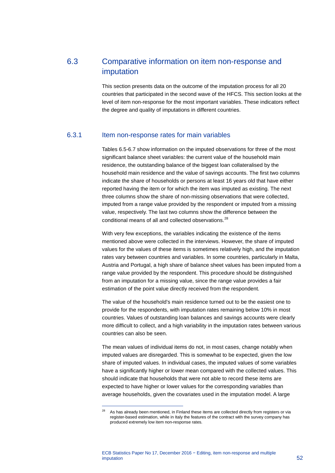# 6.3 Comparative information on item non-response and imputation

This section presents data on the outcome of the imputation process for all 20 countries that participated in the second wave of the HFCS. This section looks at the level of item non-response for the most important variables. These indicators reflect the degree and quality of imputations in different countries.

## 6.3.1 Item non-response rates for main variables

Tables 6.5-6.7 show information on the imputed observations for three of the most significant balance sheet variables: the current value of the household main residence, the outstanding balance of the biggest loan collateralised by the household main residence and the value of savings accounts. The first two columns indicate the share of households or persons at least 16 years old that have either reported having the item or for which the item was imputed as existing. The next three columns show the share of non-missing observations that were collected, imputed from a range value provided by the respondent or imputed from a missing value, respectively. The last two columns show the difference between the conditional means of all and collected observations.<sup>[28](#page-53-0)</sup>

With very few exceptions, the variables indicating the existence of the items mentioned above were collected in the interviews. However, the share of imputed values for the values of these items is sometimes relatively high, and the imputation rates vary between countries and variables. In some countries, particularly in Malta, Austria and Portugal, a high share of balance sheet values has been imputed from a range value provided by the respondent. This procedure should be distinguished from an imputation for a missing value, since the range value provides a fair estimation of the point value directly received from the respondent.

The value of the household's main residence turned out to be the easiest one to provide for the respondents, with imputation rates remaining below 10% in most countries. Values of outstanding loan balances and savings accounts were clearly more difficult to collect, and a high variability in the imputation rates between various countries can also be seen.

The mean values of individual items do not, in most cases, change notably when imputed values are disregarded. This is somewhat to be expected, given the low share of imputed values. In individual cases, the imputed values of some variables have a significantly higher or lower mean compared with the collected values. This should indicate that households that were not able to record these items are expected to have higher or lower values for the corresponding variables than average households, given the covariates used in the imputation model. A large

<span id="page-53-0"></span><sup>&</sup>lt;sup>28</sup> As has already been mentioned, in Finland these items are collected directly from registers or via register-based estimation, while in Italy the features of the contract with the survey company has produced extremely low item non-response rates.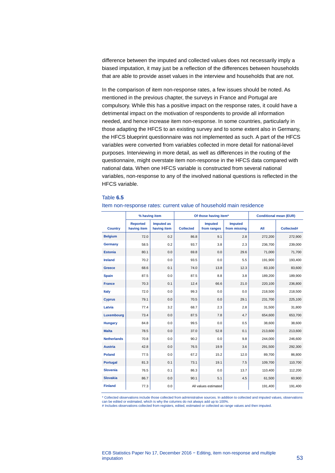difference between the imputed and collected values does not necessarily imply a biased imputation, it may just be a reflection of the differences between households that are able to provide asset values in the interview and households that are not.

In the comparison of item non-response rates, a few issues should be noted. As mentioned in the previous chapter, the surveys in France and Portugal are compulsory. While this has a positive impact on the response rates, it could have a detrimental impact on the motivation of respondents to provide all information needed, and hence increase item non-response. In some countries, particularly in those adapting the HFCS to an existing survey and to some extent also in Germany, the HFCS blueprint questionnaire was not implemented as such. A part of the HFCS variables were converted from variables collected in more detail for national-level purposes. Interviewing in more detail, as well as differences in the routing of the questionnaire, might overstate item non-response in the HFCS data compared with national data. When one HFCS variable is constructed from several national variables, non-response to any of the involved national questions is reflected in the HFCS variable.

#### Table **6.5**

|                    |                                | % having item                    |                  | Of those having item*         |                                | <b>Conditional mean (EUR)</b> |            |
|--------------------|--------------------------------|----------------------------------|------------------|-------------------------------|--------------------------------|-------------------------------|------------|
| <b>Country</b>     | <b>Reported</b><br>having item | <b>Imputed as</b><br>having item | <b>Collected</b> | <b>Imputed</b><br>from ranges | <b>Imputed</b><br>from missing | All                           | Collected# |
| <b>Belgium</b>     | 72.0                           | 0.2                              | 86.8             | 9.1                           | 2.8                            | 272,200                       | 272,900    |
| Germany            | 58.5                           | 0.2                              | 93.7             | 3.8                           | 2.3                            | 236,700                       | 239,000    |
| <b>Estonia</b>     | 80.1                           | 0.0                              | 69.8             | 0.0                           | 29.6                           | 71,000                        | 71,700     |
| <b>Ireland</b>     | 70.2                           | 0.0                              | 93.5             | 0.0                           | 5.5                            | 191,900                       | 193,400    |
| Greece             | 68.6                           | 0.1                              | 74.0             | 13.8                          | 12.3                           | 83,100                        | 83,600     |
| <b>Spain</b>       | 87.5                           | 0.0                              | 87.5             | 8.8                           | 3.8                            | 189,200                       | 189,900    |
| <b>France</b>      | 70.3                           | 0.1                              | 12.4             | 66.6                          | 21.0                           | 220,100                       | 236,800    |
| Italy              | 72.0                           | 0.0                              | 99.3             | 0.0                           | 0.0                            | 218,500                       | 218,500    |
| <b>Cyprus</b>      | 79.1                           | 0.0                              | 70.5             | 0.0                           | 29.1                           | 231,700                       | 225,100    |
| Latvia             | 77.4                           | 3.2                              | 68.7             | 2.3                           | 2.8                            | 31.500                        | 31,800     |
| Luxembourg         | 73.4                           | 0.0                              | 87.5             | 7.8                           | 4.7                            | 654,600                       | 653,700    |
| <b>Hungary</b>     | 84.8                           | 0.0                              | 99.5             | 0.0                           | 0.5                            | 38.600                        | 38,600     |
| <b>Malta</b>       | 78.5                           | 0.0                              | 37.0             | 52.8                          | 0.1                            | 213,600                       | 213,600    |
| <b>Netherlands</b> | 70.8                           | 0.0                              | 90.2             | 0.0                           | 9.8                            | 244,000                       | 246,600    |
| <b>Austria</b>     | 42.8                           | 0.0                              | 76.5             | 19.9                          | 3.6                            | 291,500                       | 292,300    |
| <b>Poland</b>      | 77.5                           | 0.0                              | 67.2             | 15.2                          | 12.0                           | 89,700                        | 86,800     |
| Portugal           | 81.3                           | 0.1                              | 73.1             | 19.1                          | 7.5                            | 109,700                       | 110,700    |
| <b>Slovenia</b>    | 76.5                           | 0.1                              | 86.3             | 0.0                           | 13.7                           | 110,400                       | 112,200    |
| <b>Slovakia</b>    | 86.7                           | 0.0                              | 90.1             | 5.1                           | 4.5                            | 61,500                        | 60,900     |
| <b>Finland</b>     | 77.3                           | 0.0                              |                  | All values estimated          |                                | 191,400                       | 191,400    |

#### Item non-response rates: current value of household main residence

\* Collected observations include those collected from administrative sources. In addition to collected and imputed values, observations can be edited or estimated, which is why the columns do not always add up to 100%. # Includes observations collected from registers, edited, estimated or collected as range values and then imputed.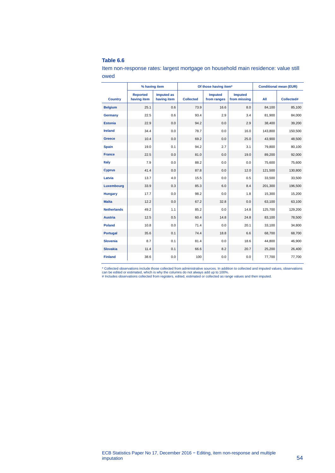#### **Table 6.6**

Item non-response rates: largest mortgage on household main residence: value still owed

|                    | % having item                  |                                  |                  | Of those having item*         |                                |         | <b>Conditional mean (EUR)</b> |  |
|--------------------|--------------------------------|----------------------------------|------------------|-------------------------------|--------------------------------|---------|-------------------------------|--|
| <b>Country</b>     | <b>Reported</b><br>having item | <b>Imputed as</b><br>having item | <b>Collected</b> | <b>Imputed</b><br>from ranges | <b>Imputed</b><br>from missing | All     | Collected#                    |  |
| <b>Belgium</b>     | 25.1                           | 0.6                              | 73.9             | 16.6                          | 8.0                            | 84,100  | 85,100                        |  |
| Germany            | 22.5                           | 0.6                              | 93.4             | 2.9                           | 3.4                            | 81,900  | 84,000                        |  |
| <b>Estonia</b>     | 22.9                           | 0.0                              | 94.2             | 0.0                           | 2.9                            | 38,400  | 39,200                        |  |
| <b>Ireland</b>     | 34.4                           | 0.0                              | 78.7             | 0.0                           | 16.0                           | 143,800 | 150,500                       |  |
| <b>Greece</b>      | 10.4                           | 0.0                              | 69.2             | 0.0                           | 25.0                           | 43,900  | 48,500                        |  |
| <b>Spain</b>       | 19.0                           | 0.1                              | 94.2             | 2.7                           | 3.1                            | 79,800  | 80,100                        |  |
| <b>France</b>      | 22.5                           | 0.0                              | 81.0             | 0.0                           | 19.0                           | 89,200  | 92,000                        |  |
| Italy              | 7.9                            | 0.0                              | 88.2             | 0.0                           | 0.0                            | 75,600  | 75,600                        |  |
| <b>Cyprus</b>      | 41.4                           | 0.0                              | 87.8             | 0.0                           | 12.0                           | 121,500 | 130,800                       |  |
| Latvia             | 13.7                           | 4.0                              | 15.5             | 0.0                           | 0.5                            | 33,500  | 33,500                        |  |
| Luxembourg         | 33.9                           | 0.3                              | 85.3             | 6.0                           | 8.4                            | 201,300 | 196,500                       |  |
| <b>Hungary</b>     | 17.7                           | 0.0                              | 98.2             | 0.0                           | 1.8                            | 15,300  | 15,200                        |  |
| <b>Malta</b>       | 12.2                           | 0.0                              | 67.2             | 32.8                          | 0.0                            | 63,100  | 63,100                        |  |
| <b>Netherlands</b> | 49.2                           | 1.1                              | 85.2             | 0.0                           | 14.8                           | 125,700 | 129,200                       |  |
| <b>Austria</b>     | 12.5                           | 0.5                              | 60.4             | 14.8                          | 24.8                           | 83,100  | 78,500                        |  |
| <b>Poland</b>      | 10.8                           | 0.0                              | 71.4             | 0.0                           | 20.1                           | 33,100  | 34,800                        |  |
| <b>Portugal</b>    | 35.6                           | 0.1                              | 74.4             | 18.8                          | 6.6                            | 68,700  | 68,700                        |  |
| <b>Slovenia</b>    | 8.7                            | 0.1                              | 81.4             | 0.0                           | 18.6                           | 44,800  | 46,900                        |  |
| <b>Slovakia</b>    | 11.4                           | 0.1                              | 66.6             | 8.2                           | 20.7                           | 25,200  | 26,400                        |  |
| <b>Finland</b>     | 38.6                           | 0.0                              | 100              | 0.0                           | 0.0                            | 77,700  | 77,700                        |  |

\* Collected observations include those collected from administrative sources. In addition to collected and imputed values, observations<br>can be edited or estimated, which is why the columns do not always add up to 100%.<br># I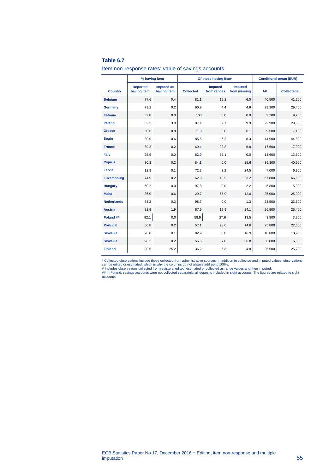#### **Table 6.7**

|  | Item non-response rates: value of savings accounts |  |  |
|--|----------------------------------------------------|--|--|
|  |                                                    |  |  |

|                    | % having item                  |                                  |                  | Of those having item*         | <b>Conditional mean (EUR)</b>  |        |            |
|--------------------|--------------------------------|----------------------------------|------------------|-------------------------------|--------------------------------|--------|------------|
| <b>Country</b>     | <b>Reported</b><br>having item | <b>Imputed as</b><br>having item | <b>Collected</b> | <b>Imputed</b><br>from ranges | <b>Imputed</b><br>from missing | All    | Collected# |
| <b>Belgium</b>     | 77.6                           | 0.4                              | 81.1             | 12.2                          | 6.0                            | 40,500 | 41,200     |
| Germany            | 79.2                           | 0.2                              | 90.9             | 4.4                           | 4.6                            | 29,300 | 29,400     |
| <b>Estonia</b>     | 39.8                           | 0.0                              | 100              | 0.0                           | 0.0                            | 9,200  | 9,200      |
| <b>Ireland</b>     | 52.3                           | 3.9                              | 87.4             | 2.7                           | 9.9                            | 29.900 | 29,500     |
| <b>Greece</b>      | 60.6                           | 0.8                              | 71.9             | 8.0                           | 20.1                           | 9,500  | 7,100      |
| <b>Spain</b>       | 30.9                           | 0.6                              | 85.5             | 6.2                           | 8.3                            | 44.900 | 44.800     |
| <b>France</b>      | 89.2                           | 0.2                              | 69.4             | 23.8                          | 6.8                            | 17,600 | 17,900     |
| Italy              | 25.9                           | 0.0                              | 62.9             | 37.1                          | 0.0                            | 13,600 | 13,600     |
| <b>Cyprus</b>      | 30.3                           | 0.2                              | 84.1             | 0.0                           | 15.6                           | 39,300 | 40,900     |
| Latvia             | 12.8                           | 0.1                              | 72.3             | 3.2                           | 24.5                           | 7,000  | 6,900      |
| Luxembourg         | 74.9                           | 0.2                              | 62.9             | 13.9                          | 23.2                           | 67,800 | 66,600     |
| <b>Hungary</b>     | 50.2                           | 0.0                              | 97.8             | 0.0                           | 2.2                            | 5,800  | 5,900      |
| <b>Malta</b>       | 86.9                           | 0.6                              | 29.7             | 55.0                          | 12.6                           | 25,000 | 25,900     |
| <b>Netherlands</b> | 88.2                           | 0.3                              | 98.7             | 0.0                           | 1.3                            | 23,500 | 23,500     |
| <b>Austria</b>     | 82.9                           | 1.9                              | 67.9             | 17.9                          | 14.1                           | 26,900 | 25,400     |
| Poland ##          | 82.1                           | 0.0                              | 58.9             | 27.6                          | 13.5                           | 3,800  | 3,300      |
| <b>Portugal</b>    | 50.8                           | 0.2                              | 57.1             | 28.0                          | 14.6                           | 25,800 | 22,500     |
| <b>Slovenia</b>    | 28.0                           | 0.1                              | 82.9             | 0.0                           | 16.9                           | 10,800 | 10,900     |
| <b>Slovakia</b>    | 28.2                           | 0.2                              | 55.5             | 7.8                           | 36.8                           | 6,800  | 6,600      |
| <b>Finland</b>     | 20.5                           | 25.2                             | 36.2             | 5.3                           | 4.8                            | 25,500 | 25,700     |

\* Collected observations include those collected from administrative sources. In addition to collected and imputed values, observations<br>can be edited or estimated, which is why the columns do not always add up to 100%.<br># I

accounts.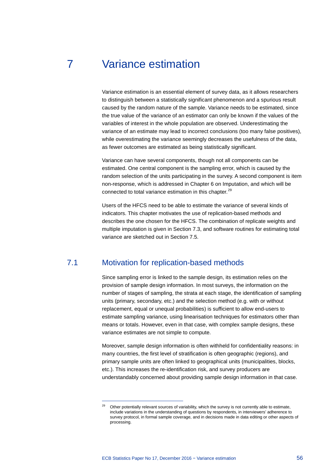# 7 Variance estimation

Variance estimation is an essential element of survey data, as it allows researchers to distinguish between a statistically significant phenomenon and a spurious result caused by the random nature of the sample. Variance needs to be estimated, since the true value of the variance of an estimator can only be known if the values of the variables of interest in the whole population are observed. Underestimating the variance of an estimate may lead to incorrect conclusions (too many false positives), while overestimating the variance seemingly decreases the usefulness of the data, as fewer outcomes are estimated as being statistically significant.

Variance can have several components, though not all components can be estimated. One central component is the sampling error, which is caused by the random selection of the units participating in the survey. A second component is item non-response, which is addressed in Chapter 6 on Imputation, and which will be connected to total variance estimation in this chapter.<sup>[29](#page-57-0)</sup>

Users of the HFCS need to be able to estimate the variance of several kinds of indicators. This chapter motivates the use of replication-based methods and describes the one chosen for the HFCS. The combination of replicate weights and multiple imputation is given in Section [7.3,](#page-62-0) and software routines for estimating total variance are sketched out in Section [7.5.](#page-63-0)

# 7.1 Motivation for replication-based methods

Since sampling error is linked to the sample design, its estimation relies on the provision of sample design information. In most surveys, the information on the number of stages of sampling, the strata at each stage, the identification of sampling units (primary, secondary, etc.) and the selection method (e.g. with or without replacement, equal or unequal probabilities) is sufficient to allow end-users to estimate sampling variance, using linearisation techniques for estimators other than means or totals. However, even in that case, with complex sample designs, these variance estimates are not simple to compute.

Moreover, sample design information is often withheld for confidentiality reasons: in many countries, the first level of stratification is often geographic (regions), and primary sample units are often linked to geographical units (municipalities, blocks, etc.). This increases the re-identification risk, and survey producers are understandably concerned about providing sample design information in that case.

ECB Statistics Paper No 17, December 2016 − Variance estimation 56

<span id="page-57-0"></span><sup>&</sup>lt;sup>29</sup> Other potentially relevant sources of variability, which the survey is not currently able to estimate, include variations in the understanding of questions by respondents, in interviewers' adherence to survey protocol, in formal sample coverage, and in decisions made in data editing or other aspects of processing.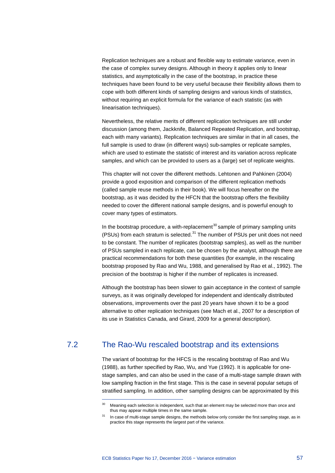Replication techniques are a robust and flexible way to estimate variance, even in the case of complex survey designs. Although in theory it applies only to linear statistics, and asymptotically in the case of the bootstrap, in practice these techniques have been found to be very useful because their flexibility allows them to cope with both different kinds of sampling designs and various kinds of statistics, without requiring an explicit formula for the variance of each statistic (as with linearisation techniques).

Nevertheless, the relative merits of different replication techniques are still under discussion (among them, Jackknife, Balanced Repeated Replication, and bootstrap, each with many variants). Replication techniques are similar in that in all cases, the full sample is used to draw (in different ways) sub-samples or replicate samples, which are used to estimate the statistic of interest and its variation across replicate samples, and which can be provided to users as a (large) set of replicate weights.

This chapter will not cover the different methods. Lehtonen and Pahkinen (2004) provide a good exposition and comparison of the different replication methods (called sample reuse methods in their book). We will focus hereafter on the bootstrap, as it was decided by the HFCN that the bootstrap offers the flexibility needed to cover the different national sample designs, and is powerful enough to cover many types of estimators.

In the bootstrap procedure, a with-replacement<sup>[30](#page-58-0)</sup> sample of primary sampling units (PSUs) from each stratum is selected.<sup>[31](#page-58-1)</sup> The number of PSUs per unit does not need to be constant. The number of replicates (bootstrap samples), as well as the number of PSUs sampled in each replicate, can be chosen by the analyst, although there are practical recommendations for both these quantities (for example, in the rescaling bootstrap proposed by Rao and Wu, 1988, and generalised by Rao et al., 1992). The precision of the bootstrap is higher if the number of replicates is increased.

Although the bootstrap has been slower to gain acceptance in the context of sample surveys, as it was originally developed for independent and identically distributed observations, improvements over the past 20 years have shown it to be a good alternative to other replication techniques (see Mach et al., 2007 for a description of its use in Statistics Canada, and Girard, 2009 for a general description).

# <span id="page-58-1"></span><span id="page-58-0"></span>7.2 The Rao-Wu rescaled bootstrap and its extensions

The variant of bootstrap for the HFCS is the rescaling bootstrap of Rao and Wu (1988), as further specified by Rao, Wu, and Yue (1992). It is applicable for onestage samples, and can also be used in the case of a multi-stage sample drawn with low sampling fraction in the first stage. This is the case in several popular setups of stratified sampling. In addition, other sampling designs can be approximated by this

<sup>&</sup>lt;sup>30</sup> Meaning each selection is independent, such that an element may be selected more than once and thus may appear multiple times in the same sample.

In case of multi-stage sample designs, the methods below only consider the first sampling stage, as in practice this stage represents the largest part of the variance.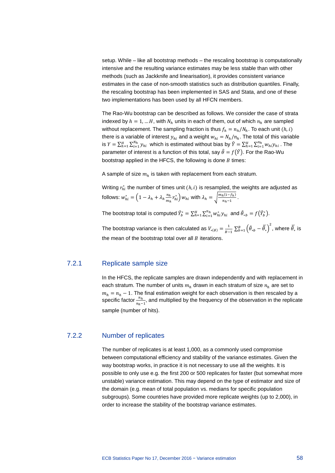setup. While – like all bootstrap methods – the rescaling bootstrap is computationally intensive and the resulting variance estimates may be less stable than with other methods (such as Jackknife and linearisation), it provides consistent variance estimates in the case of non-smooth statistics such as distribution quantiles. Finally, the rescaling bootstrap has been implemented in SAS and Stata, and one of these two implementations has been used by all HFCN members.

The Rao-Wu bootstrap can be described as follows. We consider the case of strata indexed by  $h = 1, ... H$ , with  $N_h$  units in each of them, out of which  $n_h$  are sampled without replacement. The sampling fraction is thus  $f_h = n_h/N_h$ . To each unit  $(h, i)$ there is a variable of interest  $y_{hi}$  and a weight  $w_{hi} = N_h/n_h$ . The total of this variable is  $Y = \sum_{h=1}^{H} \sum_{i=1}^{N_h} y_{hi}$  which is estimated without bias by  $\hat{Y} = \sum_{h=1}^{H} \sum_{i=1}^{n_h} w_{hi} y_{hi}$ . The parameter of interest is a function of this total, say  $\hat{\theta} = f(\hat{Y})$ . For the Rao-Wu bootstrap applied in the HFCS, the following is done  $B$  times:

A sample of size  $m_h$  is taken with replacement from each stratum.

Writing  $r_{hi}^*$  the number of times unit  $(h,i)$  is resampled, the weights are adjusted as follows:  $w_{hi}^* = \left(1 - \lambda_h + \lambda_h\frac{n_h}{m_h}\right)$  $\left(\frac{n_h}{m_h} r_{hi}^*\right) w_{hi}$  with  $\lambda_h = \sqrt{\frac{m_h(1-f_h)}{n_h-1}}$ .

The bootstrap total is computed  $\hat{Y}_b^* = \sum_{h=1}^H \sum_{i=1}^{n_h} w_{hi}^* y_{hi}$  and  $\hat{\theta}_{*b} = f(\hat{Y}_b^*)$ .

The bootstrap variance is then calculated as  $V_{*(\theta)} = \frac{1}{B-1} \sum_{b=1}^{B} (\hat{\theta}_{*b} - \overline{\hat{\theta}_{*}})^2$ , where  $\overline{\hat{\theta}_{*}}$  is the mean of the bootstrap total over all  $B$  iterations.

### 7.2.1 Replicate sample size

In the HFCS, the replicate samples are drawn independently and with replacement in each stratum. The number of units  $m_h$  drawn in each stratum of size  $n_h$  are set to  $m_h = n_h - 1$ . The final estimation weight for each observation is then rescaled by a specific factor  $\frac{n_h}{n_h-1}$ , and multiplied by the frequency of the observation in the replicate sample (number of hits).

#### 7.2.2 Number of replicates

The number of replicates is at least 1,000, as a commonly used compromise between computational efficiency and stability of the variance estimates. Given the way bootstrap works, in practice it is not necessary to use all the weights. It is possible to only use e.g. the first 200 or 500 replicates for faster (but somewhat more unstable) variance estimation. This may depend on the type of estimator and size of the domain (e.g. mean of total population vs. medians for specific population subgroups). Some countries have provided more replicate weights (up to 2,000), in order to increase the stability of the bootstrap variance estimates.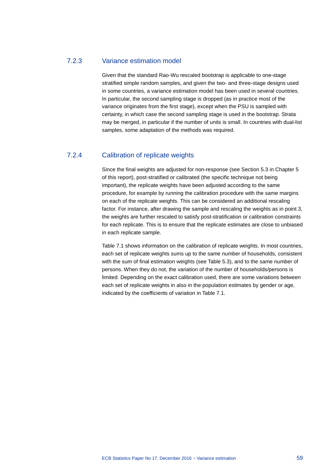## 7.2.3 Variance estimation model

Given that the standard Rao-Wu rescaled bootstrap is applicable to one-stage stratified simple random samples, and given the two- and three-stage designs used in some countries, a variance estimation model has been used in several countries. In particular, the second sampling stage is dropped (as in practice most of the variance originates from the first stage), except when the PSU is sampled with certainty, in which case the second sampling stage is used in the bootstrap. Strata may be merged, in particular if the number of units is small. In countries with dual-list samples, some adaptation of the methods was required.

## 7.2.4 Calibration of replicate weights

Since the final weights are adjusted for non-response (see Section [5.3](#page-40-0) in Chapter 5 of this report), post-stratified or calibrated (the specific technique not being important), the replicate weights have been adjusted according to the same procedure, for example by running the calibration procedure with the same margins on each of the replicate weights. This can be considered an additional rescaling factor. For instance, after drawing the sample and rescaling the weights as in point 3, the weights are further rescaled to satisfy post-stratification or calibration constraints for each replicate. This is to ensure that the replicate estimates are close to unbiased in each replicate sample.

Table 7.1 shows information on the calibration of replicate weights. In most countries, each set of replicate weights sums up to the same number of households, consistent with the sum of final estimation weights (see Table 5.3), and to the same number of persons. When they do not, the variation of the number of households/persons is limited. Depending on the exact calibration used, there are some variations between each set of replicate weights in also in the population estimates by gender or age, indicated by the coefficients of variation in Table 7.1.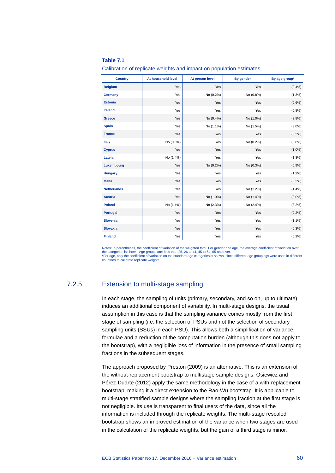#### **Table 7.1**

Calibration of replicate weights and impact on population estimates

| <b>Country</b>     | At household level | At person level | By gender | By age group* |
|--------------------|--------------------|-----------------|-----------|---------------|
| <b>Belgium</b>     | Yes                | Yes             | Yes       | (0.4% )       |
| <b>Germany</b>     | Yes                | No (0.2%)       | No (0.8%) | (1.3%)        |
| <b>Estonia</b>     | Yes                | Yes             | Yes       | $(0.6\%)$     |
| <b>Ireland</b>     | Yes                | Yes             | Yes       | (0.8%)        |
| <b>Greece</b>      | Yes                | No (0.4%)       | No (1.0%) | (2.8%)        |
| <b>Spain</b>       | Yes                | No (1.1%)       | No (1.5%) | $(3.0\%)$     |
| <b>France</b>      | Yes                | Yes             | Yes       | (0.3%)        |
| <b>Italy</b>       | No (0.6%)          | Yes             | No (0.2%) | (0.8% )       |
| <b>Cyprus</b>      | Yes                | Yes             | Yes       | $(1.0\%)$     |
| Latvia             | No (1.4%)          | Yes             | Yes       | (1.3%)        |
| Luxembourg         | Yes                | No (0.2%)       | No (0.3%) | (0.9%         |
| <b>Hungary</b>     | Yes                | Yes             | Yes       | $(1.2\%)$     |
| <b>Malta</b>       | Yes                | Yes             | Yes       | (0.3%)        |
| <b>Netherlands</b> | Yes                | Yes             | No (1.2%) | (1.4%)        |
| <b>Austria</b>     | Yes                | No (1.0%)       | No (1.4%) | $(3.0\%)$     |
| <b>Poland</b>      | No (1.4%)          | No (2.3%)       | No (2.4%) | $(3.2\%)$     |
| Portugal           | Yes                | Yes             | Yes       | (0.2%)        |
| <b>Slovenia</b>    | Yes                | Yes             | Yes       | $(1.1\%)$     |
| <b>Slovakia</b>    | Yes                | Yes             | Yes       | (0.3%)        |
| <b>Finland</b>     | Yes                | Yes             | Yes       | (0.2%)        |

Notes: In parentheses, the coefficient of variation of the weighted total. For gender and age, the average coefficient of variation over the categories is shown. Age groups are: less than 25, 26 to 44, 45 to 64, 65 and over. \*For age, only the coefficient of variation on the standard age categories is shown, since different age groupings were used in different countries to calibrate replicate weights.

### 7.2.5 Extension to multi-stage sampling

In each stage, the sampling of units (primary, secondary, and so on, up to ultimate) induces an additional component of variability. In multi-stage designs, the usual assumption in this case is that the sampling variance comes mostly from the first stage of sampling (i.e. the selection of PSUs and not the selection of secondary sampling units (SSUs) in each PSU). This allows both a simplification of variance formulae and a reduction of the computation burden (although this does not apply to the bootstrap), with a negligible loss of information in the presence of small sampling fractions in the subsequent stages.

The approach proposed by Preston (2009) is an alternative. This is an extension of the without-replacement bootstrap to multistage sample designs. Osiewicz and Pérez-Duarte (2012) apply the same methodology in the case of a with-replacement bootstrap, making it a direct extension to the Rao-Wu bootstrap. It is applicable to multi-stage stratified sample designs where the sampling fraction at the first stage is not negligible. Its use is transparent to final users of the data, since all the information is included through the replicate weights. The multi-stage rescaled bootstrap shows an improved estimation of the variance when two stages are used in the calculation of the replicate weights, but the gain of a third stage is minor.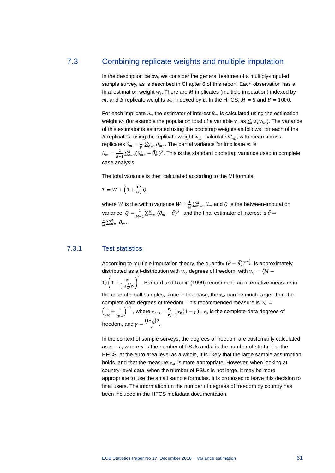# 7.3 Combining replicate weights and multiple imputation

<span id="page-62-0"></span>In the description below, we consider the general features of a multiply-imputed sample survey, as is described in Chapter 6 of this report. Each observation has a final estimation weight  $w_i$ . There are  $M$  implicates (multiple imputation) indexed by m, and B replicate weights  $w_{ih}$  indexed by b. In the HFCS,  $M = 5$  and  $B = 1000$ .

For each implicate  $m$ , the estimator of interest  $\theta_m$  is calculated using the estimation weight  $w_i$  (for example the population total of a variable y, as  $\sum_i w_i y_{im}$ ). The variance of this estimator is estimated using the bootstrap weights as follows: for each of the *B* replicates, using the replicate weight  $w_{ib}$ , calculate  $\theta^*_{mb}$ , with mean across replicates  $\bar{\theta}_m^* = \frac{1}{B} \sum_{b=1}^B \theta_{mb}^*$ . The partial variance for implicate  $m$  is  $U_m = \frac{1}{B-1} \sum_{b=1}^B (\theta_{mb}^* - \bar{\theta}_m^*)^2$ . This is the standard bootstrap variance used in complete case analysis.

The total variance is then calculated according to the MI formula

$$
T = W + \left(1 + \frac{1}{M}\right)Q,
$$

where *W* is the within variance  $W = \frac{1}{M} \sum_{m=1}^{M} U_m$  and *Q* is the between-imputation variance,  $Q = \frac{1}{M-1}\sum_{m=1}^{M}(\theta_m - \bar{\theta})^2$  and the final estimator of interest is  $\bar{\theta} =$  $\frac{1}{M}\sum_{m=1}^{M} \theta_m$ .

#### 7.3.1 Test statistics

According to multiple imputation theory, the quantity  $(\theta - \bar{\theta})T^{-\frac{1}{2}}$  is approximately distributed as a t-distribution with  $v_M$  degrees of freedom, with  $v_M = (M -$ 1)  $\left(1 + \frac{w}{(1 + \frac{1}{M})Q}\right)$ 2 . Barnard and Rubin (1999) recommend an alternative measure in the case of small samples, since in that case, the  $v_M$  can be much larger than the complete data degrees of freedom. This recommended measure is  $v_M^* =$  $\left(\frac{1}{v_M} + \frac{1}{v_{obs}}\right)^{-1}$ , where  $v_{obs} = \frac{v_{0}+1}{v_{0}+3}v_0(1-\gamma)$ ,  $v_0$  is the complete-data degrees of freedom, and  $\gamma = \frac{(1 + \frac{1}{M})\varrho}{T}$ .

In the context of sample surveys, the degrees of freedom are customarily calculated as  $n - L$ , where *n* is the number of PSUs and L is the number of strata. For the HFCS, at the euro area level as a whole, it is likely that the large sample assumption holds, and that the measure  $v_M$  is more appropriate. However, when looking at country-level data, when the number of PSUs is not large, it may be more appropriate to use the small sample formulas. It is proposed to leave this decision to final users. The information on the number of degrees of freedom by country has been included in the HFCS metadata documentation.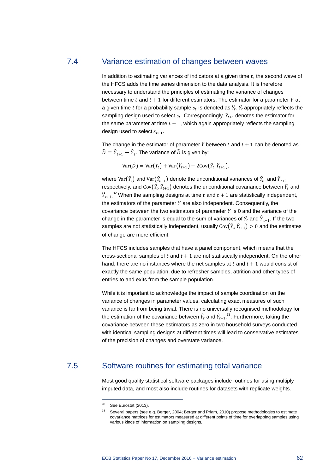## 7.4 Variance estimation of changes between waves

In addition to estimating variances of indicators at a given time  $t$ , the second wave of the HFCS adds the time series dimension to the data analysis. It is therefore necessary to understand the principles of estimating the variance of changes between time  $t$  and  $t + 1$  for different estimators. The estimator for a parameter  $Y$  at a given time  $t$  for a probability sample  $s_t$  is denoted as  $Y_t$ .  $Y_t$  appropriately reflects the sampling design used to select  $s_t$ . Correspondingly,  $Y_{t+1}$  denotes the estimator for the same parameter at time  $t + 1$ , which again appropriately reflects the sampling design used to select  $s_{t+1}$ .

The change in the estimator of parameter  $\hat{Y}$  between  $t$  and  $t + 1$  can be denoted as  $\widehat{D} = \widehat{Y}_{t+1} - \widehat{Y}_{t}$ . The variance of  $\widehat{D}$  is given by:

$$
Var(\widehat{D}) = Var(\widehat{Y}_t) + Var(\widehat{Y}_{t+1}) - 2Cov(\widehat{Y}_t, \widehat{Y}_{t+1}),
$$

where  $\text{Var}(Y_t)$  and  $\text{Var}(Y_{t+1})$  denote the unconditional variances of  $Y_t$  and  $Y_{t+1}$ respectively, and  $\text{Cov}(Y_t, Y_{t+1})$  denotes the unconditional covariance between  $Y_t$  and  $\widehat{Y}_{t+1}$ .<sup>[32](#page-63-1)</sup> When the sampling designs at time  $t$  and  $t+1$  are statistically independent, the estimators of the parameter  $Y$  are also independent. Consequently, the covariance between the two estimators of parameter  $Y$  is 0 and the variance of the change in the parameter is equal to the sum of variances of  $Y_t$  and  $Y_{t+1}$ . If the two samples are not statistically independent, usually  $\text{Cov}(Y_t, Y_{t+1}) > 0$  and the estimates of change are more efficient.

The HFCS includes samples that have a panel component, which means that the cross-sectional samples of  $t$  and  $t + 1$  are not statistically independent. On the other hand, there are no instances where the net samples at  $t$  and  $t + 1$  would consist of exactly the same population, due to refresher samples, attrition and other types of entries to and exits from the sample population.

While it is important to acknowledge the impact of sample coordination on the variance of changes in parameter values, calculating exact measures of such variance is far from being trivial. There is no universally recognised methodology for the estimation of the covariance between  $\hat{Y}_t$  and  $\hat{Y}_{t+1}$ <sup>33</sup>. Furthermore, taking the covariance between these estimators as zero in two household surveys conducted with identical sampling designs at different times will lead to conservative estimates of the precision of changes and overstate variance.

# <span id="page-63-1"></span>7.5 Software routines for estimating total variance

<span id="page-63-0"></span>Most good quality statistical software packages include routines for using multiply imputed data, and most also include routines for datasets with replicate weights.

<sup>&</sup>lt;sup>32</sup> See Eurostat (2013).

<sup>&</sup>lt;sup>33</sup> Several papers (see e.g. Berger, 2004; Berger and Priam, 2010) propose methodologies to estimate covariance matrices for estimators measured at different points of time for overlapping samples using various kinds of information on sampling designs.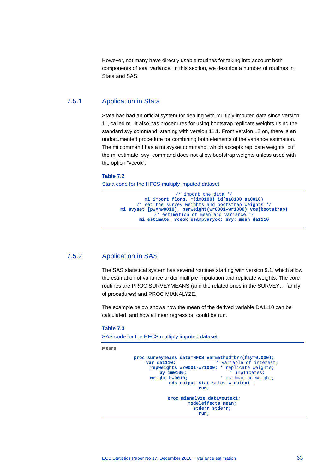However, not many have directly usable routines for taking into account both components of total variance. In this section, we describe a number of routines in Stata and SAS.

## 7.5.1 Application in Stata

Stata has had an official system for dealing with multiply imputed data since version 11, called mi. It also has procedures for using bootstrap replicate weights using the standard svy command, starting with version 11.1. From version 12 on, there is an undocumented procedure for combining both elements of the variance estimation. The mi command has a mi svyset command, which accepts replicate weights, but the mi estimate: svy: command does not allow bootstrap weights unless used with the option "vceok".

#### **Table 7.2**

Stata code for the HFCS multiply imputed dataset

```
/* import the data */
         mi import flong, m(im0100) id(sa0100 sa0010) 
      /* set the survey weights and bootstrap weights */
mi svyset [pw=hw0010], bsrweight(wr0001-wr1000) vce(bootstrap)
            /* estimation of mean and variance */
       mi estimate, vceok esampvaryok: svy: mean da1110
```
## 7.5.2 Application in SAS

The SAS statistical system has several routines starting with version 9.1, which allow the estimation of variance under multiple imputation and replicate weights. The core routines are PROC SURVEYMEANS (and the related ones in the SURVEY… family of procedures) and PROC MIANALYZE.

The example below shows how the mean of the derived variable DA1110 can be calculated, and how a linear regression could be run.

#### **Table 7.3**

SAS code for the HFCS multiply imputed dataset

**Means**

```
proc surveymeans data=HFCS varmethod=brr(fay=0.000);<br>var da1110:<br>* variable of interest
                                        * variable of interest;
       repweights wr0001-wr1000; * replicate weights;<br>by \text{im}0100; * implicates;
       by im0100; * implicates;<br>weight hw0010; * estimation weight
                                          * estimation weight;
                  ods output Statistics = outex1 ;
                               run;
                proc mianalyze data=outex1;
                           modeleffects mean;
                              stderr stderr;
                                run;
```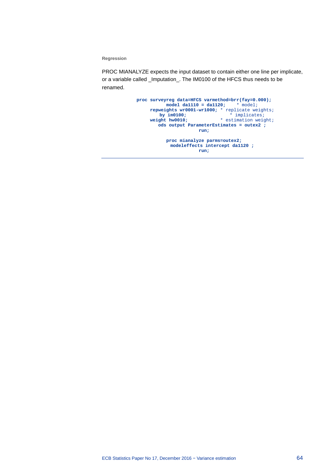**Regression**

PROC MIANALYZE expects the input dataset to contain either one line per implicate, or a variable called \_Imputation\_. The IM0100 of the HFCS thus needs to be renamed.

```
proc surveyreg data=HFCS varmethod=brr(fay=0.000);
           model da1110 = da1120; * model;
     repweights wr0001-wr1000; * replicate weights;<br>by im0100; * * implicates;
   by im0100; * implicates;
 weight hw0010; * estimation weight;
         ods output ParameterEstimates = outex2 ;
                      run;
           proc mianalyze parms=outex2;
        modeleffects intercept da1120 ;
                      run;
```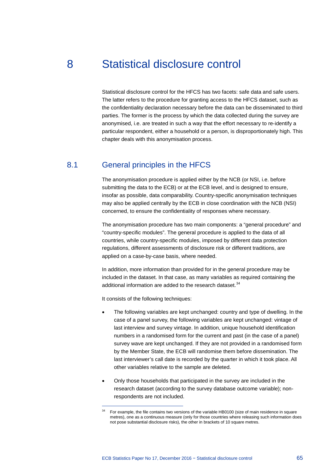# 8 Statistical disclosure control

Statistical disclosure control for the HFCS has two facets: safe data and safe users. The latter refers to the procedure for granting access to the HFCS dataset, such as the confidentiality declaration necessary before the data can be disseminated to third parties. The former is the process by which the data collected during the survey are anonymised, i.e. are treated in such a way that the effort necessary to re-identify a particular respondent, either a household or a person, is disproportionately high. This chapter deals with this anonymisation process.

# 8.1 General principles in the HFCS

The anonymisation procedure is applied either by the NCB (or NSI, i.e. before submitting the data to the ECB) or at the ECB level, and is designed to ensure, insofar as possible, data comparability. Country-specific anonymisation techniques may also be applied centrally by the ECB in close coordination with the NCB (NSI) concerned, to ensure the confidentiality of responses where necessary.

The anonymisation procedure has two main components: a "general procedure" and "country-specific modules". The general procedure is applied to the data of all countries, while country-specific modules, imposed by different data protection regulations, different assessments of disclosure risk or different traditions, are applied on a case-by-case basis, where needed.

In addition, more information than provided for in the general procedure may be included in the dataset. In that case, as many variables as required containing the additional information are added to the research dataset.<sup>[34](#page-66-0)</sup>

It consists of the following techniques:

- The following variables are kept unchanged: country and type of dwelling. In the case of a panel survey, the following variables are kept unchanged: vintage of last interview and survey vintage. In addition, unique household identification numbers in a randomised form for the current and past (in the case of a panel) survey wave are kept unchanged. If they are not provided in a randomised form by the Member State, the ECB will randomise them before dissemination. The last interviewer's call date is recorded by the quarter in which it took place. All other variables relative to the sample are deleted.
- Only those households that participated in the survey are included in the research dataset (according to the survey database outcome variable); nonrespondents are not included.

<span id="page-66-0"></span><sup>34</sup> For example, the file contains two versions of the variable HB0100 (size of main residence in square metres), one as a continuous measure (only for those countries where releasing such information does not pose substantial disclosure risks), the other in brackets of 10 square metres.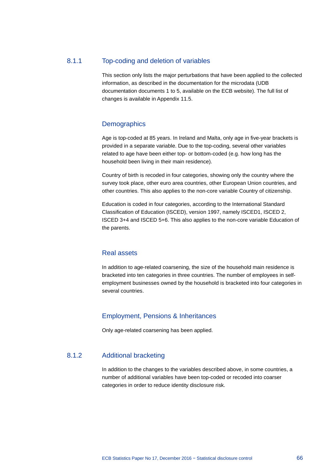## 8.1.1 Top-coding and deletion of variables

This section only lists the major perturbations that have been applied to the collected information, as described in the documentation for the microdata (UDB documentation documents 1 to 5, available on the ECB website). The full list of changes is available in Appendix 11.5.

### **Demographics**

Age is top-coded at 85 years. In Ireland and Malta, only age in five-year brackets is provided in a separate variable. Due to the top-coding, several other variables related to age have been either top- or bottom-coded (e.g. how long has the household been living in their main residence).

Country of birth is recoded in four categories, showing only the country where the survey took place, other euro area countries, other European Union countries, and other countries. This also applies to the non-core variable Country of citizenship.

Education is coded in four categories, according to the International Standard Classification of Education (ISCED), version 1997, namely ISCED1, ISCED 2, ISCED 3+4 and ISCED 5+6. This also applies to the non-core variable Education of the parents.

### Real assets

In addition to age-related coarsening, the size of the household main residence is bracketed into ten categories in three countries. The number of employees in selfemployment businesses owned by the household is bracketed into four categories in several countries.

## Employment, Pensions & Inheritances

Only age-related coarsening has been applied.

## 8.1.2 Additional bracketing

In addition to the changes to the variables described above, in some countries, a number of additional variables have been top-coded or recoded into coarser categories in order to reduce identity disclosure risk.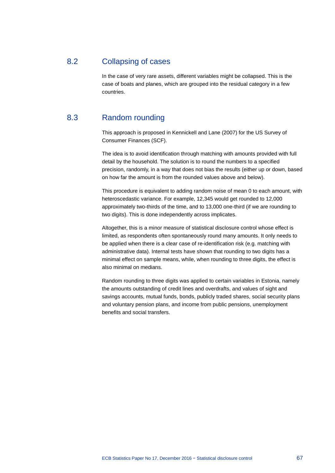# 8.2 Collapsing of cases

In the case of very rare assets, different variables might be collapsed. This is the case of boats and planes, which are grouped into the residual category in a few countries.

# 8.3 Random rounding

This approach is proposed in Kennickell and Lane (2007) for the US Survey of Consumer Finances (SCF).

The idea is to avoid identification through matching with amounts provided with full detail by the household. The solution is to round the numbers to a specified precision, randomly, in a way that does not bias the results (either up or down, based on how far the amount is from the rounded values above and below).

This procedure is equivalent to adding random noise of mean 0 to each amount, with heteroscedastic variance. For example, 12,345 would get rounded to 12,000 approximately two-thirds of the time, and to 13,000 one-third (if we are rounding to two digits). This is done independently across implicates.

Altogether, this is a minor measure of statistical disclosure control whose effect is limited, as respondents often spontaneously round many amounts. It only needs to be applied when there is a clear case of re-identification risk (e.g. matching with administrative data). Internal tests have shown that rounding to two digits has a minimal effect on sample means, while, when rounding to three digits, the effect is also minimal on medians.

Random rounding to three digits was applied to certain variables in Estonia, namely the amounts outstanding of credit lines and overdrafts, and values of sight and savings accounts, mutual funds, bonds, publicly traded shares, social security plans and voluntary pension plans, and income from public pensions, unemployment benefits and social transfers.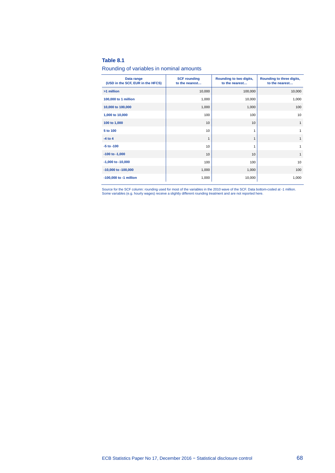### **Table 8.1**

#### Rounding of variables in nominal amounts

| Data range<br>(USD in the SCF, EUR in the HFCS) | <b>SCF rounding</b><br>to the nearest | Rounding to two digits,<br>to the nearest | Rounding to three digits,<br>to the nearest |
|-------------------------------------------------|---------------------------------------|-------------------------------------------|---------------------------------------------|
| >1 million                                      | 10,000                                | 100,000                                   | 10,000                                      |
| 100,000 to 1 million                            | 1,000                                 | 10,000                                    | 1,000                                       |
| 10,000 to 100,000                               | 1,000                                 | 1,000                                     | 100                                         |
| 1,000 to 10,000                                 | 100                                   | 100                                       | 10                                          |
| 100 to 1,000                                    | 10                                    | 10                                        | $\mathbf{1}$                                |
| 5 to 100                                        | 10                                    | 1                                         | $\mathbf{1}$                                |
| $-4$ to $4$                                     | 1                                     | 1                                         | $\mathbf{1}$                                |
| $-5$ to $-100$                                  | 10                                    | 1                                         | 1                                           |
| $-100$ to $-1,000$                              | 10                                    | 10                                        | $\mathbf{1}$                                |
| $-1,000$ to $-10,000$                           | 100                                   | 100                                       | 10                                          |
| $-10,000$ to $-100,000$                         | 1,000                                 | 1,000                                     | 100                                         |
| -100,000 to -1 million                          | 1,000                                 | 10,000                                    | 1,000                                       |

Source for the SCF column: rounding used for most of the variables in the 2010 wave of the SCF. Data bottom-coded at -1 million.<br>Some variables (e.g. hourly wages) receive a slightly different rounding treatment and are no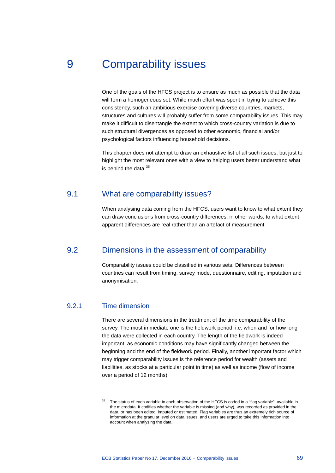# 9 Comparability issues

One of the goals of the HFCS project is to ensure as much as possible that the data will form a homogeneous set. While much effort was spent in trying to achieve this consistency, such an ambitious exercise covering diverse countries, markets, structures and cultures will probably suffer from some comparability issues. This may make it difficult to disentangle the extent to which cross-country variation is due to such structural divergences as opposed to other economic, financial and/or psychological factors influencing household decisions.

This chapter does not attempt to draw an exhaustive list of all such issues, but just to highlight the most relevant ones with a view to helping users better understand what is behind the data. $35$ 

# 9.1 What are comparability issues?

When analysing data coming from the HFCS, users want to know to what extent they can draw conclusions from cross-country differences, in other words, to what extent apparent differences are real rather than an artefact of measurement.

# 9.2 Dimensions in the assessment of comparability

Comparability issues could be classified in various sets. Differences between countries can result from timing, survey mode, questionnaire, editing, imputation and anonymisation.

# 9.2.1 Time dimension

-

There are several dimensions in the treatment of the time comparability of the survey. The most immediate one is the fieldwork period, i.e. when and for how long the data were collected in each country. The length of the fieldwork is indeed important, as economic conditions may have significantly changed between the beginning and the end of the fieldwork period. Finally, another important factor which may trigger comparability issues is the reference period for wealth (assets and liabilities, as stocks at a particular point in time) as well as income (flow of income over a period of 12 months).

<span id="page-70-0"></span><sup>&</sup>lt;sup>35</sup> The status of each variable in each observation of the HFCS is coded in a "flag variable", available in the microdata. It codifies whether the variable is missing (and why), was recorded as provided in the data, or has been edited, imputed or estimated. Flag variables are thus an extremely rich source of information at the granular level on data issues, and users are urged to take this information into account when analysing the data.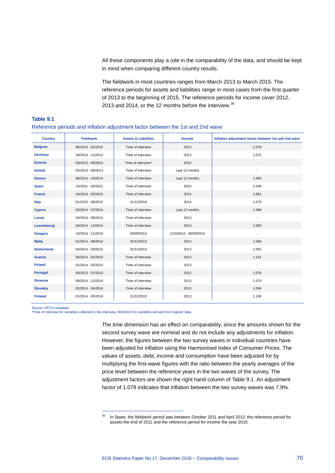All these components play a role in the comparability of the data, and should be kept in mind when comparing different country results.

The fieldwork in most countries ranges from March 2013 to March 2015. The reference periods for assets and liabilities range in most cases from the first quarter of 2013 to the beginning of 2015. The reference periods for income cover 2012, 2013 and 2014, or the 12 months before the interview.<sup>[36](#page-71-0)</sup>

| <b>Country</b>     | <b>Fieldwork</b>  | <b>Assets &amp; Liabilities</b> | <b>Income</b>          | Inflation adjustment factor between 1st and 2nd wave |  |
|--------------------|-------------------|---------------------------------|------------------------|------------------------------------------------------|--|
| <b>Belgium</b>     | 06/2014 - 01/2015 | Time of interview               | 2013                   | 1.079                                                |  |
| Germany            | 04/2014 - 11/2014 | Time of interview               | 2013                   | 1.072                                                |  |
| <b>Estonia</b>     | 03/2013 - 06/2013 | Time of interview*              | 2012                   |                                                      |  |
| <b>Ireland</b>     | 03/2013 - 09/2013 | Time of interview               | Last 12 months         |                                                      |  |
| <b>Greece</b>      | 06/2014 - 10/2014 | Time of interview               | Last 12 months         | 1.066                                                |  |
| <b>Spain</b>       | 10/2011 - 04/2012 | Time of interview               | 2010                   | 1.049                                                |  |
| <b>France</b>      | 10/2014 - 02/2015 | Time of interview               | 2014                   | 1.081                                                |  |
| <b>Italy</b>       | 01/2015 - 06/2015 | 31/12/2014                      | 2014                   | 1.079                                                |  |
| <b>Cyprus</b>      | 02/2014 - 07/2014 | Time of interview               | Last 12 months         | 1.068                                                |  |
| Latvia             | 04/2014 - 09/2014 | Time of interview               | 2013                   |                                                      |  |
| Luxembourg         | 04/2014 - 12/2014 | Time of interview               | 2013                   | 1.093                                                |  |
| <b>Hungary</b>     | 10/2014 - 11/2014 | 30/09/2014                      | 1/10/2013 - 30/09/2014 | $\overline{\phantom{a}}$                             |  |
| <b>Malta</b>       | 01/2014 - 06/2014 | 31/12/2013                      | 2013                   | 1.069                                                |  |
| <b>Netherlands</b> | 04/2014 - 03/2015 | 31/12/2013                      | 2013                   | 1.091                                                |  |
| <b>Austria</b>     | 06/2014 - 02/2015 | Time of interview               | 2013                   | 1.101                                                |  |
| <b>Poland</b>      | 01/2014 - 02/2014 | Time of interview               | 2013                   | $\overline{\phantom{a}}$                             |  |
| Portugal           | 03/2013 - 07/2013 | Time of interview               | 2012                   | 1.079                                                |  |
| <b>Slovenia</b>    | 09/2014 - 12/2014 | Time of interview               | 2013                   | 1.074                                                |  |
| <b>Slovakia</b>    | 02/2014 - 04/2014 | Time of interview               | 2013                   | 1.094                                                |  |
| <b>Finland</b>     | 01/2014 - 05/2014 | 31/12/2013                      | 2013                   | 1.108                                                |  |

#### **Table 9.1** Reference periods and inflation adjustment factor between the 1st and 2nd wave

Source: HFCS metadata.

\*Time of interview for variables collected in the interview, 30/4/2013 for variables derived from register data.

-

The time dimension has an effect on comparability, since the amounts shown for the second survey wave are nominal and do not include any adjustments for inflation. However, the figures between the two survey waves in individual countries have been adjusted for inflation using the Harmonised Index of Consumer Prices. The values of assets, debt, income and consumption have been adjusted for by multiplying the first-wave figures with the ratio between the yearly averages of the price level between the reference years in the two waves of the survey. The adjustment factors are shown the right hand column of Table 9.1. An adjustment factor of 1.079 indicates that inflation between the two survey waves was 7.9%.

<span id="page-71-0"></span><sup>&</sup>lt;sup>36</sup> In Spain, the fieldwork period was between October 2011 and April 2012, the reference period for assets the end of 2011 and the reference period for income the year 2010.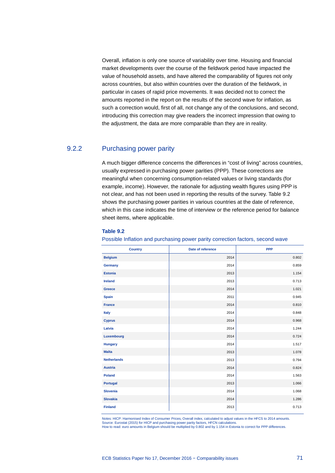Overall, inflation is only one source of variability over time. Housing and financial market developments over the course of the fieldwork period have impacted the value of household assets, and have altered the comparability of figures not only across countries, but also within countries over the duration of the fieldwork, in particular in cases of rapid price movements. It was decided not to correct the amounts reported in the report on the results of the second wave for inflation, as such a correction would, first of all, not change any of the conclusions, and second, introducing this correction may give readers the incorrect impression that owing to the adjustment, the data are more comparable than they are in reality.

## 9.2.2 Purchasing power parity

A much bigger difference concerns the differences in "cost of living" across countries, usually expressed in purchasing power parities (PPP). These corrections are meaningful when concerning consumption-related values or living standards (for example, income). However, the rationale for adjusting wealth figures using PPP is not clear, and has not been used in reporting the results of the survey. Table 9.2 shows the purchasing power parities in various countries at the date of reference, which in this case indicates the time of interview or the reference period for balance sheet items, where applicable.

### **Table 9.2**

Possible Inflation and purchasing power parity correction factors, second wave

| <b>Country</b>     | Date of reference | <b>PPP</b> |
|--------------------|-------------------|------------|
| <b>Belgium</b>     | 2014              | 0.802      |
| Germany            | 2014              | 0.859      |
| <b>Estonia</b>     | 2013              | 1.154      |
| <b>Ireland</b>     | 2013              | 0.713      |
| Greece             | 2014              | 1.021      |
| <b>Spain</b>       | 2011              | 0.945      |
| <b>France</b>      | 2014              | 0.810      |
| Italy              | 2014              | 0.848      |
| <b>Cyprus</b>      | 2014              | 0.968      |
| Latvia             | 2014              | 1.244      |
| Luxembourg         | 2014              | 0.724      |
| <b>Hungary</b>     | 2014              | 1.517      |
| <b>Malta</b>       | 2013              | 1.078      |
| <b>Netherlands</b> | 2013              | 0.794      |
| <b>Austria</b>     | 2014              | 0.824      |
| <b>Poland</b>      | 2014              | 1.563      |
| <b>Portugal</b>    | 2013              | 1.066      |
| <b>Slovenia</b>    | 2014              | 1.068      |
| <b>Slovakia</b>    | 2014              | 1.286      |
| <b>Finland</b>     | 2013              | 0.713      |

Notes: HICP: Harmonised Index of Consumer Prices, Overall index, calculated to adjust values in the HFCS to 2014 amounts. Source: Eurostat (2015) for HICP and purchasing power parity factors, HFCN calculations. How to read: euro amounts in Belgium should be multiplied by 0.802 and by 1.154 in Estonia to correct for PPP differences.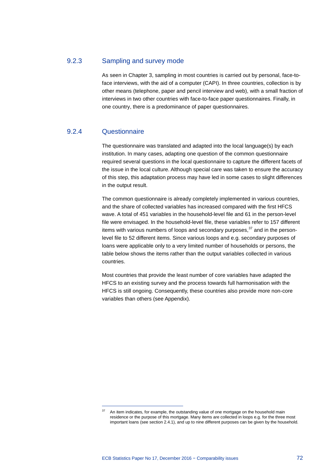## 9.2.3 Sampling and survey mode

As seen in Chapter 3, sampling in most countries is carried out by personal, face-toface interviews, with the aid of a computer (CAPI). In three countries, collection is by other means (telephone, paper and pencil interview and web), with a small fraction of interviews in two other countries with face-to-face paper questionnaires. Finally, in one country, there is a predominance of paper questionnaires.

## 9.2.4 Questionnaire

-

The questionnaire was translated and adapted into the local language(s) by each institution. In many cases, adapting one question of the common questionnaire required several questions in the local questionnaire to capture the different facets of the issue in the local culture. Although special care was taken to ensure the accuracy of this step, this adaptation process may have led in some cases to slight differences in the output result.

The common questionnaire is already completely implemented in various countries, and the share of collected variables has increased compared with the first HFCS wave. A total of 451 variables in the household-level file and 61 in the person-level file were envisaged. In the household-level file, these variables refer to 157 different items with various numbers of loops and secondary purposes, $37$  and in the personlevel file to 52 different items. Since various loops and e.g. secondary purposes of loans were applicable only to a very limited number of households or persons, the table below shows the items rather than the output variables collected in various countries.

Most countries that provide the least number of core variables have adapted the HFCS to an existing survey and the process towards full harmonisation with the HFCS is still ongoing. Consequently, these countries also provide more non-core variables than others (see Appendix).

<span id="page-73-0"></span> $37$  An item indicates, for example, the outstanding value of one mortgage on the household main residence or the purpose of this mortgage. Many items are collected in loops e.g. for the three most important loans (see section 2.4.1), and up to nine different purposes can be given by the household.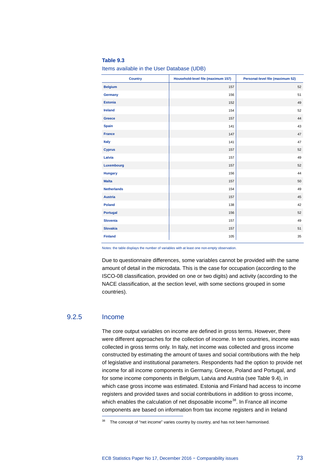#### **Table 9.3**

Items available in the User Database (UDB)

| <b>Country</b>     | Household-level file (maximum 157) | Personal-level file (maximum 52) |
|--------------------|------------------------------------|----------------------------------|
| <b>Belgium</b>     | 157                                | 52                               |
| Germany            | 156                                | 51                               |
| <b>Estonia</b>     | 152                                | 49                               |
| <b>Ireland</b>     | 154                                | 52                               |
| Greece             | 157                                | 44                               |
| <b>Spain</b>       | 141                                | 43                               |
| <b>France</b>      | 147                                | 47                               |
| <b>Italy</b>       | 141                                | 47                               |
| <b>Cyprus</b>      | 157                                | 52                               |
| Latvia             | 157                                | 49                               |
| Luxembourg         | 157                                | 52                               |
| <b>Hungary</b>     | 156                                | 44                               |
| <b>Malta</b>       | 157                                | 50                               |
| <b>Netherlands</b> | 154                                | 49                               |
| <b>Austria</b>     | 157                                | 45                               |
| <b>Poland</b>      | 138                                | 42                               |
| Portugal           | 156                                | 52                               |
| <b>Slovenia</b>    | 157                                | 49                               |
| <b>Slovakia</b>    | 157                                | 51                               |
| <b>Finland</b>     | 105                                | 35                               |

Notes: the table displays the number of variables with at least one non-empty observation.

Due to questionnaire differences, some variables cannot be provided with the same amount of detail in the microdata. This is the case for occupation (according to the ISCO-08 classification, provided on one or two digits) and activity (according to the NACE classification, at the section level, with some sections grouped in some countries).

## 9.2.5 Income

-

The core output variables on income are defined in gross terms. However, there were different approaches for the collection of income. In ten countries, income was collected in gross terms only. In Italy, net income was collected and gross income constructed by estimating the amount of taxes and social contributions with the help of legislative and institutional parameters. Respondents had the option to provide net income for all income components in Germany, Greece, Poland and Portugal, and for some income components in Belgium, Latvia and Austria (see Table 9.4), in which case gross income was estimated. Estonia and Finland had access to income registers and provided taxes and social contributions in addition to gross income, which enables the calculation of net disposable income<sup>[38](#page-74-0)</sup>. In France all income components are based on information from tax income registers and in Ireland

<span id="page-74-0"></span> $38$  The concept of "net income" varies country by country, and has not been harmonised.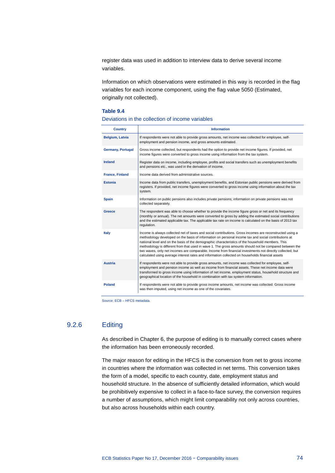register data was used in addition to interview data to derive several income variables.

Information on which observations were estimated in this way is recorded in the flag variables for each income component, using the flag value 5050 (Estimated, originally not collected).

### **Table 9.4**

#### Deviations in the collection of income variables

| <b>Country</b>           | <b>Information</b>                                                                                                                                                                                                                                                                                                                                                                                                                                                                                                                                                                                                                                 |
|--------------------------|----------------------------------------------------------------------------------------------------------------------------------------------------------------------------------------------------------------------------------------------------------------------------------------------------------------------------------------------------------------------------------------------------------------------------------------------------------------------------------------------------------------------------------------------------------------------------------------------------------------------------------------------------|
| Belgium, Latvia          | If respondents were not able to provide gross amounts, net income was collected for employee, self-<br>employment and pension income, and gross amounts estimated.                                                                                                                                                                                                                                                                                                                                                                                                                                                                                 |
| <b>Germany, Portugal</b> | Gross income collected, but respondents had the option to provide net income figures. If provided, net<br>income figures were converted to gross income using information from the tax system.                                                                                                                                                                                                                                                                                                                                                                                                                                                     |
| <b>Ireland</b>           | Register data on income, including employee, profits and social transfers such as unemployment benefits<br>and pensions etc., was used in the derivation of income.                                                                                                                                                                                                                                                                                                                                                                                                                                                                                |
| <b>France, Finland</b>   | Income data derived from administrative sources.                                                                                                                                                                                                                                                                                                                                                                                                                                                                                                                                                                                                   |
| <b>Estonia</b>           | Income data from public transfers, unemployment benefits, and Estonian public pensions were derived from<br>registers. If provided, net income figures were converted to gross income using information about the tax<br>system.                                                                                                                                                                                                                                                                                                                                                                                                                   |
| <b>Spain</b>             | Information on public pensions also includes private pensions; information on private pensions was not<br>collected separately.                                                                                                                                                                                                                                                                                                                                                                                                                                                                                                                    |
| Greece                   | The respondent was able to choose whether to provide the income figure gross or net and its frequency<br>(monthly or annual). The net amounts were converted to gross by adding the estimated social contributions<br>and the estimated applicable tax. The applicable tax rate on income is calculated on the basis of 2013 tax<br>regulation.                                                                                                                                                                                                                                                                                                    |
| <b>Italy</b>             | Income is always collected net of taxes and social contributions. Gross incomes are reconstructed using a<br>methodology developed on the basis of information on personal income tax and social contributions at<br>national level and on the basis of the demographic characteristics of the household members. This<br>methodology is different from that used in wave 1. The gross amounts should not be compared between the<br>two waves, only net incomes are comparable. Income from financial investments not directly collected, but<br>calculated using average interest rates and information collected on households financial assets |
| <b>Austria</b>           | If respondents were not able to provide gross amounts, net income was collected for employee, self-<br>employment and pension income as well as income from financial assets. These net income data were<br>transformed to gross income using information of net income, employment status, household structure and<br>geographical location of the household in combination with tax system information.                                                                                                                                                                                                                                          |
| <b>Poland</b>            | If respondents were not able to provide gross income amounts, net income was collected. Gross income<br>was then imputed, using net income as one of the covariates.                                                                                                                                                                                                                                                                                                                                                                                                                                                                               |

Source: ECB – HFCS metadata.

## 9.2.6 Editing

As described in Chapter 6, the purpose of editing is to manually correct cases where the information has been erroneously recorded.

The major reason for editing in the HFCS is the conversion from net to gross income in countries where the information was collected in net terms. This conversion takes the form of a model, specific to each country, date, employment status and household structure. In the absence of sufficiently detailed information, which would be prohibitively expensive to collect in a face-to-face survey, the conversion requires a number of assumptions, which might limit comparability not only across countries, but also across households within each country.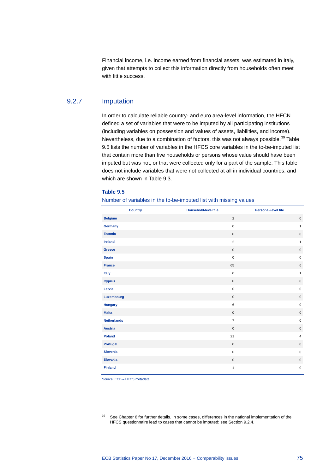Financial income, i.e. income earned from financial assets, was estimated in Italy, given that attempts to collect this information directly from households often meet with little success.

## 9.2.7 Imputation

In order to calculate reliable country- and euro area-level information, the HFCN defined a set of variables that were to be imputed by all participating institutions (including variables on possession and values of assets, liabilities, and income). Nevertheless, due to a combination of factors, this was not always possible.<sup>[39](#page-76-0)</sup> Table 9.5 lists the number of variables in the HFCS core variables in the to-be-imputed list that contain more than five households or persons whose value should have been imputed but was not, or that were collected only for a part of the sample. This table does not include variables that were not collected at all in individual countries, and which are shown in Table 9.3.

#### **Table 9.5**

Number of variables in the to-be-imputed list with missing values

| <b>Country</b>     | <b>Household-level file</b> | <b>Personal-level file</b> |
|--------------------|-----------------------------|----------------------------|
| <b>Belgium</b>     | $\overline{2}$              | $\mathsf 0$                |
| Germany            | $\mathbf 0$                 | $\mathbf{1}$               |
| <b>Estonia</b>     | $\mathbf 0$                 | $\mathsf 0$                |
| <b>Ireland</b>     | $\overline{2}$              | $\mathbf{1}$               |
| <b>Greece</b>      | $\mathbf 0$                 | $\mathsf{O}\xspace$        |
| <b>Spain</b>       | $\mathbf 0$                 | $\mathsf 0$                |
| <b>France</b>      | 65                          | $\,6\,$                    |
| Italy              | $\mathsf 0$                 | $\mathbf{1}$               |
| <b>Cyprus</b>      | $\mathsf 0$                 | $\mathsf{O}\xspace$        |
| Latvia             | $\mathbf 0$                 | $\mathsf 0$                |
| Luxembourg         | $\mathbf 0$                 | $\mathsf 0$                |
| <b>Hungary</b>     | 6                           | $\mathsf 0$                |
| <b>Malta</b>       | $\mathbf 0$                 | $\mathsf{O}\xspace$        |
| <b>Netherlands</b> | $\overline{7}$              | $\pmb{0}$                  |
| <b>Austria</b>     | $\bf 0$                     | $\mathsf 0$                |
| <b>Poland</b>      | 21                          | $\overline{4}$             |
| <b>Portugal</b>    | $\mathsf 0$                 | $\mathbf 0$                |
| <b>Slovenia</b>    | $\mathbf 0$                 | $\pmb{0}$                  |
| <b>Slovakia</b>    | $\mathbf 0$                 | $\mathsf{O}\xspace$        |
| <b>Finland</b>     | $\mathbf{1}$                | $\pmb{0}$                  |

Source: ECB – HFCS metadata.

-

<span id="page-76-0"></span><sup>&</sup>lt;sup>39</sup> See Chapter 6 for further details. In some cases, differences in the national implementation of the HFCS questionnaire lead to cases that cannot be imputed: see Section 9.2.4.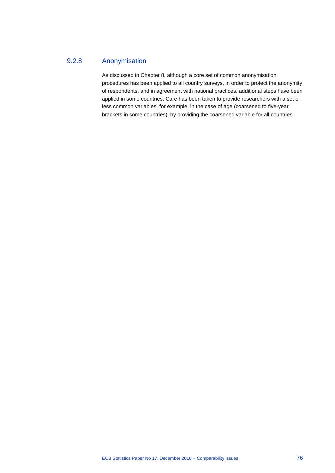## 9.2.8 Anonymisation

As discussed in Chapter 8, although a core set of common anonymisation procedures has been applied to all country surveys, in order to protect the anonymity of respondents, and in agreement with national practices, additional steps have been applied in some countries. Care has been taken to provide researchers with a set of less common variables, for example, in the case of age (coarsened to five-year brackets in some countries), by providing the coarsened variable for all countries.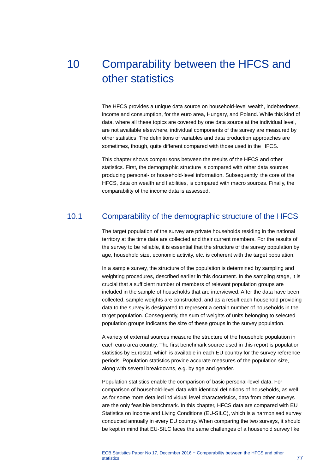# 10 Comparability between the HFCS and other statistics

The HFCS provides a unique data source on household-level wealth, indebtedness, income and consumption, for the euro area, Hungary, and Poland. While this kind of data, where all these topics are covered by one data source at the individual level, are not available elsewhere, individual components of the survey are measured by other statistics. The definitions of variables and data production approaches are sometimes, though, quite different compared with those used in the HFCS.

This chapter shows comparisons between the results of the HFCS and other statistics. First, the demographic structure is compared with other data sources producing personal- or household-level information. Subsequently, the core of the HFCS, data on wealth and liabilities, is compared with macro sources. Finally, the comparability of the income data is assessed.

## 10.1 Comparability of the demographic structure of the HFCS

The target population of the survey are private households residing in the national territory at the time data are collected and their current members. For the results of the survey to be reliable, it is essential that the structure of the survey population by age, household size, economic activity, etc. is coherent with the target population.

In a sample survey, the structure of the population is determined by sampling and weighting procedures, described earlier in this document. In the sampling stage, it is crucial that a sufficient number of members of relevant population groups are included in the sample of households that are interviewed. After the data have been collected, sample weights are constructed, and as a result each household providing data to the survey is designated to represent a certain number of households in the target population. Consequently, the sum of weights of units belonging to selected population groups indicates the size of these groups in the survey population.

A variety of external sources measure the structure of the household population in each euro area country. The first benchmark source used in this report is population statistics by Eurostat, which is available in each EU country for the survey reference periods. Population statistics provide accurate measures of the population size, along with several breakdowns, e.g. by age and gender.

Population statistics enable the comparison of basic personal-level data. For comparison of household-level data with identical definitions of households, as well as for some more detailed individual level characteristics, data from other surveys are the only feasible benchmark. In this chapter, HFCS data are compared with EU Statistics on Income and Living Conditions (EU-SILC), which is a harmonised survey conducted annually in every EU country. When comparing the two surveys, it should be kept in mind that EU-SILC faces the same challenges of a household survey like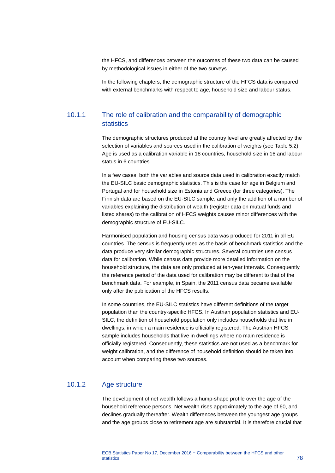the HFCS, and differences between the outcomes of these two data can be caused by methodological issues in either of the two surveys.

In the following chapters, the demographic structure of the HFCS data is compared with external benchmarks with respect to age, household size and labour status.

## 10.1.1 The role of calibration and the comparability of demographic statistics

The demographic structures produced at the country level are greatly affected by the selection of variables and sources used in the calibration of weights (see Table 5.2). Age is used as a calibration variable in 18 countries, household size in 16 and labour status in 6 countries.

In a few cases, both the variables and source data used in calibration exactly match the EU-SILC basic demographic statistics. This is the case for age in Belgium and Portugal and for household size in Estonia and Greece (for three categories). The Finnish data are based on the EU-SILC sample, and only the addition of a number of variables explaining the distribution of wealth (register data on mutual funds and listed shares) to the calibration of HFCS weights causes minor differences with the demographic structure of EU-SILC.

Harmonised population and housing census data was produced for 2011 in all EU countries. The census is frequently used as the basis of benchmark statistics and the data produce very similar demographic structures. Several countries use census data for calibration. While census data provide more detailed information on the household structure, the data are only produced at ten-year intervals. Consequently, the reference period of the data used for calibration may be different to that of the benchmark data. For example, in Spain, the 2011 census data became available only after the publication of the HFCS results.

In some countries, the EU-SILC statistics have different definitions of the target population than the country-specific HFCS. In Austrian population statistics and EU-SILC, the definition of household population only includes households that live in dwellings, in which a main residence is officially registered. The Austrian HFCS sample includes households that live in dwellings where no main residence is officially registered. Consequently, these statistics are not used as a benchmark for weight calibration, and the difference of household definition should be taken into account when comparing these two sources.

## 10.1.2 Age structure

The development of net wealth follows a hump-shape profile over the age of the household reference persons. Net wealth rises approximately to the age of 60, and declines gradually thereafter. Wealth differences between the youngest age groups and the age groups close to retirement age are substantial. It is therefore crucial that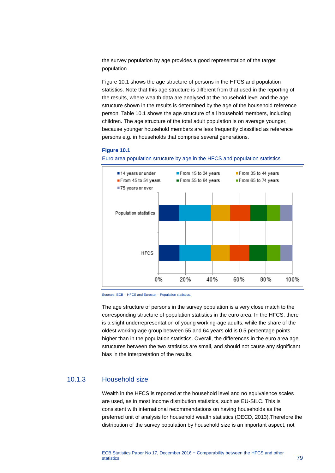the survey population by age provides a good representation of the target population.

Figure 10.1 shows the age structure of persons in the HFCS and population statistics. Note that this age structure is different from that used in the reporting of the results, where wealth data are analysed at the household level and the age structure shown in the results is determined by the age of the household reference person. Table 10.1 shows the age structure of all household members, including children. The age structure of the total adult population is on average younger, because younger household members are less frequently classified as reference persons e.g. in households that comprise several generations.

#### **Figure 10.1**



Euro area population structure by age in the HFCS and population statistics

The age structure of persons in the survey population is a very close match to the corresponding structure of population statistics in the euro area. In the HFCS, there is a slight underrepresentation of young working-age adults, while the share of the oldest working-age group between 55 and 64 years old is 0.5 percentage points higher than in the population statistics. Overall, the differences in the euro area age structures between the two statistics are small, and should not cause any significant bias in the interpretation of the results.

## 10.1.3 Household size

Wealth in the HFCS is reported at the household level and no equivalence scales are used, as in most income distribution statistics, such as EU-SILC. This is consistent with international recommendations on having households as the preferred unit of analysis for household wealth statistics (OECD, 2013).Therefore the distribution of the survey population by household size is an important aspect, not

Sources: ECB – HFCS and Eurostat – Population statistics.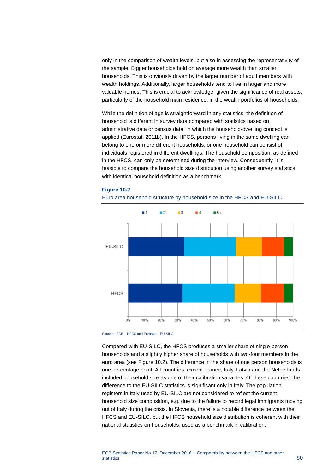only in the comparison of wealth levels, but also in assessing the representativity of the sample. Bigger households hold on average more wealth than smaller households. This is obviously driven by the larger number of adult members with wealth holdings. Additionally, larger households tend to live in larger and more valuable homes. This is crucial to acknowledge, given the significance of real assets, particularly of the household main residence, in the wealth portfolios of households.

While the definition of age is straightforward in any statistics, the definition of household is different in survey data compared with statistics based on administrative data or census data, in which the household-dwelling concept is applied (Eurostat, 2011b). In the HFCS, persons living in the same dwelling can belong to one or more different households, or one household can consist of individuals registered in different dwellings. The household composition, as defined in the HFCS, can only be determined during the interview. Consequently, it is feasible to compare the household size distribution using another survey statistics with identical household definition as a benchmark.

#### **Figure 10.2**





Sources: ECB – HFCS and Eurostat – EU-SILC.

Compared with EU-SILC, the HFCS produces a smaller share of single-person households and a slightly higher share of households with two-four members in the euro area (see Figure 10.2). The difference in the share of one person households is one percentage point. All countries, except France, Italy, Latvia and the Netherlands included household size as one of their calibration variables. Of these countries, the difference to the EU-SILC statistics is significant only in Italy. The population registers in Italy used by EU-SILC are not considered to reflect the current household size composition, e.g. due to the failure to record legal immigrants moving out of Italy during the crisis. In Slovenia, there is a notable difference between the HFCS and EU-SILC, but the HFCS household size distribution is coherent with their national statistics on households, used as a benchmark in calibration.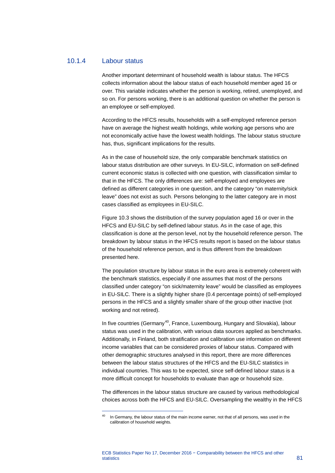## 10.1.4 Labour status

<span id="page-82-0"></span>-

Another important determinant of household wealth is labour status. The HFCS collects information about the labour status of each household member aged 16 or over. This variable indicates whether the person is working, retired, unemployed, and so on. For persons working, there is an additional question on whether the person is an employee or self-employed.

According to the HFCS results, households with a self-employed reference person have on average the highest wealth holdings, while working age persons who are not economically active have the lowest wealth holdings. The labour status structure has, thus, significant implications for the results.

As in the case of household size, the only comparable benchmark statistics on labour status distribution are other surveys. In EU-SILC, information on self-defined current economic status is collected with one question, with classification similar to that in the HFCS. The only differences are: self-employed and employees are defined as different categories in one question, and the category "on maternity/sick leave" does not exist as such. Persons belonging to the latter category are in most cases classified as employees in EU-SILC.

Figure 10.3 shows the distribution of the survey population aged 16 or over in the HFCS and EU-SILC by self-defined labour status. As in the case of age, this classification is done at the person level, not by the household reference person. The breakdown by labour status in the HFCS results report is based on the labour status of the household reference person, and is thus different from the breakdown presented here.

The population structure by labour status in the euro area is extremely coherent with the benchmark statistics, especially if one assumes that most of the persons classified under category "on sick/maternity leave" would be classified as employees in EU-SILC. There is a slightly higher share (0.4 percentage points) of self-employed persons in the HFCS and a slightly smaller share of the group other inactive (not working and not retired).

In five countries (Germany<sup>[40](#page-82-0)</sup>, France, Luxembourg, Hungary and Slovakia), labour status was used in the calibration, with various data sources applied as benchmarks. Additionally, in Finland, both stratification and calibration use information on different income variables that can be considered proxies of labour status. Compared with other demographic structures analysed in this report, there are more differences between the labour status structures of the HFCS and the EU-SILC statistics in individual countries. This was to be expected, since self-defined labour status is a more difficult concept for households to evaluate than age or household size.

The differences in the labour status structure are caused by various methodological choices across both the HFCS and EU-SILC. Oversampling the wealthy in the HFCS

In Germany, the labour status of the main income earner, not that of all persons, was used in the calibration of household weights.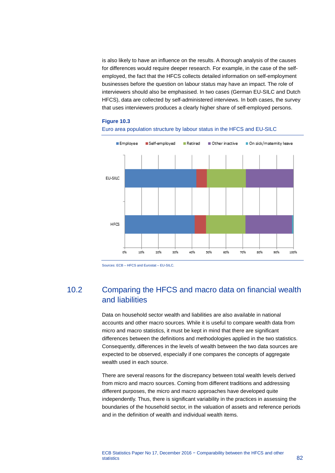is also likely to have an influence on the results. A thorough analysis of the causes for differences would require deeper research. For example, in the case of the selfemployed, the fact that the HFCS collects detailed information on self-employment businesses before the question on labour status may have an impact. The role of interviewers should also be emphasised. In two cases (German EU-SILC and Dutch HFCS), data are collected by self-administered interviews. In both cases, the survey that uses interviewers produces a clearly higher share of self-employed persons.

### **Figure 10.3**





Sources: ECB – HFCS and Eurostat – EU-SILC.

# 10.2 Comparing the HFCS and macro data on financial wealth and liabilities

Data on household sector wealth and liabilities are also available in national accounts and other macro sources. While it is useful to compare wealth data from micro and macro statistics, it must be kept in mind that there are significant differences between the definitions and methodologies applied in the two statistics. Consequently, differences in the levels of wealth between the two data sources are expected to be observed, especially if one compares the concepts of aggregate wealth used in each source.

There are several reasons for the discrepancy between total wealth levels derived from micro and macro sources. Coming from different traditions and addressing different purposes, the micro and macro approaches have developed quite independently. Thus, there is significant variability in the practices in assessing the boundaries of the household sector, in the valuation of assets and reference periods and in the definition of wealth and individual wealth items.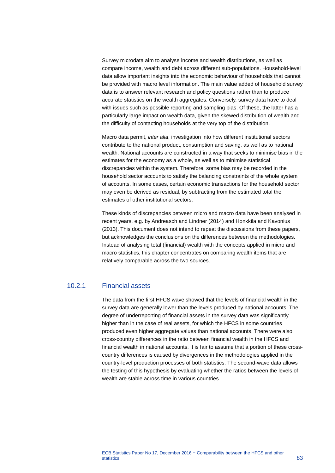Survey microdata aim to analyse income and wealth distributions, as well as compare income, wealth and debt across different sub-populations. Household-level data allow important insights into the economic behaviour of households that cannot be provided with macro level information. The main value added of household survey data is to answer relevant research and policy questions rather than to produce accurate statistics on the wealth aggregates. Conversely, survey data have to deal with issues such as possible reporting and sampling bias. Of these, the latter has a particularly large impact on wealth data, given the skewed distribution of wealth and the difficulty of contacting households at the very top of the distribution.

Macro data permit, *inter alia*, investigation into how different institutional sectors contribute to the national product, consumption and saving, as well as to national wealth. National accounts are constructed in a way that seeks to minimise bias in the estimates for the economy as a whole, as well as to minimise statistical discrepancies within the system. Therefore, some bias may be recorded in the household sector accounts to satisfy the balancing constraints of the whole system of accounts. In some cases, certain economic transactions for the household sector may even be derived as residual, by subtracting from the estimated total the estimates of other institutional sectors.

These kinds of discrepancies between micro and macro data have been analysed in recent years, e.g. by Andreasch and Lindner (2014) and Honkkila and Kavonius (2013). This document does not intend to repeat the discussions from these papers, but acknowledges the conclusions on the differences between the methodologies. Instead of analysing total (financial) wealth with the concepts applied in micro and macro statistics, this chapter concentrates on comparing wealth items that are relatively comparable across the two sources.

## 10.2.1 Financial assets

The data from the first HFCS wave showed that the levels of financial wealth in the survey data are generally lower than the levels produced by national accounts. The degree of underreporting of financial assets in the survey data was significantly higher than in the case of real assets, for which the HFCS in some countries produced even higher aggregate values than national accounts. There were also cross-country differences in the ratio between financial wealth in the HFCS and financial wealth in national accounts. It is fair to assume that a portion of these crosscountry differences is caused by divergences in the methodologies applied in the country-level production processes of both statistics. The second-wave data allows the testing of this hypothesis by evaluating whether the ratios between the levels of wealth are stable across time in various countries.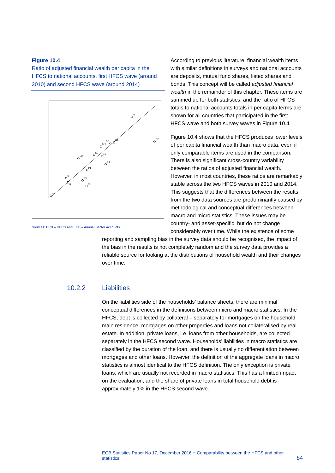### **Figure 10.4**

Ratio of adjusted financial wealth per capita in the HFCS to national accounts, first HFCS wave (around 2010) and second HFCS wave (around 2014)



Sources: ECB – HFCS and ECB – Annual Sector Accounts.

According to previous literature, financial wealth items with similar definitions in surveys and national accounts are deposits, mutual fund shares, listed shares and bonds. This concept will be called *adjusted financial wealth* in the remainder of this chapter. These items are summed up for both statistics, and the ratio of HFCS totals to national accounts totals in per capita terms are shown for all countries that participated in the first HFCS wave and both survey waves in Figure 10.4.

Figure 10.4 shows that the HFCS produces lower levels of per capita financial wealth than macro data, even if only comparable items are used in the comparison. There is also significant cross-country variability between the ratios of adjusted financial wealth. However, in most countries, these ratios are remarkably stable across the two HFCS waves in 2010 and 2014. This suggests that the differences between the results from the two data sources are predominantly caused by methodological and conceptual differences between macro and micro statistics. These issues may be country- and asset-specific, but do not change considerably over time. While the existence of some

reporting and sampling bias in the survey data should be recognised, the impact of the bias in the results is not completely random and the survey data provides a reliable source for looking at the distributions of household wealth and their changes over time.

## 10.2.2 Liabilities

On the liabilities side of the households' balance sheets, there are minimal conceptual differences in the definitions between micro and macro statistics. In the HFCS, debt is collected by collateral – separately for mortgages on the household main residence, mortgages on other properties and loans not collateralised by real estate. In addition, private loans, i.e. loans from other households, are collected separately in the HFCS second wave. Households' liabilities in macro statistics are classified by the duration of the loan, and there is usually no differentiation between mortgages and other loans. However, the definition of the aggregate loans in macro statistics is almost identical to the HFCS definition. The only exception is private loans, which are usually not recorded in macro statistics. This has a limited impact on the evaluation, and the share of private loans in total household debt is approximately 1% in the HFCS second wave.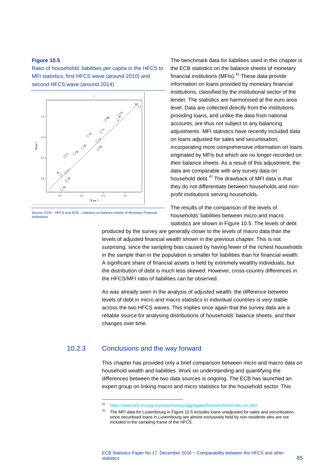### **Figure 10.5**

Ratio of households' liabilities per capita in the HFCS to MFI statistics, first HFCS wave (around 2010) and second HFCS wave (around 2014)



Source: ECB – HFCS and ECB – statistics on balance sheets of Monetary Financial Institutions

The benchmark data for liabilities used in this chapter is the ECB statistics on the balance sheets of monetary financial institutions (MFIs). $41$  These data provide information on loans provided by monetary financial institutions, classified by the institutional sector of the lender. The statistics are harmonised at the euro area level. Data are collected directly from the institutions providing loans, and unlike the data from national accounts, are thus not subject to any balancing adjustments. MFI statistics have recently included data on loans adjusted for sales and securitisation, incorporating more comprehensive information on loans originated by MFIs but which are no longer recorded on their balance sheets. As a result of this adjustment, the data are comparable with any survey data on household debt.<sup>[42](#page-86-1)</sup> The drawback of MFI data is that they do not differentiate between households and nonprofit institutions serving households.

The results of the comparison of the levels of households' liabilities between micro and macro statistics are shown in Figure 10.5. The levels of debt

produced by the survey are generally closer to the levels of macro data than the levels of adjusted financial wealth shown in the previous chapter. This is not surprising, since the sampling bias caused by having fewer of the richest households in the sample than in the population is smaller for liabilities than for financial wealth. A significant share of financial assets is held by extremely wealthy individuals, but the distribution of debt is much less skewed. However, cross-country differences in the HFCS/MFI ratio of liabilities can be observed.

As was already seen in the analysis of adjusted wealth, the difference between levels of debt in micro and macro statistics in individual countries is very stable across the two HFCS waves. This implies once again that the survey data are a reliable source for analysing distributions of households' balance sheets, and their changes over time.

## <span id="page-86-1"></span><span id="page-86-0"></span>10.2.3 Conclusions and the way forward

-

This chapter has provided only a brief comparison between micro and macro data on household wealth and liabilities. Work on understanding and quantifying the differences between the two data sources is ongoing. The ECB has launched an expert group on linking macro and micro statistics for the household sector. This

<sup>41</sup> <https://www.ecb.europa.eu/stats/money/aggregates/bsheets/html/index.en.html>

 $42$  The MFI data for Luxembourg in Figure 10.5 includes loans unadjusted for sales and securitisation, since securitised loans in Luxembourg are almost exclusively held by non-residents who are not included in the sampling frame of the HFCS.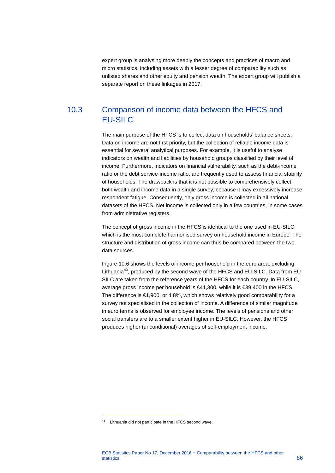expert group is analysing more deeply the concepts and practices of macro and micro statistics, including assets with a lesser degree of comparability such as unlisted shares and other equity and pension wealth. The expert group will publish a separate report on these linkages in 2017.

# 10.3 Comparison of income data between the HFCS and EU-SILC

The main purpose of the HFCS is to collect data on households' balance sheets. Data on income are not first priority, but the collection of reliable income data is essential for several analytical purposes. For example, it is useful to analyse indicators on wealth and liabilities by household groups classified by their level of income. Furthermore, indicators on financial vulnerability, such as the debt-income ratio or the debt service-income ratio, are frequently used to assess financial stability of households. The drawback is that it is not possible to comprehensively collect both wealth and income data in a single survey, because it may excessively increase respondent fatigue. Consequently, only gross income is collected in all national datasets of the HFCS. Net income is collected only in a few countries, in some cases from administrative registers.

The concept of gross income in the HFCS is identical to the one used in EU-SILC, which is the most complete harmonised survey on household income in Europe. The structure and distribution of gross income can thus be compared between the two data sources.

Figure 10.6 shows the levels of income per household in the euro area, excluding Lithuania<sup>[43](#page-87-0)</sup>, produced by the second wave of the HFCS and EU-SILC. Data from EU-SILC are taken from the reference years of the HFCS for each country. In EU-SILC, average gross income per household is €41,300, while it is €39,400 in the HFCS. The difference is €1,900, or 4.8%, which shows relatively good comparability for a survey not specialised in the collection of income. A difference of similar magnitude in euro terms is observed for employee income. The levels of pensions and other social transfers are to a smaller extent higher in EU-SILC. However, the HFCS produces higher (unconditional) averages of self-employment income.

-

<span id="page-87-0"></span><sup>43</sup> Lithuania did not participate in the HFCS second wave.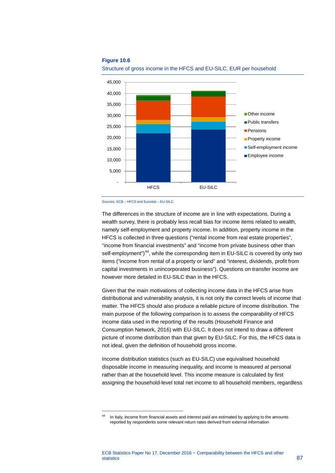#### **Figure 10.6**



Structure of gross income in the HFCS and EU-SILC, EUR per household

<span id="page-88-0"></span>-

The differences in the structure of income are in line with expectations. During a wealth survey, there is probably less recall bias for income items related to wealth, namely self-employment and property income. In addition, property income in the HFCS is collected in three questions ("rental income from real estate properties", "income from financial investments" and "income from private business other than self-employment")<sup>44</sup>, while the corresponding item in EU-SILC is covered by only two items ("income from rental of a property or land" and "interest, dividends, profit from capital investments in unincorporated business"). Questions on transfer income are however more detailed in EU-SILC than in the HFCS.

Given that the main motivations of collecting income data in the HFCS arise from distributional and vulnerability analysis, it is not only the correct levels of income that matter. The HFCS should also produce a reliable picture of income distribution. The main purpose of the following comparison is to assess the comparability of HFCS income data used in the reporting of the results (Household Finance and Consumption Network, 2016) with EU-SILC. It does not intend to draw a different picture of income distribution than that given by EU-SILC. For this, the HFCS data is not ideal, given the definition of household gross income.

Income distribution statistics (such as EU-SILC) use equivalised household disposable income in measuring inequality, and income is measured at personal rather than at the household level. This income measure is calculated by first assigning the household-level total net income to all household members, regardless

Sources: ECB – HFCS and Eurostat – EU-SILC.

In Italy, income from financial assets and interest paid are estimated by applying to the amounts reported by respondents some relevant return rates derived from external information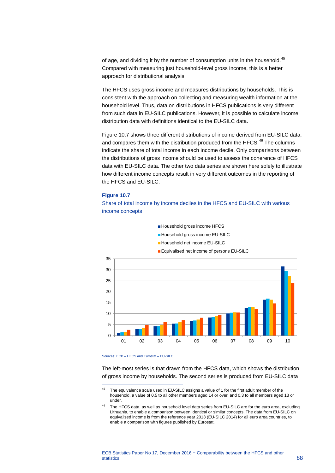of age, and dividing it by the number of consumption units in the household.<sup>[45](#page-89-0)</sup> Compared with measuring just household-level gross income, this is a better approach for distributional analysis.

The HFCS uses gross income and measures distributions by households. This is consistent with the approach on collecting and measuring wealth information at the household level. Thus, data on distributions in HFCS publications is very different from such data in EU-SILC publications. However, it is possible to calculate income distribution data with definitions identical to the EU-SILC data.

Figure 10.7 shows three different distributions of income derived from EU-SILC data, and compares them with the distribution produced from the HFCS.<sup>[46](#page-89-1)</sup> The columns indicate the share of total income in each income decile. Only comparisons between the distributions of gross income should be used to assess the coherence of HFCS data with EU-SILC data. The other two data series are shown here solely to illustrate how different income concepts result in very different outcomes in the reporting of the HFCS and EU-SILC.

#### **Figure 10.7**

Share of total income by income deciles in the HFCS and EU-SILC with various income concepts



Sources: ECB – HFCS and Eurostat – EU-SILC.

-

The left-most series is that drawn from the HFCS data, which shows the distribution of gross income by households. The second series is produced from EU-SILC data

<span id="page-89-0"></span><sup>&</sup>lt;sup>45</sup> The equivalence scale used in EU-SILC assigns a value of 1 for the first adult member of the household, a value of 0.5 to all other members aged 14 or over, and 0.3 to all members aged 13 or under

<span id="page-89-1"></span><sup>&</sup>lt;sup>46</sup> The HFCS data, as well as household level data series from EU-SILC are for the euro area, excluding Lithuania, to enable a comparison between identical or similar concepts. The data from EU-SILC on equivalised income is from the reference year 2013 (EU-SILC 2014) for all euro area countries, to enable a comparison with figures published by Eurostat.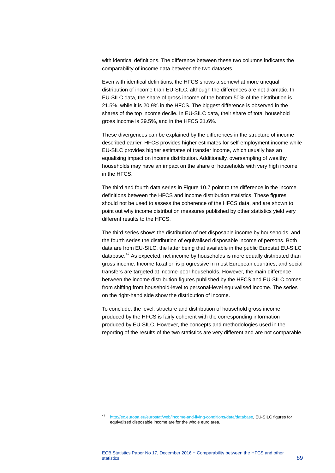with identical definitions. The difference between these two columns indicates the comparability of income data between the two datasets.

Even with identical definitions, the HFCS shows a somewhat more unequal distribution of income than EU-SILC, although the differences are not dramatic. In EU-SILC data, the share of gross income of the bottom 50% of the distribution is 21.5%, while it is 20.9% in the HFCS. The biggest difference is observed in the shares of the top income decile. In EU-SILC data, their share of total household gross income is 29.5%, and in the HFCS 31.6%.

These divergences can be explained by the differences in the structure of income described earlier. HFCS provides higher estimates for self-employment income while EU-SILC provides higher estimates of transfer income, which usually has an equalising impact on income distribution. Additionally, oversampling of wealthy households may have an impact on the share of households with very high income in the HFCS.

The third and fourth data series in Figure 10.7 point to the difference in the income definitions between the HFCS and income distribution statistics. These figures should not be used to assess the coherence of the HFCS data, and are shown to point out why income distribution measures published by other statistics yield very different results to the HFCS.

The third series shows the distribution of net disposable income by households, and the fourth series the distribution of equivalised disposable income of persons. Both data are from EU-SILC, the latter being that available in the public Eurostat EU-SILC database.<sup>[47](#page-90-0)</sup> As expected, net income by households is more equally distributed than gross income. Income taxation is progressive in most European countries, and social transfers are targeted at income-poor households. However, the main difference between the income distribution figures published by the HFCS and EU-SILC comes from shifting from household-level to personal-level equivalised income. The series on the right-hand side show the distribution of income.

To conclude, the level, structure and distribution of household gross income produced by the HFCS is fairly coherent with the corresponding information produced by EU-SILC. However, the concepts and methodologies used in the reporting of the results of the two statistics are very different and are not comparable.

<span id="page-90-0"></span>-

<sup>47</sup> [http://ec.europa.eu/eurostat/web/income-and-living-conditions/data/database,](http://ec.europa.eu/eurostat/web/income-and-living-conditions/data/database) EU-SILC figures for equivalised disposable income are for the whole euro area.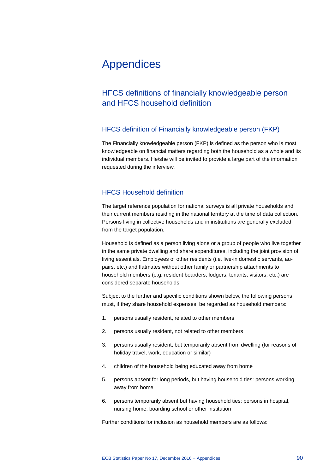# Appendices

# HFCS definitions of financially knowledgeable person and HFCS household definition

## HFCS definition of Financially knowledgeable person (FKP)

The Financially knowledgeable person (FKP) is defined as the person who is most knowledgeable on financial matters regarding both the household as a whole and its individual members. He/she will be invited to provide a large part of the information requested during the interview.

## HFCS Household definition

The target reference population for national surveys is all private households and their current members residing in the national territory at the time of data collection. Persons living in collective households and in institutions are generally excluded from the target population.

Household is defined as a person living alone or a group of people who live together in the same private dwelling and share expenditures, including the joint provision of living essentials. Employees of other residents (i.e. live-in domestic servants, aupairs, etc.) and flatmates without other family or partnership attachments to household members (e.g. resident boarders, lodgers, tenants, visitors, etc.) are considered separate households.

Subject to the further and specific conditions shown below, the following persons must, if they share household expenses, be regarded as household members:

- 1. persons usually resident, related to other members
- 2. persons usually resident, not related to other members
- 3. persons usually resident, but temporarily absent from dwelling (for reasons of holiday travel, work, education or similar)
- 4. children of the household being educated away from home
- 5. persons absent for long periods, but having household ties: persons working away from home
- 6. persons temporarily absent but having household ties: persons in hospital, nursing home, boarding school or other institution

Further conditions for inclusion as household members are as follows: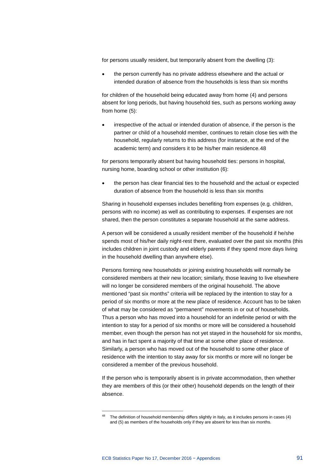for persons usually resident, but temporarily absent from the dwelling (3):

• the person currently has no private address elsewhere and the actual or intended duration of absence from the households is less than six months

for children of the household being educated away from home (4) and persons absent for long periods, but having household ties, such as persons working away from home (5):

• irrespective of the actual or intended duration of absence, if the person is the partner or child of a household member, continues to retain close ties with the household, regularly returns to this address (for instance, at the end of the academic term) and considers it to be his/her main residence.[48](#page-92-0)

for persons temporarily absent but having household ties: persons in hospital, nursing home, boarding school or other institution (6):

• the person has clear financial ties to the household and the actual or expected duration of absence from the household is less than six months

Sharing in household expenses includes benefiting from expenses (e.g. children, persons with no income) as well as contributing to expenses. If expenses are not shared, then the person constitutes a separate household at the same address.

A person will be considered a usually resident member of the household if he/she spends most of his/her daily night-rest there, evaluated over the past six months (this includes children in joint custody and elderly parents if they spend more days living in the household dwelling than anywhere else).

Persons forming new households or joining existing households will normally be considered members at their new location; similarly, those leaving to live elsewhere will no longer be considered members of the original household. The above mentioned "past six months" criteria will be replaced by the intention to stay for a period of six months or more at the new place of residence. Account has to be taken of what may be considered as "permanent" movements in or out of households. Thus a person who has moved into a household for an indefinite period or with the intention to stay for a period of six months or more will be considered a household member, even though the person has not yet stayed in the household for six months, and has in fact spent a majority of that time at some other place of residence. Similarly, a person who has moved out of the household to some other place of residence with the intention to stay away for six months or more will no longer be considered a member of the previous household.

If the person who is temporarily absent is in private accommodation, then whether they are members of this (or their other) household depends on the length of their absence.

<span id="page-92-0"></span>-

The definition of household membership differs slightly in Italy, as it includes persons in cases (4) and (5) as members of the households only if they are absent for less than six months.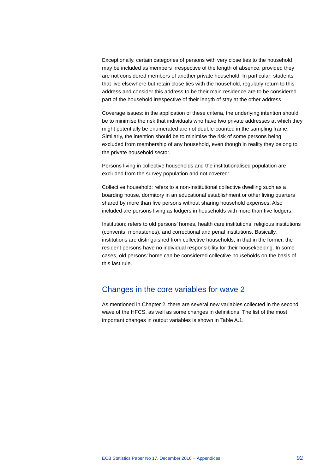Exceptionally, certain categories of persons with very close ties to the household may be included as members irrespective of the length of absence, provided they are not considered members of another private household. In particular, students that live elsewhere but retain close ties with the household, regularly return to this address and consider this address to be their main residence are to be considered part of the household irrespective of their length of stay at the other address.

Coverage issues: in the application of these criteria, the underlying intention should be to minimise the risk that individuals who have two private addresses at which they might potentially be enumerated are not double-counted in the sampling frame. Similarly, the intention should be to minimise the risk of some persons being excluded from membership of any household, even though in reality they belong to the private household sector.

Persons living in collective households and the institutionalised population are excluded from the survey population and not covered:

Collective household: refers to a non-institutional collective dwelling such as a boarding house, dormitory in an educational establishment or other living quarters shared by more than five persons without sharing household expenses. Also included are persons living as lodgers in households with more than five lodgers.

Institution: refers to old persons' homes, health care institutions, religious institutions (convents, monasteries), and correctional and penal institutions. Basically, institutions are distinguished from collective households, in that in the former, the resident persons have no individual responsibility for their housekeeping. In some cases, old persons' home can be considered collective households on the basis of this last rule.

## Changes in the core variables for wave 2

As mentioned in Chapter 2, there are several new variables collected in the second wave of the HFCS, as well as some changes in definitions. The list of the most important changes in output variables is shown in Table A.1.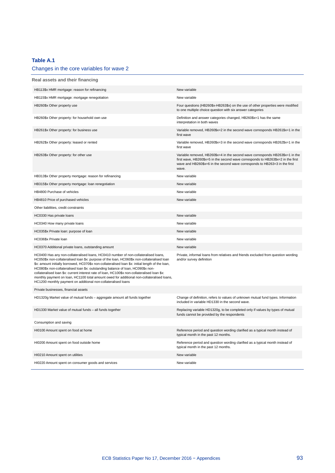## **Table A.1**

## Changes in the core variables for wave 2

| Real assets and their financing                                                                                                                                                                                                                                                                                                                                                                                                                                                                                                                                                                                                             |                                                                                                                                                                                                                                                          |
|---------------------------------------------------------------------------------------------------------------------------------------------------------------------------------------------------------------------------------------------------------------------------------------------------------------------------------------------------------------------------------------------------------------------------------------------------------------------------------------------------------------------------------------------------------------------------------------------------------------------------------------------|----------------------------------------------------------------------------------------------------------------------------------------------------------------------------------------------------------------------------------------------------------|
| HB113\$x HMR mortgage: reason for refinancing                                                                                                                                                                                                                                                                                                                                                                                                                                                                                                                                                                                               | New variable                                                                                                                                                                                                                                             |
| HB115\$x HMR mortgage: mortgage renegotiation                                                                                                                                                                                                                                                                                                                                                                                                                                                                                                                                                                                               | New variable                                                                                                                                                                                                                                             |
| HB260\$x Other property use                                                                                                                                                                                                                                                                                                                                                                                                                                                                                                                                                                                                                 | Four questions (HB260\$x-HB263\$x) on the use of other properties were modified<br>to one multiple choice question with six answer categories                                                                                                            |
| HB260\$x Other property: for household own use                                                                                                                                                                                                                                                                                                                                                                                                                                                                                                                                                                                              | Definition and answer categories changed, HB260\$x=1 has the same<br>interpretation in both waves                                                                                                                                                        |
| HB261\$x Other property: for business use                                                                                                                                                                                                                                                                                                                                                                                                                                                                                                                                                                                                   | Variable removed, HB260\$x=2 in the second wave corresponds HB261\$x=1 in the<br>first wave                                                                                                                                                              |
| HB262\$x Other property: leased or rented                                                                                                                                                                                                                                                                                                                                                                                                                                                                                                                                                                                                   | Variable removed, HB260\$x=3 in the second wave corresponds HB262\$x=1 in the<br>first wave                                                                                                                                                              |
| HB263\$x Other property: for other use                                                                                                                                                                                                                                                                                                                                                                                                                                                                                                                                                                                                      | Variable removed, HB260\$x=4 in the second wave corresponds HB263\$x=1 in the<br>first wave, HB260\$x=5 in the second wave corresponds to HB263\$x=2 in the first<br>wave and HB260\$x=6 in the second wave corresponds to HB263=3 in the first<br>wave. |
| HB313\$x Other property mortgage: reason for refinancing                                                                                                                                                                                                                                                                                                                                                                                                                                                                                                                                                                                    | New variable                                                                                                                                                                                                                                             |
| HB315\$x Other property mortgage: loan renegotiation                                                                                                                                                                                                                                                                                                                                                                                                                                                                                                                                                                                        | New variable                                                                                                                                                                                                                                             |
| HB4800 Purchase of vehicles                                                                                                                                                                                                                                                                                                                                                                                                                                                                                                                                                                                                                 | New variable                                                                                                                                                                                                                                             |
| HB4810 Price of purchased vehicles                                                                                                                                                                                                                                                                                                                                                                                                                                                                                                                                                                                                          | New variable                                                                                                                                                                                                                                             |
| Other liabilities, credit constraints                                                                                                                                                                                                                                                                                                                                                                                                                                                                                                                                                                                                       |                                                                                                                                                                                                                                                          |
| HC0330 Has private loans                                                                                                                                                                                                                                                                                                                                                                                                                                                                                                                                                                                                                    | New variable                                                                                                                                                                                                                                             |
| HC0340 How many private loans                                                                                                                                                                                                                                                                                                                                                                                                                                                                                                                                                                                                               | New variable                                                                                                                                                                                                                                             |
| HC035\$x Private loan: purpose of loan                                                                                                                                                                                                                                                                                                                                                                                                                                                                                                                                                                                                      | New variable                                                                                                                                                                                                                                             |
| HC036\$x Private loan                                                                                                                                                                                                                                                                                                                                                                                                                                                                                                                                                                                                                       | New variable                                                                                                                                                                                                                                             |
| HC0370 Additional private loans, outstanding amount                                                                                                                                                                                                                                                                                                                                                                                                                                                                                                                                                                                         | New variable                                                                                                                                                                                                                                             |
| HC0400 Has any non-collateralised loans, HC0410 number of non-collateralised loans,<br>HC050\$x non-collateralised loan \$x: purpose of the loan, HC060\$x non-collateralised loan<br>\$x: amount initially borrowed, HC070\$x non-collateralised loan \$x: initial length of the loan,<br>HC080\$x non-collateralised loan \$x: outstanding balance of loan, HC090\$x non-<br>collateralised loan \$x: current interest rate of loan, HC100\$x non-collateralised loan \$x:<br>monthly payment on loan, HC1100 total amount owed for additional non-collateralised loans,<br>HC1200 monthly payment on additional non-collateralised loans | Private, informal loans from relatives and friends excluded from question wording<br>and/or survey definition                                                                                                                                            |
| Private businesses, financial assets                                                                                                                                                                                                                                                                                                                                                                                                                                                                                                                                                                                                        |                                                                                                                                                                                                                                                          |
| HD1320g Market value of mutual funds - aggregate amount all funds together                                                                                                                                                                                                                                                                                                                                                                                                                                                                                                                                                                  | Change of definition, refers to values of unknown mutual fund types. Information<br>included in variable HD1330 in the second wave.                                                                                                                      |
| HD1330 Market value of mutual funds - all funds together                                                                                                                                                                                                                                                                                                                                                                                                                                                                                                                                                                                    | Replacing variable HD1320g, to be completed only if values by types of mutual<br>funds cannot be provided by the respondents                                                                                                                             |
| Consumption and saving                                                                                                                                                                                                                                                                                                                                                                                                                                                                                                                                                                                                                      |                                                                                                                                                                                                                                                          |
| HI0100 Amount spent on food at home                                                                                                                                                                                                                                                                                                                                                                                                                                                                                                                                                                                                         | Reference period and question wording clarified as a typical month instead of<br>typical month in the past 12 months.                                                                                                                                    |
| HI0200 Amount spent on food outside home                                                                                                                                                                                                                                                                                                                                                                                                                                                                                                                                                                                                    | Reference period and question wording clarified as a typical month instead of<br>typical month in the past 12 months.                                                                                                                                    |
| HI0210 Amount spent on utilities                                                                                                                                                                                                                                                                                                                                                                                                                                                                                                                                                                                                            | New variable                                                                                                                                                                                                                                             |
| HI0220 Amount spent on consumer goods and services                                                                                                                                                                                                                                                                                                                                                                                                                                                                                                                                                                                          | New variable                                                                                                                                                                                                                                             |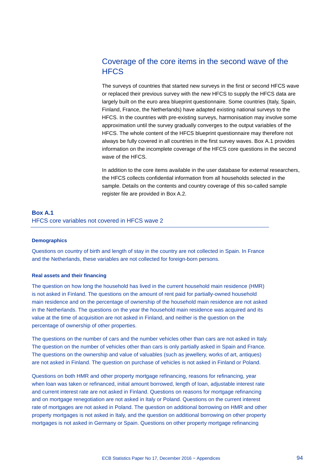# Coverage of the core items in the second wave of the **HFCS**

The surveys of countries that started new surveys in the first or second HFCS wave or replaced their previous survey with the new HFCS to supply the HFCS data are largely built on the euro area blueprint questionnaire. Some countries (Italy, Spain, Finland, France, the Netherlands) have adapted existing national surveys to the HFCS. In the countries with pre-existing surveys, harmonisation may involve some approximation until the survey gradually converges to the output variables of the HFCS. The whole content of the HFCS blueprint questionnaire may therefore not always be fully covered in all countries in the first survey waves. Box A.1 provides information on the incomplete coverage of the HFCS core questions in the second wave of the HFCS.

In addition to the core items available in the user database for external researchers, the HFCS collects confidential information from all households selected in the sample. Details on the contents and country coverage of this so-called sample register file are provided in Box A.2.

## **Box A.1** HFCS core variables not covered in HFCS wave 2

### **Demographics**

Questions on country of birth and length of stay in the country are not collected in Spain. In France and the Netherlands, these variables are not collected for foreign-born persons.

#### **Real assets and their financing**

The question on how long the household has lived in the current household main residence (HMR) is not asked in Finland. The questions on the amount of rent paid for partially-owned household main residence and on the percentage of ownership of the household main residence are not asked in the Netherlands. The questions on the year the household main residence was acquired and its value at the time of acquisition are not asked in Finland, and neither is the question on the percentage of ownership of other properties.

The questions on the number of cars and the number vehicles other than cars are not asked in Italy. The question on the number of vehicles other than cars is only partially asked in Spain and France. The questions on the ownership and value of valuables (such as jewellery, works of art, antiques) are not asked in Finland. The question on purchase of vehicles is not asked in Finland or Poland.

Questions on both HMR and other property mortgage refinancing, reasons for refinancing, year when loan was taken or refinanced, initial amount borrowed, length of loan, adjustable interest rate and current interest rate are not asked in Finland. Questions on reasons for mortgage refinancing and on mortgage renegotiation are not asked in Italy or Poland. Questions on the current interest rate of mortgages are not asked in Poland. The question on additional borrowing on HMR and other property mortgages is not asked in Italy, and the question on additional borrowing on other property mortgages is not asked in Germany or Spain. Questions on other property mortgage refinancing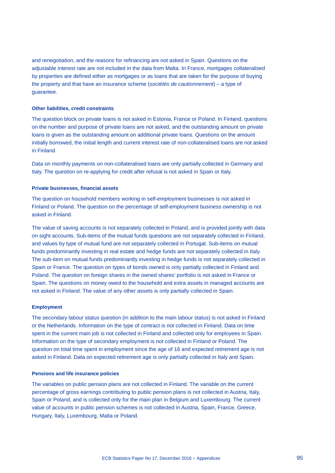and renegotiation, and the reasons for refinancing are not asked in Spain. Questions on the adjustable interest rate are not included in the data from Malta. In France, mortgages collateralised by properties are defined either as mortgages or as loans that are taken for the purpose of buying the property and that have an insurance scheme (*sociétés de cautionnement*) – a type of guarantee.

#### **Other liabilities, credit constraints**

The question block on private loans is not asked in Estonia, France or Poland. In Finland, questions on the number and purpose of private loans are not asked, and the outstanding amount on private loans is given as the outstanding amount on additional private loans. Questions on the amount initially borrowed, the initial length and current interest rate of non-collateralised loans are not asked in Finland.

Data on monthly payments on non-collateralised loans are only partially collected in Germany and Italy. The question on re-applying for credit after refusal is not asked in Spain or Italy.

### **Private businesses, financial assets**

The question on household members working in self-employment businesses is not asked in Finland or Poland. The question on the percentage of self-employment business ownership is not asked in Finland.

The value of saving accounts is not separately collected in Poland, and is provided jointly with data on sight accounts. Sub-items of the mutual funds questions are not separately collected in Finland, and values by type of mutual fund are not separately collected in Portugal. Sub-items on mutual funds predominantly investing in real estate and hedge funds are not separately collected in Italy. The sub-item on mutual funds predominantly investing in hedge funds is not separately collected in Spain or France. The question on types of bonds owned is only partially collected in Finland and Poland. The question on foreign shares in the owned shares' portfolio is not asked in France or Spain. The questions on money owed to the household and extra assets in managed accounts are not asked in Finland. The value of any other assets is only partially collected in Spain.

#### **Employment**

The secondary labour status question (in addition to the main labour status) is not asked in Finland or the Netherlands. Information on the type of contract is not collected in Finland. Data on time spent in the current main job is not collected in Finland and collected only for employees in Spain. Information on the type of secondary employment is not collected in Finland or Poland. The question on total time spent in employment since the age of 16 and expected retirement age is not asked in Finland. Data on expected retirement age is only partially collected in Italy and Spain.

#### **Pensions and life insurance policies**

The variables on public pension plans are not collected in Finland. The variable on the current percentage of gross earnings contributing to public pension plans is not collected in Austria, Italy, Spain or Poland, and is collected only for the main plan in Belgium and Luxembourg. The current value of accounts in public pension schemes is not collected in Austria, Spain, France, Greece, Hungary, Italy, Luxembourg, Malta or Poland.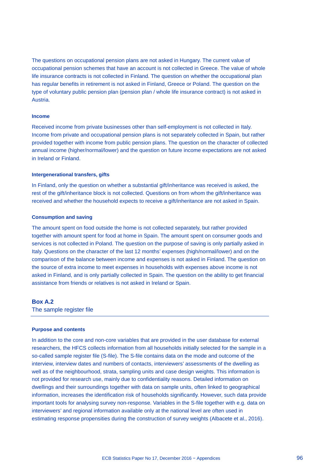The questions on occupational pension plans are not asked in Hungary. The current value of occupational pension schemes that have an account is not collected in Greece. The value of whole life insurance contracts is not collected in Finland. The question on whether the occupational plan has regular benefits in retirement is not asked in Finland, Greece or Poland. The question on the type of voluntary public pension plan (pension plan / whole life insurance contract) is not asked in Austria.

#### **Income**

Received income from private businesses other than self-employment is not collected in Italy. Income from private and occupational pension plans is not separately collected in Spain, but rather provided together with income from public pension plans. The question on the character of collected annual income (higher/normal/lower) and the question on future income expectations are not asked in Ireland or Finland.

#### **Intergenerational transfers, gifts**

In Finland, only the question on whether a substantial gift/inheritance was received is asked, the rest of the gift/inheritance block is not collected. Questions on from whom the gift/inheritance was received and whether the household expects to receive a gift/inheritance are not asked in Spain.

#### **Consumption and saving**

The amount spent on food outside the home is not collected separately, but rather provided together with amount spent for food at home in Spain. The amount spent on consumer goods and services is not collected in Poland. The question on the purpose of saving is only partially asked in Italy. Questions on the character of the last 12 months' expenses (high/normal/lower) and on the comparison of the balance between income and expenses is not asked in Finland. The question on the source of extra income to meet expenses in households with expenses above income is not asked in Finland, and is only partially collected in Spain. The question on the ability to get financial assistance from friends or relatives is not asked in Ireland or Spain.

## **Box A.2**

The sample register file

#### **Purpose and contents**

In addition to the core and non-core variables that are provided in the user database for external researchers, the HFCS collects information from all households initially selected for the sample in a so-called sample register file (S-file). The S-file contains data on the mode and outcome of the interview, interview dates and numbers of contacts, interviewers' assessments of the dwelling as well as of the neighbourhood, strata, sampling units and case design weights. This information is not provided for research use, mainly due to confidentiality reasons. Detailed information on dwellings and their surroundings together with data on sample units, often linked to geographical information, increases the identification risk of households significantly. However, such data provide important tools for analysing survey non-response. Variables in the S-file together with e.g. data on interviewers' and regional information available only at the national level are often used in estimating response propensities during the construction of survey weights (Albacete et al., 2016).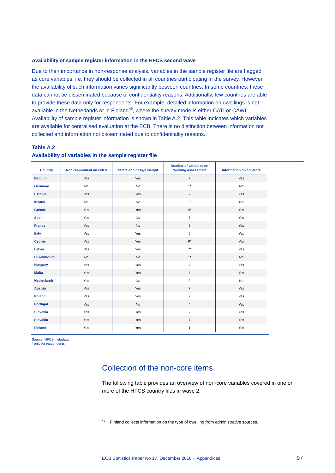#### **Availability of sample register information in the HFCS second wave**

Due to their importance in non-response analysis, variables in the sample register file are flagged as core variables, i.e. they should be collected in all countries participating in the survey. However, the availability of such information varies significantly between countries. In some countries, these data cannot be disseminated because of confidentiality reasons. Additionally, few countries are able to provide these data only for respondents. For example, detailed information on dwellings is not available in the Netherlands or in Finland<sup>[49](#page-98-0)</sup>, where the survey mode is either CATI or CAWI. Availability of sample register information is shown in Table A.2. This table indicates which variables are available for centralised evaluation at the ECB. There is no distinction between information not collected and information not disseminated due to confidentiality reasons.

## **Table A.2 Availability of variables in the sample register file**

-

| <b>Country</b>     | Non-respondent included | <b>Strata and design weight</b> | Number of variables on<br>dwelling assessment | <b>Information on contacts</b> |
|--------------------|-------------------------|---------------------------------|-----------------------------------------------|--------------------------------|
| <b>Belgium</b>     | Yes                     | Yes                             | $\overline{7}$                                | Yes                            |
| Germany            | No                      | No                              | $1*$                                          | No                             |
| <b>Estonia</b>     | Yes                     | Yes                             | $\overline{7}$                                | Yes                            |
| Ireland            | No                      | No                              | $\mathsf{O}\xspace$                           | No                             |
| Greece             | Yes                     | Yes                             | $4^{\star}$                                   | Yes                            |
| <b>Spain</b>       | Yes                     | No                              | 6                                             | Yes                            |
| <b>France</b>      | Yes                     | No                              | 3                                             | Yes                            |
| Italy              | Yes                     | Yes                             | 6                                             | Yes                            |
| <b>Cyprus</b>      | Yes                     | Yes                             | $6^\star$                                     | Yes                            |
| Latvia             | Yes                     | Yes                             | $7^*$                                         | Yes                            |
| Luxembourg         | No                      | No                              | $1^*$                                         | No                             |
| <b>Hungary</b>     | Yes                     | Yes                             | $\overline{7}$                                | Yes                            |
| <b>Malta</b>       | Yes                     | Yes                             | $\overline{7}$                                | Yes                            |
| <b>Netherlands</b> | Yes                     | No                              | $\mathsf 0$                                   | No                             |
| <b>Austria</b>     | Yes                     | Yes                             | $\overline{7}$                                | Yes                            |
| <b>Poland</b>      | Yes                     | Yes                             | $\overline{7}$                                | Yes                            |
| Portugal           | Yes                     | No                              | $\overline{4}$                                | Yes                            |
| Slovenia           | Yes                     | Yes                             | $\overline{7}$                                | Yes                            |
| <b>Slovakia</b>    | Yes                     | Yes                             | $\overline{7}$                                | Yes                            |
| <b>Finland</b>     | Yes                     | Yes                             | $\mathbf{1}$                                  | Yes                            |

<span id="page-98-0"></span>Source: HFCS metadata. \* only for respondents

# Collection of the non-core items

The following table provides an overview of non-core variables covered in one or more of the HFCS country files in wave 2.

 $49$  Finland collects information on the type of dwelling from administrative sources.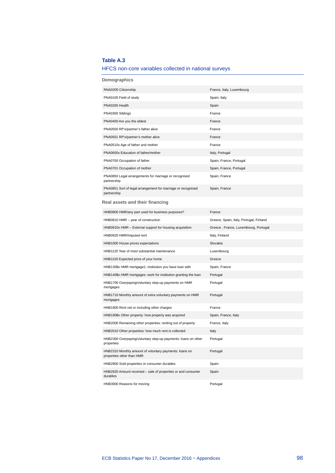## **Table A.3**

# HFCS non-core variables collected in national surveys

| Demographics                                                                        |                                         |
|-------------------------------------------------------------------------------------|-----------------------------------------|
| RNA0200 Citizenship                                                                 | France, Italy, Luxembourg               |
| PNA0100 Field of study                                                              | Spain, Italy                            |
| PNA0200 Health                                                                      | Spain                                   |
| PNA0300 Siblings                                                                    | France                                  |
| PNA0400 Are you the eldest                                                          | France                                  |
| PNA0500 RP's/partner's father alive                                                 | France                                  |
| PNA0501 RP's/partner's mother alive                                                 | France                                  |
| PNA0510x Age of father and mother                                                   | France                                  |
| PNA0600x Education of father/mother                                                 | Italy, Portugal                         |
| PNA0700 Occupation of father                                                        | Spain, France, Portugal                 |
| PNA0701 Occupation of mother                                                        | Spain, France, Portugal                 |
| PNA0850 Legal arrangements for marriage or recognised<br>partnership                | Spain, France                           |
| PNA0851 Sort of legal arrangement for marriage or recognised<br>partnership         | Spain, France                           |
| Real assets and their financing                                                     |                                         |
| HNB0800 HMR/any part used for business purposes?                                    | France                                  |
| HNB0810 HMR - year of construction                                                  | Greece, Spain, Italy, Portugal, Finland |
| HNB0910x HMR - External support for housing acquisition                             | Greece, France, Luxembourg, Portugal    |
| HNB0920 HMR/Imputed rent                                                            | Italy, Finland                          |
| HNB1000 House prices expectations                                                   | Slovakia                                |
| HNB1120 Year of most substantial maintenance                                        | Luxembourg                              |
| HNB1150 Expected price of your home                                                 | Greece                                  |
| HNB130\$x HMR mortgage1: institution you have loan with                             | Spain, France                           |
| HNB140\$x HMR mortgages: work for institution granting the loan                     | Portugal                                |
| HNB1700 Overpaying/voluntary step-up payments on HMR<br>mortgages                   | Portugal                                |
| HNB1710 Monthly amount of extra voluntary payments on HMR<br>mortgages              | Portugal                                |
| HNB1800 Rent net or including other charges                                         | France                                  |
| HNB190\$x Other property: how property was acquired                                 | Spain, France, Italy                    |
| HNB2000 Remaining other properties: renting out of property                         | France, Italy                           |
| HNB2010 Other properties: how much rent is collected                                | Italy                                   |
| HNB2300 Overpaying/voluntary step-up payments: loans on other<br>properties         | Portugal                                |
| HNB2310 Monthly amount of voluntary payments: loans on<br>properties other than HMR | Portugal                                |
| HNB2800 Sold properties or consumer durables                                        | Spain                                   |
| HNB2820 Amount received - sale of properties or and consumer<br>durables            | Spain                                   |
| HNB3000 Reasons for moving                                                          | Portugal                                |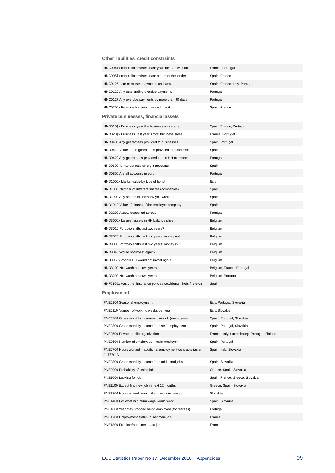**Other liabilities, credit constraints**

| HNC004\$x non-collateralised loan: year the loan was taken                 | France, Portugal                             |
|----------------------------------------------------------------------------|----------------------------------------------|
| HNC005\$x non-collateralised loan: nature of the lender                    | Spain, France                                |
| HNC0125 Late or missed payments on loans                                   | Spain, France, Italy, Portugal               |
| HNC0126 Any outstanding overdue payments                                   | Portugal                                     |
| HNC0127 Any overdue payments by more than 90 days                          | Portugal                                     |
| HNC0200x Reasons for being refused credit                                  | Spain, France                                |
| Private businesses, financial assets                                       |                                              |
| HND010\$x Business: year the business was started                          | Spain, France, Portugal                      |
| HND020\$x Business: last year's total business sales                       | France, Portugal                             |
| HND0400 Any guarantees provided to businesses                              | Spain, Portugal                              |
| HND0410 Value of the guarantees provided to businesses                     | Spain                                        |
| HND0420 Any guarantees provided to non-HH members                          | Portugal                                     |
| HND0600 Is interest paid on sight accounts                                 | Spain                                        |
| HND0800 Are all accounts in euro                                           | Portugal                                     |
| HND1000x Market value by type of bond                                      | Italy                                        |
| HND1800 Number of different shares (companies)                             | Spain                                        |
| HND1900 Any shares in company you work for                                 | Spain                                        |
| HND1910 Value of shares of the employer company                            | Spain                                        |
| HND2200 Assets deposited abroad                                            | Portugal                                     |
| HND3000x Largest assets in HH balance sheet                                | Belgium                                      |
| HND3010 Portfolio shifts last two years?                                   | Belgium                                      |
| HND3020 Portfolio shifts last two years: money out                         | Belgium                                      |
| HND3030 Portfolio shifts last two years: money in                          | Belgium                                      |
| HND3040 Would not invest again?                                            | Belgium                                      |
| HND3050x Assets HH would not invest again                                  | Belgium                                      |
| HND3100 Net worth past two years                                           | Belgium, France, Portugal                    |
| HND3200 Net worth next two years                                           | Belgium, Portugal                            |
| HNF0100x Has other insurance policies (accidents, theft, fire etc.)        | Spain                                        |
| Employment                                                                 |                                              |
| PNE0100 Seasonal employment                                                | Italy, Portugal, Slovakia                    |
| PNE0110 Number of working weeks per year                                   | Italy, Slovakia                              |
| PNE0200 Gross monthly income - main job (employees)                        | Spain, Portugal, Slovakia                    |
| PNE0300 Gross monthly income from self-employment                          | Spain, Portugal, Slovakia                    |
| PNE0500 Private-public organization                                        | France, Italy, Luxembourg, Portugal, Finland |
| PNE0600 Number of employees - main employer                                | Spain, Portugal                              |
| PNE0700 Hours worked - additional employment contracts (as an<br>employee) | Spain, Italy, Slovakia                       |
| PNE0800 Gross monthly income from additional jobs                          | Spain, Slovakia                              |
| PNE0900 Probability of losing job                                          | Greece, Spain, Slovakia                      |
| PNE1000 Looking for job                                                    | Spain, France, Greece, Slovakia              |
| PNE1100 Expect find new job in next 12 months                              | Greece, Spain, Slovakia                      |
| PNE1300 Hours a week would like to work in new job                         | Slovakia                                     |
| PNE1400 For what minimum wage would work                                   | Spain, Slovakia                              |
| PNE1600 Year they stopped being employed (for retirees)                    | Portugal                                     |
| PNE1700 Employment status in last main job                                 | France                                       |
| PNE1800 Full time/part time - last job                                     | France                                       |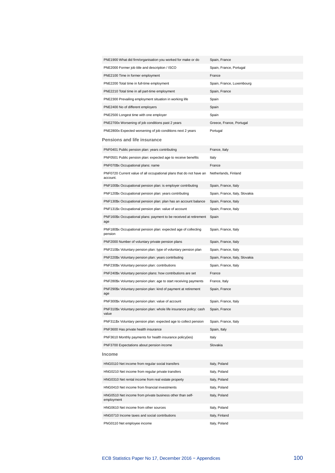| PNE1900 What did firm/organisation you worked for make or do                    | Spain, France                  |
|---------------------------------------------------------------------------------|--------------------------------|
| PNE2000 Former job title and description / ISCO                                 | Spain, France, Portugal        |
| PNE2100 Time in former employment                                               | France                         |
| PNE2200 Total time in full-time employment                                      | Spain, France, Luxembourg      |
| PNE2210 Total time in all part-time employment                                  | Spain, France                  |
| PNE2300 Prevailing employment situation in working life                         | Spain                          |
| PNE2400 No of different employers                                               | Spain                          |
| PNE2500 Longest time with one employer                                          | Spain                          |
| PNE2700x Worsening of job conditions past 2 years                               | Greece, France, Portugal       |
| PNE2800x Expected worsening of job conditions next 2 years                      | Portugal                       |
| Pensions and life insurance                                                     |                                |
| PNF0401 Public pension plan: years contributing                                 | France, Italy                  |
| PNF0501 Public pension plan: expected age to receive benefits                   | Italy                          |
| PNF070\$x Occupational plans: name                                              | France                         |
| PNF0720 Current value of all occupational plans that do not have an<br>account. | Netherlands, Finland           |
| PNF100\$x Occupational pension plan: is employer contributing                   | Spain, France, Italy           |
| PNF120\$x Occupational pension plan: years contributing                         | Spain, France, Italy, Slovakia |
| PNF130\$x Occupational pension plan: plan has an account balance                | Spain, France, Italy           |
| PNF131\$x Occupational pension plan: value of account                           | Spain, France, Italy           |
| PNF160\$x Occupational plans: payment to be received at retirement<br>age       | Spain                          |
| PNF180\$x Occupational pension plan: expected age of collecting<br>pension      | Spain, France, Italy           |
| PNF2000 Number of voluntary private pension plans                               | Spain, France, Italy           |
| PNF210\$x Voluntary pension plan: type of voluntary pension plan                | Spain, France, Italy           |
| PNF220\$x Voluntary pension plan: years contributing                            | Spain, France, Italy, Slovakia |
| PNF230\$x Voluntary pension plan: contributions                                 | Spain, France, Italy           |
| PNF240\$x Voluntary pension plans: how contributions are set                    | France                         |
| PNF280\$x Voluntary pension plan: age to start receiving payments               | France, Italy                  |
| PNF290\$x Voluntary pension plan: kind of payment at retirement<br>age          | Spain, France                  |
| PNF300\$x Voluntary pension plan: value of account                              | Spain, France, Italy           |
| PNF310\$x Voluntary pension plan: whole life insurance policy: cash<br>value    | Spain, France                  |
| PNF311\$x Voluntary pension plan: expected age to collect pension               | Spain, France, Italy           |
| PNF3600 Has private health insurance                                            | Spain, Italy                   |
| PNF3610 Monthly payments for health insurance policy(ies)                       | Italy                          |
| PNF3700 Expectations about pension income                                       | Slovakia                       |
| Income                                                                          |                                |
| HNG0110 Net income from regular social transfers                                | Italy, Poland                  |
| HNG0210 Net income from regular private transfers                               | Italy, Poland                  |
| HNG0310 Net rental income from real estate property                             | Italy, Poland                  |
| HNG0410 Net income from financial investments                                   | Italy, Poland                  |
| HNG0510 Net income from private business other than self-<br>employment         | Italy, Poland                  |
| HNG0610 Net income from other sources                                           | Italy, Poland                  |
| HNG0710 Income taxes and social contributions                                   | Italy, Finland                 |
| PNG0110 Net employee income                                                     | Italy, Poland                  |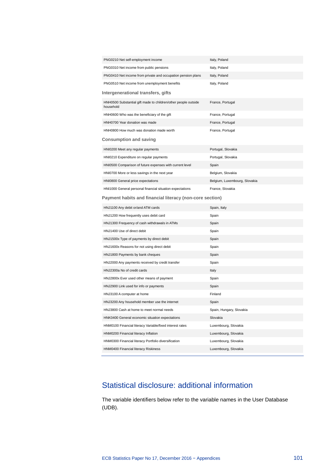| PNG0210 Net self-employment income                                          | Italy, Poland                 |
|-----------------------------------------------------------------------------|-------------------------------|
| PNG0310 Net income from public pensions                                     | Italy, Poland                 |
| PNG0410 Net income from private and occupation pension plans                | Italy, Poland                 |
| PNG0510 Net income from unemployment benefits                               | Italy, Poland                 |
| Intergenerational transfers, gifts                                          |                               |
| HNH0500 Substantial gift made to children/other people outside<br>household | France, Portugal              |
| HNH0600 Who was the beneficiary of the gift                                 | France, Portugal              |
| HNH0700 Year donation was made                                              | France, Portugal              |
| HNH0800 How much was donation made worth                                    | France, Portugal              |
| Consumption and saving                                                      |                               |
| HNI0200 Meet any regular payments                                           | Portugal, Slovakia            |
| HNI0210 Expenditure on regular payments                                     | Portugal, Slovakia            |
| HNI0500 Comparison of future expenses with current level                    | Spain                         |
| HNI0700 More or less savings in the next year                               | Belgium, Slovakia             |
| HNI0800 General price expectations                                          | Belgium, Luxembourg, Slovakia |
| HNI1000 General personal financial situation expectations                   | France, Slovakia              |
| Payment habits and financial literacy (non-core section)                    |                               |
|                                                                             |                               |
| HNJ1100 Any debit or/and ATM cards                                          | Spain, Italy                  |
| HNJ1200 How frequently uses debit card                                      | Spain                         |
| HNJ1300 Frequency of cash withdrawals in ATMs                               | Spain                         |
| HNJ1400 Use of direct debit                                                 | Spain                         |
| HNJ1500x Type of payments by direct debit                                   | Spain                         |
| HNJ1600x Reasons for not using direct debit                                 | Spain                         |
| HNJ1800 Payments by bank cheques                                            | Spain                         |
| HNJ2000 Any payments received by credit transfer                            | Spain                         |
| HNJ2300a No of credit cards                                                 | Italy                         |
| HNJ2800x Ever used other means of payment                                   | Spain                         |
| HNJ2900 Link used for info or payments                                      | Spain                         |
| HNJ3100 A computer at home                                                  | Finland                       |
| HNJ3200 Any household member use the internet                               | Spain                         |
| HNJ3800 Cash at home to meet normal needs                                   | Spain, Hungary, Slovakia      |
| HNK0400 General economic situation expectations                             | Slovakia                      |
| HNM0100 Financial literacy Variable/fixed interest rates                    | Luxembourg, Slovakia          |
| HNM0200 Financial literacy Inflation                                        | Luxembourg, Slovakia          |
| HNM0300 Financial literacy Portfolio diversification                        | Luxembourg, Slovakia          |

# Statistical disclosure: additional information

The variable identifiers below refer to the variable names in the User Database (UDB).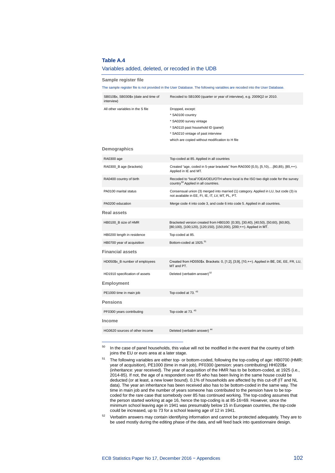#### **Table A.4**

-

#### Variables added, deleted, or recoded in the UDB

<span id="page-103-3"></span>

| Sample register file                               |                                                                                                                                                                                                |  |
|----------------------------------------------------|------------------------------------------------------------------------------------------------------------------------------------------------------------------------------------------------|--|
|                                                    | The sample register file is not provided in the User Database. The following variables are recoded into the User Database.                                                                     |  |
| SB010\$x, SB030\$x (date and time of<br>interview) | Recoded to SB1000 (quarter or year of interview), e.g. 2009Q2 or 2010.                                                                                                                         |  |
| All other variables in the S file<br>Demographics  | Dropped, except:<br>* SA0100 country<br>* SA0200 survey vintage<br>* SA0110 past household ID (panel)<br>* SA0210 vintage of past interview<br>which are copied without modification to H file |  |
| RA0300 age                                         | Top-coded at 85. Applied in all countries                                                                                                                                                      |  |
| RA0300_B age (brackets)                            | Created "age, coded in 5-year brackets" from RA0300 [0,5), [5,10),[80,85), [85,+∞).<br>Applied in IE and MT.                                                                                   |  |
| RA0400 country of birth                            | Recoded to "local"/OEA/OEU/OTH where local is the ISO two digit code for the survey<br>country <sup>50</sup> Applied in all countries.                                                         |  |
| PA0100 marital status                              | Consensual union (3) merged into married (1) category. Applied in LU, but code (3) is<br>not available in EE, FI, IE, IT, LV, MT, PL, PT.                                                      |  |
| PA0200 education                                   | Merge code 4 into code 3, and code 6 into code 5. Applied in all countries.                                                                                                                    |  |
| Real assets                                        |                                                                                                                                                                                                |  |
| HB0100_B size of HMR                               | Bracketed version created from HB0100: [0;30), [30;40), [40;50), [50;60), [60;80),<br>[80;100), [100;120), [120;150), [150;200), [200;+∞). Applied in MT.                                      |  |
| HB0200 length in residence                         | Top-coded at 85.                                                                                                                                                                               |  |
| HB0700 year of acquisition                         | Bottom-coded at 1925. <sup>51</sup>                                                                                                                                                            |  |
| <b>Financial assets</b>                            |                                                                                                                                                                                                |  |
| HD050\$x_B number of employees                     | Created from HD050\$x. Brackets: 0, [1;2], [3;9], [10,+∞). Applied in BE, DE, EE, FR, LU,<br>MT and PT.                                                                                        |  |
| HD1910 specification of assets                     | Deleted (verbatim answer) <sup>52</sup>                                                                                                                                                        |  |
| Employment                                         |                                                                                                                                                                                                |  |
| PE1000 time in main job                            | Top-coded at 73. <sup>43</sup>                                                                                                                                                                 |  |
| Pensions                                           |                                                                                                                                                                                                |  |
| PF0300 years contributing                          | Top-code at 73. <sup>43</sup>                                                                                                                                                                  |  |
| Income                                             |                                                                                                                                                                                                |  |
| HG0620 sources of other income                     | Deleted (verbatim answer) <sup>44</sup>                                                                                                                                                        |  |

<span id="page-103-0"></span><sup>50</sup> In the case of panel households, this value will not be modified in the event that the country of birth joins the EU or euro area at a later stage.

<span id="page-103-1"></span><sup>51</sup> The following variables are either top- or bottom-coded, following the top-coding of age: HB0700 (HMR: year of acquisition), PE1000 (time in main job), PF0300 (pension: years contributing) HH020\$x (inheritance: year received). The year of acquisition of the HMR has to be bottom-coded, at 1925 (i.e., 2014-85). If not, the age of a respondent over 85 who has been living in the same house could be deducted (or at least, a new lower bound). 0.1% of households are affected by this cut-off (IT and NL data). The year an inheritance has been received also has to be bottom-coded in the same way. The time in main job and the number of years someone has contributed to the pension have to be topcoded for the rare case that somebody over 85 has continued working. The top-coding assumes that the person started working at age 16, hence the top-coding is at 85-16=69. However, since the minimum school leaving age in 1941 was presumably below 15 in European countries, the top-code could be increased, up to 73 for a school leaving age of 12 in 1941.

<span id="page-103-2"></span><sup>52</sup> Verbatim answers may contain identifying information and cannot be protected adequately. They are to be used mostly during the editing phase of the data, and will feed back into questionnaire design.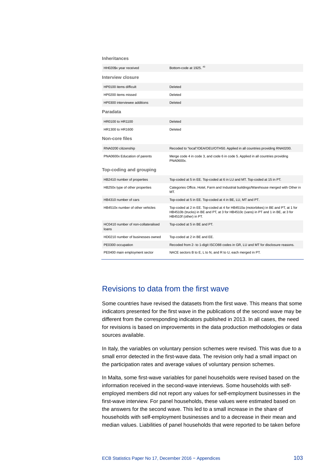#### **Inheritances**

| HH020\$x year received                       | Bottom-code at 1925. 43                                                                                                                                                                              |
|----------------------------------------------|------------------------------------------------------------------------------------------------------------------------------------------------------------------------------------------------------|
| Interview closure                            |                                                                                                                                                                                                      |
| HP0100 items difficult                       | Deleted                                                                                                                                                                                              |
| HP0200 items missed                          | Deleted                                                                                                                                                                                              |
| HP0300 interviewee additions                 | Deleted                                                                                                                                                                                              |
| Paradata                                     |                                                                                                                                                                                                      |
| HR0100 to HR1100                             | Deleted                                                                                                                                                                                              |
| HR1300 to HR1600                             | Deleted                                                                                                                                                                                              |
| Non-core files                               |                                                                                                                                                                                                      |
| RNA0200 citizenship                          | Recoded to "local"/OEA/OEU/OTH50. Applied in all countries providing RNA0200.                                                                                                                        |
| PNA0600x Education of parents                | Merge code 4 in code 3, and code 6 in code 5. Applied in all countries providing<br>PNA0600x.                                                                                                        |
| Top-coding and grouping                      |                                                                                                                                                                                                      |
| HB2410 number of properties                  | Top-coded at 5 in EE. Top-coded at 6 in LU and MT. Top-coded at 15 in PT.                                                                                                                            |
| HB250x type of other properties              | Categories Office, Hotel, Farm and Industrial buildings/Warehouse merged with Other in<br>MT.                                                                                                        |
| HB4310 number of cars                        | Top-coded at 5 in EE. Top-coded at 4 in BE, LU, MT and PT.                                                                                                                                           |
| HB4510x number of other vehicles             | Top-coded at 2 in EE. Top-coded at 4 for HB4510a (motorbikes) in BE and PT, at 1 for<br>HB4510b (trucks) in BE and PT, at 3 for HB4510c (vans) in PT and 1 in BE, at 3 for<br>HB4510f (other) in PT. |
| HC0410 number of non-collateralised<br>loans | Top-coded at 5 in BE and PT.                                                                                                                                                                         |
| HD0210 number of businesses owned            | Top-coded at 2 in BE and EE.                                                                                                                                                                         |
| PE0300 occupation                            | Recoded from 2- to 1-digit ISCO88 codes in GR, LU and MT for disclosure reasons.                                                                                                                     |
|                                              |                                                                                                                                                                                                      |

# Revisions to data from the first wave

Some countries have revised the datasets from the first wave. This means that some indicators presented for the first wave in the publications of the second wave may be different from the corresponding indicators published in 2013. In all cases, the need for revisions is based on improvements in the data production methodologies or data sources available.

In Italy, the variables on voluntary pension schemes were revised. This was due to a small error detected in the first-wave data. The revision only had a small impact on the participation rates and average values of voluntary pension schemes.

In Malta, some first-wave variables for panel households were revised based on the information received in the second-wave interviews. Some households with selfemployed members did not report any values for self-employment businesses in the first-wave interview. For panel households, these values were estimated based on the answers for the second wave. This led to a small increase in the share of households with self-employment businesses and to a decrease in their mean and median values. Liabilities of panel households that were reported to be taken before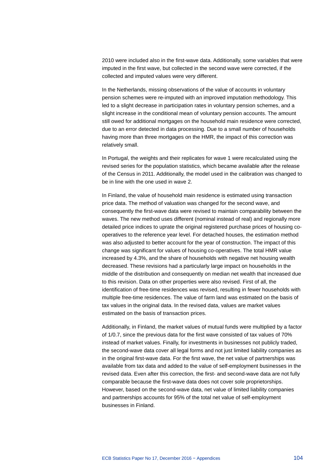2010 were included also in the first-wave data. Additionally, some variables that were imputed in the first wave, but collected in the second wave were corrected, if the collected and imputed values were very different.

In the Netherlands, missing observations of the value of accounts in voluntary pension schemes were re-imputed with an improved imputation methodology. This led to a slight decrease in participation rates in voluntary pension schemes, and a slight increase in the conditional mean of voluntary pension accounts. The amount still owed for additional mortgages on the household main residence were corrected, due to an error detected in data processing. Due to a small number of households having more than three mortgages on the HMR, the impact of this correction was relatively small.

In Portugal, the weights and their replicates for wave 1 were recalculated using the revised series for the population statistics, which became available after the release of the Census in 2011. Additionally, the model used in the calibration was changed to be in line with the one used in wave 2.

In Finland, the value of household main residence is estimated using transaction price data. The method of valuation was changed for the second wave, and consequently the first-wave data were revised to maintain comparability between the waves. The new method uses different (nominal instead of real) and regionally more detailed price indices to uprate the original registered purchase prices of housing cooperatives to the reference year level. For detached houses, the estimation method was also adjusted to better account for the year of construction. The impact of this change was significant for values of housing co-operatives. The total HMR value increased by 4.3%, and the share of households with negative net housing wealth decreased. These revisions had a particularly large impact on households in the middle of the distribution and consequently on median net wealth that increased due to this revision. Data on other properties were also revised. First of all, the identification of free-time residences was revised, resulting in fewer households with multiple free-time residences. The value of farm land was estimated on the basis of tax values in the original data. In the revised data, values are market values estimated on the basis of transaction prices.

Additionally, in Finland, the market values of mutual funds were multiplied by a factor of 1/0.7, since the previous data for the first wave consisted of tax values of 70% instead of market values. Finally, for investments in businesses not publicly traded, the second-wave data cover all legal forms and not just limited liability companies as in the original first-wave data. For the first wave, the net value of partnerships was available from tax data and added to the value of self-employment businesses in the revised data. Even after this correction, the first- and second-wave data are not fully comparable because the first-wave data does not cover sole proprietorships. However, based on the second-wave data, net value of limited liability companies and partnerships accounts for 95% of the total net value of self-employment businesses in Finland.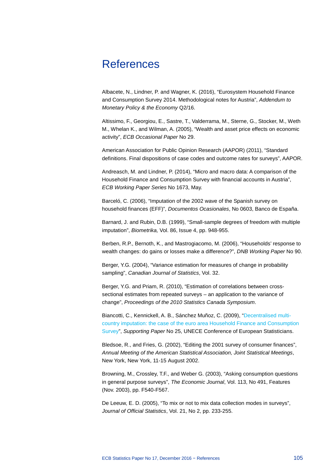# **References**

Albacete, N., Lindner, P. and Wagner, K. (2016), "Eurosystem Household Finance and Consumption Survey 2014. Methodological notes for Austria", *Addendum to Monetary Policy & the Economy* Q2/16.

Altissimo, F., Georgiou, E., Sastre, T., Valderrama, M., Sterne, G., Stocker, M., Weth M., Whelan K., and Wilman, A. (2005), "Wealth and asset price effects on economic activity", *ECB Occasional Paper* No 29.

American Association for Public Opinion Research (AAPOR) (2011), "Standard definitions. Final dispositions of case codes and outcome rates for surveys", AAPOR.

Andreasch, M. and Lindner, P. (2014), "Micro and macro data: A comparison of the Household Finance and Consumption Survey with financial accounts in Austria", *ECB Working Paper Series* No 1673, May.

Barceló, C. (2006), "Imputation of the 2002 wave of the Spanish survey on household finances (EFF)", *Documentos Ocasionales*, No 0603, Banco de España.

Barnard, J. and Rubin, D.B. (1999), "Small-sample degrees of freedom with multiple imputation", *Biometrika,* Vol. 86, Issue 4, pp. 948-955.

Berben, R.P., Bernoth, K., and Mastrogiacomo, M. (2006), "Households' response to wealth changes: do gains or losses make a difference?", *DNB Working Paper* No 90.

Berger, Y.G. (2004), "Variance estimation for measures of change in probability sampling", *Canadian Journal of Statistics*, Vol. 32.

Berger, Y.G. and Priam, R. (2010), "Estimation of correlations between crosssectional estimates from repeated surveys – an application to the variance of change", *Proceedings of the 2010 Statistics Canada Symposium*.

Biancotti, C., Kennickell, A. B., Sánchez Muñoz, C. (2009), ["Decentralised multi](http://www.unece.org/fileadmin/DAM/stats/documents/ece/ces/ge.44/2009/wp.25.e.pdf)[country imputation: the case of the euro area Household Finance and Consumption](http://www.unece.org/fileadmin/DAM/stats/documents/ece/ces/ge.44/2009/wp.25.e.pdf)  [Survey"](http://www.unece.org/fileadmin/DAM/stats/documents/ece/ces/ge.44/2009/wp.25.e.pdf), *Supporting Paper* No 25, UNECE Conference of European Statisticians.

Bledsoe, R., and Fries, G. (2002), "Editing the 2001 survey of consumer finances", *Annual Meeting of the American Statistical Association, Joint Statistical Meetings*, New York, New York, 11-15 August 2002.

Browning, M., Crossley, T.F., and Weber G. (2003), "Asking consumption questions in general purpose surveys", *The Economic Journal*, Vol. 113, No 491, Features (Nov. 2003), pp. F540-F567.

De Leeuw, E. D. (2005), "To mix or not to mix data collection modes in surveys", *Journal of Official Statistics*, Vol. 21, No 2, pp. 233-255.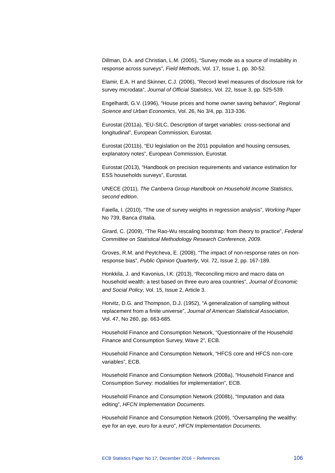Dillman, D.A. and Christian, L.M. (2005), "Survey mode as a source of instability in response across surveys", *Field Methods*, Vol. 17, Issue 1, pp. 30-52.

Elamir, E.A. H and Skinner, C.J. (2006), "Record level measures of disclosure risk for survey microdata", *Journal of Official Statistics*, Vol. 22, Issue 3, pp. 525-539.

Engelhardt, G.V. (1996), "House prices and home owner saving behavior", *Regional Science and Urban Economics*, Vol. 26, No 3/4, pp. 313-336.

Eurostat (2011a), "EU-SILC, Description of target variables: cross-sectional and longitudinal", European Commission, Eurostat.

Eurostat (2011b), "EU legislation on the 2011 population and housing censuses, explanatory notes", European Commission, Eurostat.

Eurostat (2013), "Handbook on precision requirements and variance estimation for ESS households surveys", Eurostat.

UNECE (2011), *[The Canberra Group Handbook on Household Income Statistics,](https://www.unece.org/fileadmin/DAM/stats/groups/cgh/Canbera_Handbook_2011_WEB.pdf)  [second edition](https://www.unece.org/fileadmin/DAM/stats/groups/cgh/Canbera_Handbook_2011_WEB.pdf)*.

Faiella, I. (2010), "The use of survey weights in regression analysis", *Working Paper* No 739, Banca d'Italia.

Girard, C. (2009), "The Rao-Wu rescaling bootstrap: from theory to practice", *Federal Committee on Statistical Methodology Research Conference, 2009*.

Groves, R.M. and Peytcheva, E. (2008), "The impact of non-response rates on nonresponse bias", *Public Opinion Quarterly*, Vol. 72, Issue 2, pp. 167-189.

Honkkila, J. and Kavonius, I.K. (2013), "Reconciling micro and macro data on household wealth: a test based on three euro area countries", *Journal of Economic and Social Policy*, Vol. 15, Issue 2, Article 3.

Horvitz, D.G. and Thompson, D.J. (1952), "A generalization of sampling without replacement from a finite universe", *Journal of American Statistical Association*, Vol. 47, No 260, pp. 663-685.

Household Finance and Consumption Network, "Questionnaire of the Household Finance and Consumption Survey, Wave 2", ECB.

Household Finance and Consumption Network, "HFCS core and HFCS non-core variables", ECB.

Household Finance and Consumption Network (2008a), "Household Finance and Consumption Survey: modalities for implementation", ECB.

Household Finance and Consumption Network (2008b), "Imputation and data editing", *HFCN Implementation Documents*.

Household Finance and Consumption Network (2009), "Oversampling the wealthy: eye for an eye, euro for a euro", *HFCN Implementation Documents*.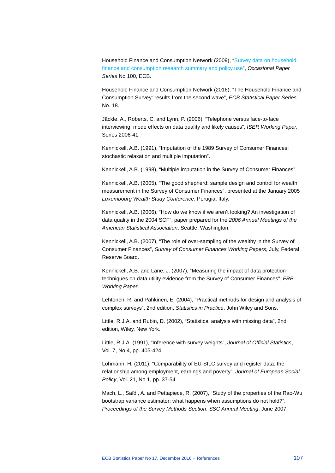Household Finance and Consumption Network (2009), ["Survey data on household](http://www.ecb.europa.eu/pub/pdf/scpops/ecbocp100.pdf)  [finance and consumption research summary and policy use"](http://www.ecb.europa.eu/pub/pdf/scpops/ecbocp100.pdf), *Occasional Paper Series* No 100, ECB.

Household Finance and Consumption Network (2016): "The Household Finance and Consumption Survey: results from the second wave", *ECB Statistical Paper Series* No. 18.

Jäckle, A., Roberts, C. and Lynn, P. (2006), "Telephone versus face-to-face interviewing: mode effects on data quality and likely causes", *ISER Working Paper,* Series 2006-41.

Kennickell, A.B. (1991), "Imputation of the 1989 Survey of Consumer Finances: stochastic relaxation and multiple imputation".

Kennickell, A.B. (1998), "Multiple imputation in the Survey of Consumer Finances".

Kennickell, A.B. (2005), "The good shepherd: sample design and control for wealth measurement in the Survey of Consumer Finances", presented at the January 2005 *Luxembourg Wealth Study Conference*, Perugia, Italy.

Kennickell, A.B. (2006), "How do we know if we aren't looking? An investigation of data quality in the 2004 SCF", paper prepared for the *2006 Annual Meetings of the American Statistical Association*, Seattle, Washington.

Kennickell, A.B. (2007), "The role of over-sampling of the wealthy in the Survey of Consumer Finances", *Survey of Consumer Finances Working Papers*, July, Federal Reserve Board.

Kennickell, A.B. and Lane, J. (2007), "Measuring the impact of data protection techniques on data utility evidence from the Survey of Consumer Finances", *FRB Working Paper*.

Lehtonen, R. and Pahkinen, E. (2004), "Practical methods for design and analysis of complex surveys", 2nd edition, *Statistics in Practice*, John Wiley and Sons.

Little, R.J.A. and Rubin, D. (2002), "Statistical analysis with missing data", 2nd edition, Wiley, New York.

Little, R.J.A. (1991), "Inference with survey weights", *Journal of Official Statistics*, Vol. 7, No 4, pp. 405-424.

Lohmann, H. (2011), "Comparability of EU-SILC survey and register data: the relationship among employment, earnings and poverty", *Journal of European Social Policy*, Vol. 21, No 1, pp. 37-54.

Mach, L., Saïdi, A. and Pettapiece, R. (2007), "Study of the properties of the Rao-Wu bootstrap variance estimator: what happens when assumptions do not hold?", *Proceedings of the Survey Methods Section*, *SSC Annual Meeting*, June 2007.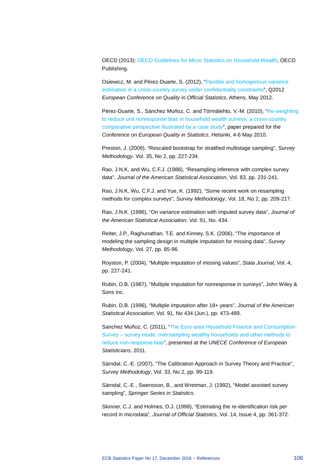OECD (2013): [OECD Guidelines for Micro Statistics on Household Wealth,](http://dx.doi.org/10.1787/9789264194878-en) OECD Publishing.

Osiewicz, M. and Pérez-Duarte, S. (2012), ["Flexible and homogenous variance](http://goo.gl/YP9vC)  [estimation in a cross-country survey under confidentiality constraints"](http://goo.gl/YP9vC), Q2012 *European Conference on Quality in Official Statistics*, Athens, May 2012.

Pérez-Duarte, S., Sánchez Muñoz, C. and Törmälehto, V.-M. (2010), ["Re-weighting](http://www.ecb.int/home/pdf/research/hfcn/WealthSurveys.pdf)  [to reduce unit nonresponse bias in household wealth surveys: a cross-country](http://www.ecb.int/home/pdf/research/hfcn/WealthSurveys.pdf)  [comparative perspective illustrated by a case study"](http://www.ecb.int/home/pdf/research/hfcn/WealthSurveys.pdf), paper prepared for the *Conference on European Quality in Statistics*, Helsinki, 4-6 May 2010.

Preston, J. (2009), "Rescaled bootstrap for stratified multistage sampling", *Survey Methodology*, Vol. 35, No 2, pp. 227-234.

Rao, J.N.K, and Wu, C.F.J. (1988), "Resampling inference with complex survey data", *Journal of the American Statistical Association*, Vol. 83, pp. 231-241.

Rao, J.N.K, Wu, C.F.J. and Yue, K. (1992), "Some recent work on resampling methods for complex surveys", *Survey Methodology*, Vol. 18, No 2, pp. 209-217.

Rao, J.N.K. (1996), "On variance estimation with imputed survey data", *Journal of the American Statistical Association*, Vol. 91, No. 434.

Reiter, J.P., Raghunathan, T.E. and Kinney, S.K. (2006), "The importance of modeling the sampling design in multiple imputation for missing data", *Survey Methodology*, Vol. 27, pp. 85-96.

Royston, P. (2004), "Multiple imputation of missing values", *Stata Journal*, Vol. 4, pp. 227-241.

Rubin, D.B. (1987), "Multiple imputation for nonresponse in surveys", John Wiley & Sons inc.

Rubin, D.B. (1996), "Multiple imputation after 18+ years", *Journal of the American Statistical Association*, Vol. 91, No 434 (Jun.), pp. 473-489.

Sanchez Muñoz, C. (2011), ["The Euro-area Household Finance and Consumption](http://www.unece.org/fileadmin/DAM/stats/documents/ece/ces/2011/48.e.pdf)  Survey – [survey mode, oversampling wealthy households and other methods to](http://www.unece.org/fileadmin/DAM/stats/documents/ece/ces/2011/48.e.pdf)  [reduce non-response bias"](http://www.unece.org/fileadmin/DAM/stats/documents/ece/ces/2011/48.e.pdf), presented at the *UNECE Conference of European Statisticians*, 2011.

Särndal, C.-E. (2007), "The Calibration Approach in Survey Theory and Practice", *Survey Methodology*, Vol. 33, No 2, pp. 99-119.

Särndal, C.-E., Swensson, B., and Wretman, J. (1992), "Model assisted survey sampling", *Springer Series in Statistics*.

Skinner, C.J. and Holmes, D.J. (1998), "Estimating the re-identification risk per record in microdata", *Journal of Official Statistics*, Vol. 14, Issue 4, pp. 361-372.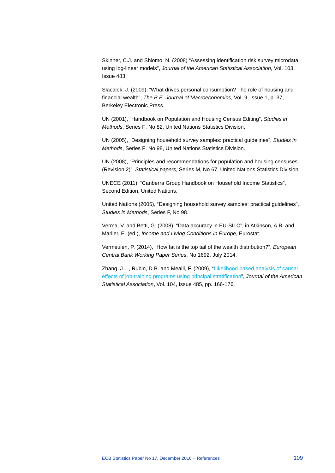Skinner, C.J. and Shlomo, N. (2008) "Assessing identification risk survey microdata using log-linear models", *Journal of the American Statistical Association*, Vol. 103, Issue 483.

Slacalek, J. (2009), "What drives personal consumption? The role of housing and financial wealth", *The B.E. Journal of Macroeconomics*, Vol. 9, Issue 1, p. 37, Berkeley Electronic Press.

UN (2001), "Handbook on Population and Housing Census Editing", *Studies in Methods*, Series F, No 82, United Nations Statistics Division.

UN (2005), "Designing household survey samples: practical guidelines", *Studies in Methods*, Series F, No 98, United Nations Statistics Division.

UN (2008), "Principles and recommendations for population and housing censuses (Revision 2)", *Statistical papers*, Series M, No 67, United Nations Statistics Division.

UNECE (2011), "Canberra Group Handbook on Household Income Statistics", Second Edition, United Nations.

United Nations (2005), "Designing household survey samples: practical guidelines", *Studies in Methods*, Series F, No 98.

Verma, V. and Betti, G. (2008), "Data accuracy in EU-SILC", in Atkinson, A.B. and Marlier, E. (ed.), *Income and Living Conditions in Europe*, Eurostat.

Vermeulen, P. (2014), "How fat is the top tail of the wealth distribution?", *European Central Bank Working Paper Series*, No 1692, July 2014.

Zhang, J.L., Rubin, D.B. and Mealli, F. (2009), ["Likelihood-based analysis of causal](http://dx.doi.org/10.1198/jasa.2009.0012)  [effects of job-training programs using principal stratification"](http://dx.doi.org/10.1198/jasa.2009.0012), *Journal of the American Statistical Association*, Vol. 104, Issue 485, pp. 166-176.